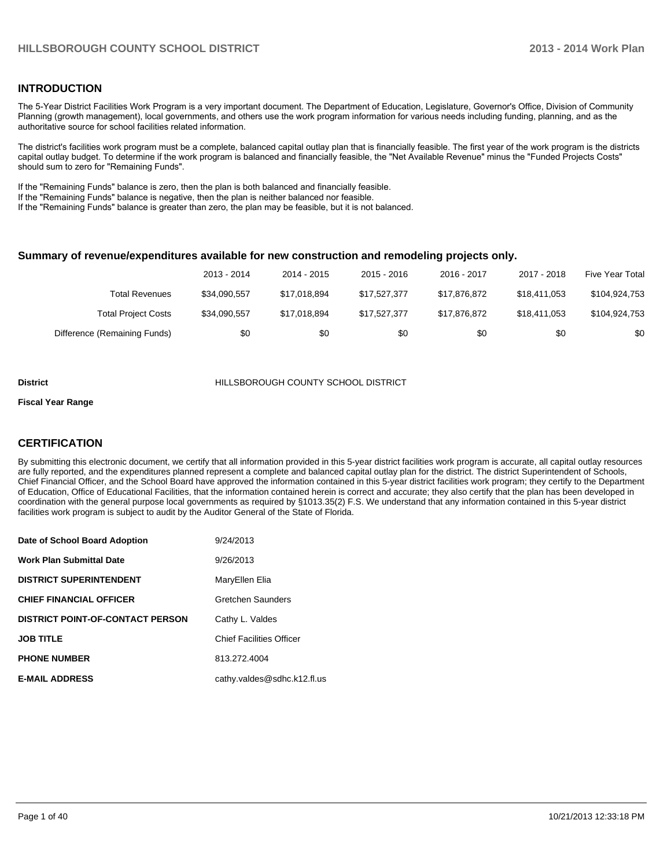#### **INTRODUCTION**

The 5-Year District Facilities Work Program is a very important document. The Department of Education, Legislature, Governor's Office, Division of Community Planning (growth management), local governments, and others use the work program information for various needs including funding, planning, and as the authoritative source for school facilities related information.

The district's facilities work program must be a complete, balanced capital outlay plan that is financially feasible. The first year of the work program is the districts capital outlay budget. To determine if the work program is balanced and financially feasible, the "Net Available Revenue" minus the "Funded Projects Costs" should sum to zero for "Remaining Funds".

If the "Remaining Funds" balance is zero, then the plan is both balanced and financially feasible.

If the "Remaining Funds" balance is negative, then the plan is neither balanced nor feasible.

If the "Remaining Funds" balance is greater than zero, the plan may be feasible, but it is not balanced.

#### **Summary of revenue/expenditures available for new construction and remodeling projects only.**

|                              | 2013 - 2014  | 2014 - 2015  | 2015 - 2016  | 2016 - 2017  | 2017 - 2018  | Five Year Total |
|------------------------------|--------------|--------------|--------------|--------------|--------------|-----------------|
| <b>Total Revenues</b>        | \$34.090.557 | \$17.018.894 | \$17.527.377 | \$17.876.872 | \$18,411,053 | \$104,924,753   |
| <b>Total Project Costs</b>   | \$34.090.557 | \$17.018.894 | \$17.527.377 | \$17.876.872 | \$18,411,053 | \$104.924.753   |
| Difference (Remaining Funds) | \$0          | \$0          | \$0          | \$0          | \$0          | \$0             |

#### **District** HILLSBOROUGH COUNTY SCHOOL DISTRICT

#### **Fiscal Year Range**

#### **CERTIFICATION**

By submitting this electronic document, we certify that all information provided in this 5-year district facilities work program is accurate, all capital outlay resources are fully reported, and the expenditures planned represent a complete and balanced capital outlay plan for the district. The district Superintendent of Schools, Chief Financial Officer, and the School Board have approved the information contained in this 5-year district facilities work program; they certify to the Department of Education, Office of Educational Facilities, that the information contained herein is correct and accurate; they also certify that the plan has been developed in coordination with the general purpose local governments as required by §1013.35(2) F.S. We understand that any information contained in this 5-year district facilities work program is subject to audit by the Auditor General of the State of Florida.

| Date of School Board Adoption           | 9/24/2013                       |
|-----------------------------------------|---------------------------------|
| <b>Work Plan Submittal Date</b>         | 9/26/2013                       |
| <b>DISTRICT SUPERINTENDENT</b>          | MaryEllen Elia                  |
| <b>CHIEF FINANCIAL OFFICER</b>          | Gretchen Saunders               |
| <b>DISTRICT POINT-OF-CONTACT PERSON</b> | Cathy L. Valdes                 |
| <b>JOB TITLE</b>                        | <b>Chief Facilities Officer</b> |
| <b>PHONE NUMBER</b>                     | 813.272.4004                    |
| <b>E-MAIL ADDRESS</b>                   | cathy.valdes@sdhc.k12.fl.us     |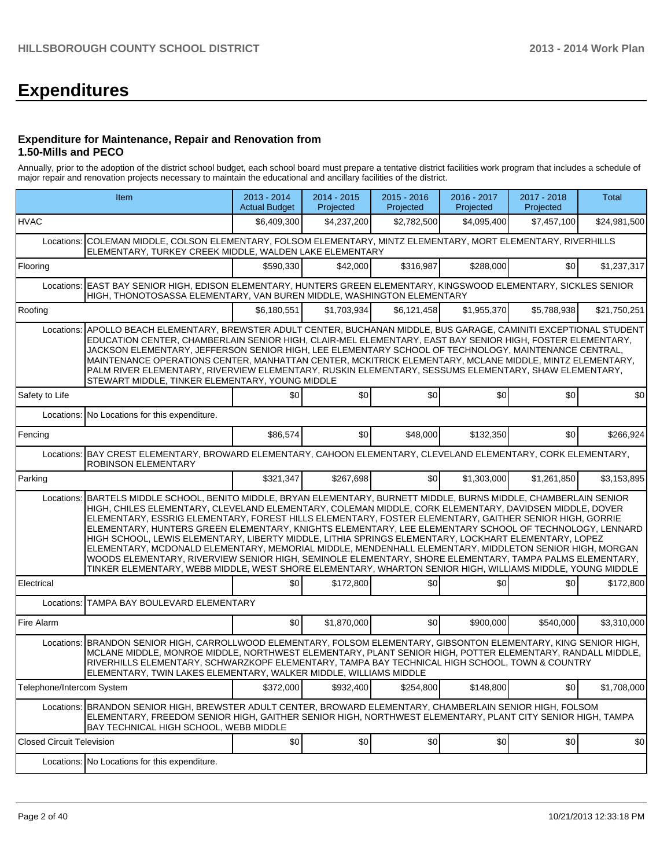# **Expenditures**

#### **Expenditure for Maintenance, Repair and Renovation from 1.50-Mills and PECO**

Annually, prior to the adoption of the district school budget, each school board must prepare a tentative district facilities work program that includes a schedule of major repair and renovation projects necessary to maintain the educational and ancillary facilities of the district.

|                                  | Item                                                                                                                                                                                                                                                                                                                                                                                                                                                                                                                                                                                                                                                                                                                                                                                                                                                                                        | 2013 - 2014<br><b>Actual Budget</b> | 2014 - 2015<br>Projected | 2015 - 2016<br>Projected | 2016 - 2017<br>Projected | 2017 - 2018<br>Projected | <b>Total</b> |  |  |  |
|----------------------------------|---------------------------------------------------------------------------------------------------------------------------------------------------------------------------------------------------------------------------------------------------------------------------------------------------------------------------------------------------------------------------------------------------------------------------------------------------------------------------------------------------------------------------------------------------------------------------------------------------------------------------------------------------------------------------------------------------------------------------------------------------------------------------------------------------------------------------------------------------------------------------------------------|-------------------------------------|--------------------------|--------------------------|--------------------------|--------------------------|--------------|--|--|--|
| <b>HVAC</b>                      |                                                                                                                                                                                                                                                                                                                                                                                                                                                                                                                                                                                                                                                                                                                                                                                                                                                                                             | \$6,409,300                         | \$4,237,200              | \$2,782,500              | \$4,095,400              | \$7,457,100              | \$24,981,500 |  |  |  |
|                                  | Locations: COLEMAN MIDDLE, COLSON ELEMENTARY, FOLSOM ELEMENTARY, MINTZ ELEMENTARY, MORT ELEMENTARY, RIVERHILLS<br>ELEMENTARY, TURKEY CREEK MIDDLE, WALDEN LAKE ELEMENTARY                                                                                                                                                                                                                                                                                                                                                                                                                                                                                                                                                                                                                                                                                                                   |                                     |                          |                          |                          |                          |              |  |  |  |
| Flooring                         |                                                                                                                                                                                                                                                                                                                                                                                                                                                                                                                                                                                                                                                                                                                                                                                                                                                                                             | \$590,330                           | \$42,000                 | \$316,987                | \$288,000                | \$0                      | \$1,237,317  |  |  |  |
| Locations:                       | EAST BAY SENIOR HIGH, EDISON ELEMENTARY, HUNTERS GREEN ELEMENTARY, KINGSWOOD ELEMENTARY, SICKLES SENIOR<br>HIGH, THONOTOSASSA ELEMENTARY, VAN BUREN MIDDLE, WASHINGTON ELEMENTARY                                                                                                                                                                                                                                                                                                                                                                                                                                                                                                                                                                                                                                                                                                           |                                     |                          |                          |                          |                          |              |  |  |  |
| Roofing                          |                                                                                                                                                                                                                                                                                                                                                                                                                                                                                                                                                                                                                                                                                                                                                                                                                                                                                             | \$6.180.551                         | \$1,703,934              | \$6,121,458              | \$1,955,370              | \$5,788,938              | \$21,750,251 |  |  |  |
| Locations:                       | APOLLO BEACH ELEMENTARY, BREWSTER ADULT CENTER, BUCHANAN MIDDLE, BUS GARAGE, CAMINITI EXCEPTIONAL STUDENT<br>EDUCATION CENTER, CHAMBERLAIN SENIOR HIGH, CLAIR-MEL ELEMENTARY, EAST BAY SENIOR HIGH, FOSTER ELEMENTARY,<br>JACKSON ELEMENTARY, JEFFERSON SENIOR HIGH, LEE ELEMENTARY SCHOOL OF TECHNOLOGY, MAINTENANCE CENTRAL,<br>MAINTENANCE OPERATIONS CENTER, MANHATTAN CENTER, MCKITRICK ELEMENTARY, MCLANE MIDDLE, MINTZ ELEMENTARY,<br>PALM RIVER ELEMENTARY, RIVERVIEW ELEMENTARY, RUSKIN ELEMENTARY, SESSUMS ELEMENTARY, SHAW ELEMENTARY,<br>STEWART MIDDLE, TINKER ELEMENTARY, YOUNG MIDDLE                                                                                                                                                                                                                                                                                        |                                     |                          |                          |                          |                          |              |  |  |  |
| Safety to Life                   |                                                                                                                                                                                                                                                                                                                                                                                                                                                                                                                                                                                                                                                                                                                                                                                                                                                                                             | \$0                                 | \$0                      | \$0                      | \$0                      | \$0                      | \$0          |  |  |  |
| Locations:                       | No Locations for this expenditure.                                                                                                                                                                                                                                                                                                                                                                                                                                                                                                                                                                                                                                                                                                                                                                                                                                                          |                                     |                          |                          |                          |                          |              |  |  |  |
| Fencing                          |                                                                                                                                                                                                                                                                                                                                                                                                                                                                                                                                                                                                                                                                                                                                                                                                                                                                                             | \$86,574                            | \$0                      | \$48,000                 | \$132,350                | \$0                      | \$266,924    |  |  |  |
|                                  | Locations: BAY CREST ELEMENTARY, BROWARD ELEMENTARY, CAHOON ELEMENTARY, CLEVELAND ELEMENTARY, CORK ELEMENTARY,<br><b>ROBINSON ELEMENTARY</b>                                                                                                                                                                                                                                                                                                                                                                                                                                                                                                                                                                                                                                                                                                                                                |                                     |                          |                          |                          |                          |              |  |  |  |
| Parking                          |                                                                                                                                                                                                                                                                                                                                                                                                                                                                                                                                                                                                                                                                                                                                                                                                                                                                                             | \$321,347                           | \$267,698                | \$0                      | \$1,303,000              | \$1,261,850              | \$3.153.895  |  |  |  |
|                                  | Locations: BARTELS MIDDLE SCHOOL, BENITO MIDDLE, BRYAN ELEMENTARY, BURNETT MIDDLE, BURNS MIDDLE, CHAMBERLAIN SENIOR<br>HIGH, CHILES ELEMENTARY, CLEVELAND ELEMENTARY, COLEMAN MIDDLE, CORK ELEMENTARY, DAVIDSEN MIDDLE, DOVER<br>ELEMENTARY, ESSRIG ELEMENTARY, FOREST HILLS ELEMENTARY, FOSTER ELEMENTARY, GAITHER SENIOR HIGH, GORRIE<br>ELEMENTARY, HUNTERS GREEN ELEMENTARY, KNIGHTS ELEMENTARY, LEE ELEMENTARY SCHOOL OF TECHNOLOGY, LENNARD<br>HIGH SCHOOL, LEWIS ELEMENTARY, LIBERTY MIDDLE, LITHIA SPRINGS ELEMENTARY, LOCKHART ELEMENTARY, LOPEZ<br>ELEMENTARY, MCDONALD ELEMENTARY, MEMORIAL MIDDLE, MENDENHALL ELEMENTARY, MIDDLETON SENIOR HIGH, MORGAN<br>WOODS ELEMENTARY, RIVERVIEW SENIOR HIGH, SEMINOLE ELEMENTARY, SHORE ELEMENTARY, TAMPA PALMS ELEMENTARY,<br>TINKER ELEMENTARY, WEBB MIDDLE, WEST SHORE ELEMENTARY, WHARTON SENIOR HIGH, WILLIAMS MIDDLE, YOUNG MIDDLE |                                     |                          |                          |                          |                          |              |  |  |  |
| Electrical                       |                                                                                                                                                                                                                                                                                                                                                                                                                                                                                                                                                                                                                                                                                                                                                                                                                                                                                             | \$0                                 | \$172,800                | \$0                      | \$0                      | \$0                      | \$172,800    |  |  |  |
|                                  | Locations: TAMPA BAY BOULEVARD ELEMENTARY                                                                                                                                                                                                                                                                                                                                                                                                                                                                                                                                                                                                                                                                                                                                                                                                                                                   |                                     |                          |                          |                          |                          |              |  |  |  |
| Fire Alarm                       |                                                                                                                                                                                                                                                                                                                                                                                                                                                                                                                                                                                                                                                                                                                                                                                                                                                                                             | \$0                                 | \$1,870,000              | \$0                      | \$900,000                | \$540,000                | \$3.310.000  |  |  |  |
|                                  | Locations: BRANDON SENIOR HIGH, CARROLLWOOD ELEMENTARY, FOLSOM ELEMENTARY, GIBSONTON ELEMENTARY, KING SENIOR HIGH,<br>MCLANE MIDDLE, MONROE MIDDLE, NORTHWEST ELEMENTARY, PLANT SENIOR HIGH, POTTER ELEMENTARY, RANDALL MIDDLE,<br>RIVERHILLS ELEMENTARY, SCHWARZKOPF ELEMENTARY, TAMPA BAY TECHNICAL HIGH SCHOOL, TOWN & COUNTRY<br>ELEMENTARY, TWIN LAKES ELEMENTARY, WALKER MIDDLE, WILLIAMS MIDDLE                                                                                                                                                                                                                                                                                                                                                                                                                                                                                      |                                     |                          |                          |                          |                          |              |  |  |  |
| Telephone/Intercom System        |                                                                                                                                                                                                                                                                                                                                                                                                                                                                                                                                                                                                                                                                                                                                                                                                                                                                                             | \$372,000                           | \$932,400                | \$254,800                | \$148,800                | \$0                      | \$1,708,000  |  |  |  |
|                                  | Locations: BRANDON SENIOR HIGH, BREWSTER ADULT CENTER, BROWARD ELEMENTARY, CHAMBERLAIN SENIOR HIGH, FOLSOM<br>ELEMENTARY, FREEDOM SENIOR HIGH, GAITHER SENIOR HIGH, NORTHWEST ELEMENTARY, PLANT CITY SENIOR HIGH, TAMPA<br>BAY TECHNICAL HIGH SCHOOL, WEBB MIDDLE                                                                                                                                                                                                                                                                                                                                                                                                                                                                                                                                                                                                                           |                                     |                          |                          |                          |                          |              |  |  |  |
| <b>Closed Circuit Television</b> |                                                                                                                                                                                                                                                                                                                                                                                                                                                                                                                                                                                                                                                                                                                                                                                                                                                                                             | \$0                                 | \$0                      | \$0                      | \$0                      | \$0                      | \$0          |  |  |  |
|                                  | Locations: No Locations for this expenditure.                                                                                                                                                                                                                                                                                                                                                                                                                                                                                                                                                                                                                                                                                                                                                                                                                                               |                                     |                          |                          |                          |                          |              |  |  |  |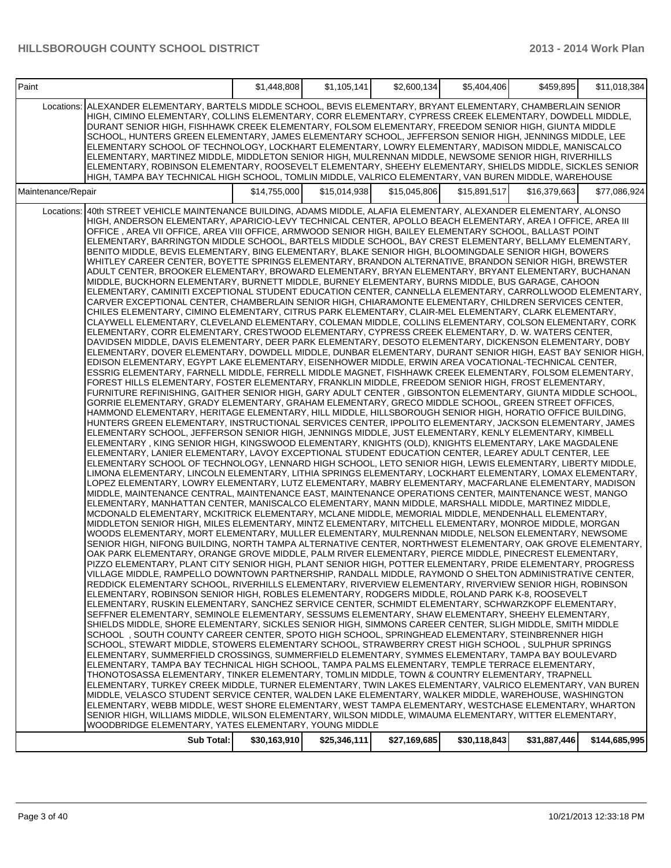| Paint              |                                                                                                                                                                                                                                                                                                                                                                                                                                                                                                                                                                                                                                                                                                                                                                                                                                                                                                                                                                                                                                                                                                                                                                                                                                                                                                                                                                                                                                                                                                                                                                                                                                                                                                                                                                                                                                                                                                                                                                                                                                                                                                                                                                                                                                                                                                                                                                                                                                                                                                                                                                                                                                                                                                                                                                                                                                                                                                                                                                                                                                                                                                                                                                                                                                                                                                                                                                                                                                                                                                                                                                                                                                                                                                                                                                                                                                                                                                                                                                                                                                                                                                                                                                                                                                                                                                                                                                                                                                                                                                                                                                                                                                                                                                                                                                                                                                                                                                                                                                                                                                                                                                                                                                                                                                                                                                                                                                                                                                                                                                                                                                                                                     | \$1,448,808  | \$1,105,141  | \$2,600,134] | \$5,404,406  | \$459,895    | \$11,018,384  |
|--------------------|---------------------------------------------------------------------------------------------------------------------------------------------------------------------------------------------------------------------------------------------------------------------------------------------------------------------------------------------------------------------------------------------------------------------------------------------------------------------------------------------------------------------------------------------------------------------------------------------------------------------------------------------------------------------------------------------------------------------------------------------------------------------------------------------------------------------------------------------------------------------------------------------------------------------------------------------------------------------------------------------------------------------------------------------------------------------------------------------------------------------------------------------------------------------------------------------------------------------------------------------------------------------------------------------------------------------------------------------------------------------------------------------------------------------------------------------------------------------------------------------------------------------------------------------------------------------------------------------------------------------------------------------------------------------------------------------------------------------------------------------------------------------------------------------------------------------------------------------------------------------------------------------------------------------------------------------------------------------------------------------------------------------------------------------------------------------------------------------------------------------------------------------------------------------------------------------------------------------------------------------------------------------------------------------------------------------------------------------------------------------------------------------------------------------------------------------------------------------------------------------------------------------------------------------------------------------------------------------------------------------------------------------------------------------------------------------------------------------------------------------------------------------------------------------------------------------------------------------------------------------------------------------------------------------------------------------------------------------------------------------------------------------------------------------------------------------------------------------------------------------------------------------------------------------------------------------------------------------------------------------------------------------------------------------------------------------------------------------------------------------------------------------------------------------------------------------------------------------------------------------------------------------------------------------------------------------------------------------------------------------------------------------------------------------------------------------------------------------------------------------------------------------------------------------------------------------------------------------------------------------------------------------------------------------------------------------------------------------------------------------------------------------------------------------------------------------------------------------------------------------------------------------------------------------------------------------------------------------------------------------------------------------------------------------------------------------------------------------------------------------------------------------------------------------------------------------------------------------------------------------------------------------------------------------------------------------------------------------------------------------------------------------------------------------------------------------------------------------------------------------------------------------------------------------------------------------------------------------------------------------------------------------------------------------------------------------------------------------------------------------------------------------------------------------------------------------------------------------------------------------------------------------------------------------------------------------------------------------------------------------------------------------------------------------------------------------------------------------------------------------------------------------------------------------------------------------------------------------------------------------------------------------------------------------------------------------------------------------------------------------|--------------|--------------|--------------|--------------|--------------|---------------|
| Locations:         | ALEXANDER ELEMENTARY, BARTELS MIDDLE SCHOOL, BEVIS ELEMENTARY, BRYANT ELEMENTARY, CHAMBERLAIN SENIOR<br>HIGH, CIMINO ELEMENTARY, COLLINS ELEMENTARY, CORR ELEMENTARY, CYPRESS CREEK ELEMENTARY, DOWDELL MIDDLE,<br>DURANT SENIOR HIGH, FISHHAWK CREEK ELEMENTARY, FOLSOM ELEMENTARY, FREEDOM SENIOR HIGH, GIUNTA MIDDLE<br>SCHOOL, HUNTERS GREEN ELEMENTARY, JAMES ELEMENTARY SCHOOL, JEFFERSON SENIOR HIGH, JENNINGS MIDDLE, LEE<br>ELEMENTARY SCHOOL OF TECHNOLOGY, LOCKHART ELEMENTARY, LOWRY ELEMENTARY, MADISON MIDDLE, MANISCALCO<br>ELEMENTARY, MARTINEZ MIDDLE, MIDDLETON SENIOR HIGH, MULRENNAN MIDDLE, NEWSOME SENIOR HIGH, RIVERHILLS<br>ELEMENTARY, ROBINSON ELEMENTARY, ROOSEVELT ELEMENTARY, SHEEHY ELEMENTARY, SHIELDS MIDDLE, SICKLES SENIOR<br>HIGH, TAMPA BAY TECHNICAL HIGH SCHOOL, TOMLIN MIDDLE, VALRICO ELEMENTARY, VAN BUREN MIDDLE, WAREHOUSE                                                                                                                                                                                                                                                                                                                                                                                                                                                                                                                                                                                                                                                                                                                                                                                                                                                                                                                                                                                                                                                                                                                                                                                                                                                                                                                                                                                                                                                                                                                                                                                                                                                                                                                                                                                                                                                                                                                                                                                                                                                                                                                                                                                                                                                                                                                                                                                                                                                                                                                                                                                                                                                                                                                                                                                                                                                                                                                                                                                                                                                                                                                                                                                                                                                                                                                                                                                                                                                                                                                                                                                                                                                                                                                                                                                                                                                                                                                                                                                                                                                                                                                                                                                                                                                                                                                                                                                                                                                                                                                                                                                                                                                                                                                                               |              |              |              |              |              |               |
| Maintenance/Repair |                                                                                                                                                                                                                                                                                                                                                                                                                                                                                                                                                                                                                                                                                                                                                                                                                                                                                                                                                                                                                                                                                                                                                                                                                                                                                                                                                                                                                                                                                                                                                                                                                                                                                                                                                                                                                                                                                                                                                                                                                                                                                                                                                                                                                                                                                                                                                                                                                                                                                                                                                                                                                                                                                                                                                                                                                                                                                                                                                                                                                                                                                                                                                                                                                                                                                                                                                                                                                                                                                                                                                                                                                                                                                                                                                                                                                                                                                                                                                                                                                                                                                                                                                                                                                                                                                                                                                                                                                                                                                                                                                                                                                                                                                                                                                                                                                                                                                                                                                                                                                                                                                                                                                                                                                                                                                                                                                                                                                                                                                                                                                                                                                     | \$14,755,000 | \$15,014,938 | \$15,045,806 | \$15,891,517 | \$16,379,663 | \$77,086,924  |
| Locations:         | 40th STREET VEHICLE MAINTENANCE BUILDING. ADAMS MIDDLE, ALAFIA ELEMENTARY, ALEXANDER ELEMENTARY, ALONSO<br>HIGH, ANDERSON ELEMENTARY, APARICIO-LEVY TECHNICAL CENTER, APOLLO BEACH ELEMENTARY, AREA I OFFICE, AREA III<br>OFFICE, AREA VII OFFICE, AREA VIII OFFICE, ARMWOOD SENIOR HIGH, BAILEY ELEMENTARY SCHOOL, BALLAST POINT<br>ELEMENTARY, BARRINGTON MIDDLE SCHOOL, BARTELS MIDDLE SCHOOL, BAY CREST ELEMENTARY, BELLAMY ELEMENTARY,<br>BENITO MIDDLE, BEVIS ELEMENTARY, BING ELEMENTARY, BLAKE SENIOR HIGH, BLOOMINGDALE SENIOR HIGH, BOWERS<br>WHITLEY CAREER CENTER, BOYETTE SPRINGS ELEMENTARY, BRANDON ALTERNATIVE, BRANDON SENIOR HIGH, BREWSTER<br>ADULT CENTER, BROOKER ELEMENTARY, BROWARD ELEMENTARY, BRYAN ELEMENTARY, BRYANT ELEMENTARY, BUCHANAN<br>MIDDLE, BUCKHORN ELEMENTARY, BURNETT MIDDLE, BURNEY ELEMENTARY, BURNS MIDDLE, BUS GARAGE, CAHOON<br>ELEMENTARY, CAMINITI EXCEPTIONAL STUDENT EDUCATION CENTER, CANNELLA ELEMENTARY, CARROLLWOOD ELEMENTARY,<br>CARVER EXCEPTIONAL CENTER, CHAMBERLAIN SENIOR HIGH, CHIARAMONTE ELEMENTARY, CHILDREN SERVICES CENTER,<br>CHILES ELEMENTARY, CIMINO ELEMENTARY, CITRUS PARK ELEMENTARY, CLAIR-MEL ELEMENTARY, CLARK ELEMENTARY,<br>CLAYWELL ELEMENTARY, CLEVELAND ELEMENTARY, COLEMAN MIDDLE, COLLINS ELEMENTARY, COLSON ELEMENTARY, CORK<br>ELEMENTARY, CORR ELEMENTARY, CRESTWOOD ELEMENTARY, CYPRESS CREEK ELEMENTARY, D. W. WATERS CENTER,<br>DAVIDSEN MIDDLE, DAVIS ELEMENTARY, DEER PARK ELEMENTARY, DESOTO ELEMENTARY, DICKENSON ELEMENTARY, DOBY<br>ELEMENTARY, DOVER ELEMENTARY, DOWDELL MIDDLE, DUNBAR ELEMENTARY, DURANT SENIOR HIGH, EAST BAY SENIOR HIGH,<br>EDISON ELEMENTARY, EGYPT LAKE ELEMENTARY, EISENHOWER MIDDLE, ERWIN AREA VOCATIONAL-TECHNICAL CENTER,<br>ESSRIG ELEMENTARY, FARNELL MIDDLE, FERRELL MIDDLE MAGNET, FISHHAWK CREEK ELEMENTARY, FOLSOM ELEMENTARY,<br>FOREST HILLS ELEMENTARY, FOSTER ELEMENTARY, FRANKLIN MIDDLE, FREEDOM SENIOR HIGH, FROST ELEMENTARY,<br>FURNITURE REFINISHING, GAITHER SENIOR HIGH, GARY ADULT CENTER, GIBSONTON ELEMENTARY, GIUNTA MIDDLE SCHOOL,<br>GORRIE ELEMENTARY, GRADY ELEMENTARY, GRAHAM ELEMENTARY, GRECO MIDDLE SCHOOL, GREEN STREET OFFICES,<br>HAMMOND ELEMENTARY, HERITAGE ELEMENTARY, HILL MIDDLE, HILLSBOROUGH SENIOR HIGH, HORATIO OFFICE BUILDING,<br>HUNTERS GREEN ELEMENTARY, INSTRUCTIONAL SERVICES CENTER, IPPOLITO ELEMENTARY, JACKSON ELEMENTARY, JAMES<br>ELEMENTARY SCHOOL, JEFFERSON SENIOR HIGH, JENNINGS MIDDLE, JUST ELEMENTARY, KENLY ELEMENTARY, KIMBELL<br>ELEMENTARY, KING SENIOR HIGH, KINGSWOOD ELEMENTARY, KNIGHTS (OLD), KNIGHTS ELEMENTARY, LAKE MAGDALENE<br>ELEMENTARY, LANIER ELEMENTARY, LAVOY EXCEPTIONAL STUDENT EDUCATION CENTER, LEAREY ADULT CENTER, LEE<br>ELEMENTARY SCHOOL OF TECHNOLOGY, LENNARD HIGH SCHOOL, LETO SENIOR HIGH, LEWIS ELEMENTARY, LIBERTY MIDDLE,<br>LIMONA ELEMENTARY, LINCOLN ELEMENTARY, LITHIA SPRINGS ELEMENTARY, LOCKHART ELEMENTARY, LOMAX ELEMENTARY,<br>LOPEZ ELEMENTARY, LOWRY ELEMENTARY, LUTZ ELEMENTARY, MABRY ELEMENTARY, MACFARLANE ELEMENTARY, MADISON<br>MIDDLE, MAINTENANCE CENTRAL, MAINTENANCE EAST, MAINTENANCE OPERATIONS CENTER, MAINTENANCE WEST, MANGO<br>ELEMENTARY, MANHATTAN CENTER, MANISCALCO ELEMENTARY, MANN MIDDLE, MARSHALL MIDDLE, MARTINEZ MIDDLE,<br>MCDONALD ELEMENTARY, MCKITRICK ELEMENTARY, MCLANE MIDDLE, MEMORIAL MIDDLE, MENDENHALL ELEMENTARY,<br>MIDDLETON SENIOR HIGH, MILES ELEMENTARY, MINTZ ELEMENTARY, MITCHELL ELEMENTARY, MONROE MIDDLE, MORGAN<br>WOODS ELEMENTARY, MORT ELEMENTARY, MULLER ELEMENTARY, MULRENNAN MIDDLE, NELSON ELEMENTARY, NEWSOME<br>SENIOR HIGH, NIFONG BUILDING, NORTH TAMPA ALTERNATIVE CENTER, NORTHWEST ELEMENTARY, OAK GROVE ELEMENTARY,<br>OAK PARK ELEMENTARY, ORANGE GROVE MIDDLE, PALM RIVER ELEMENTARY, PIERCE MIDDLE, PINECREST ELEMENTARY,<br>PIZZO ELEMENTARY, PLANT CITY SENIOR HIGH, PLANT SENIOR HIGH, POTTER ELEMENTARY, PRIDE ELEMENTARY, PROGRESS<br>VILLAGE MIDDLE, RAMPELLO DOWNTOWN PARTNERSHIP, RANDALL MIDDLE, RAYMOND O SHELTON ADMINISTRATIVE CENTER,<br>REDDICK ELEMENTARY SCHOOL. RIVERHILLS ELEMENTARY. RIVERVIEW ELEMENTARY. RIVERVIEW SENIOR HIGH. ROBINSON<br>ELEMENTARY, ROBINSON SENIOR HIGH, ROBLES ELEMENTARY, RODGERS MIDDLE, ROLAND PARK K-8, ROOSEVELT<br>ELEMENTARY, RUSKIN ELEMENTARY, SANCHEZ SERVICE CENTER, SCHMIDT ELEMENTARY, SCHWARZKOPF ELEMENTARY,<br>SEFFNER ELEMENTARY, SEMINOLE ELEMENTARY, SESSUMS ELEMENTARY, SHAW ELEMENTARY, SHEEHY ELEMENTARY,<br>SHIELDS MIDDLE, SHORE ELEMENTARY, SICKLES SENIOR HIGH, SIMMONS CAREER CENTER, SLIGH MIDDLE, SMITH MIDDLE<br>SCHOOL, SOUTH COUNTY CAREER CENTER, SPOTO HIGH SCHOOL, SPRINGHEAD ELEMENTARY, STEINBRENNER HIGH<br>SCHOOL, STEWART MIDDLE, STOWERS ELEMENTARY SCHOOL, STRAWBERRY CREST HIGH SCHOOL, SULPHUR SPRINGS<br>ELEMENTARY, SUMMERFIELD CROSSINGS, SUMMERFIELD ELEMENTARY, SYMMES ELEMENTARY, TAMPA BAY BOULEVARD<br>ELEMENTARY, TAMPA BAY TECHNICAL HIGH SCHOOL, TAMPA PALMS ELEMENTARY, TEMPLE TERRACE ELEMENTARY,<br>THONOTOSASSA ELEMENTARY. TINKER ELEMENTARY. TOMLIN MIDDLE. TOWN & COUNTRY ELEMENTARY. TRAPNELL<br>ELEMENTARY, TURKEY CREEK MIDDLE, TURNER ELEMENTARY, TWIN LAKES ELEMENTARY, VALRICO ELEMENTARY, VAN BUREN<br>MIDDLE, VELASCO STUDENT SERVICE CENTER, WALDEN LAKE ELEMENTARY, WALKER MIDDLE, WAREHOUSE, WASHINGTON<br>ELEMENTARY, WEBB MIDDLE, WEST SHORE ELEMENTARY, WEST TAMPA ELEMENTARY, WESTCHASE ELEMENTARY, WHARTON<br>SENIOR HIGH, WILLIAMS MIDDLE, WILSON ELEMENTARY, WILSON MIDDLE, WIMAUMA ELEMENTARY, WITTER ELEMENTARY,<br>WOODBRIDGE ELEMENTARY, YATES ELEMENTARY, YOUNG MIDDLE |              |              |              |              |              |               |
|                    | Sub Total:                                                                                                                                                                                                                                                                                                                                                                                                                                                                                                                                                                                                                                                                                                                                                                                                                                                                                                                                                                                                                                                                                                                                                                                                                                                                                                                                                                                                                                                                                                                                                                                                                                                                                                                                                                                                                                                                                                                                                                                                                                                                                                                                                                                                                                                                                                                                                                                                                                                                                                                                                                                                                                                                                                                                                                                                                                                                                                                                                                                                                                                                                                                                                                                                                                                                                                                                                                                                                                                                                                                                                                                                                                                                                                                                                                                                                                                                                                                                                                                                                                                                                                                                                                                                                                                                                                                                                                                                                                                                                                                                                                                                                                                                                                                                                                                                                                                                                                                                                                                                                                                                                                                                                                                                                                                                                                                                                                                                                                                                                                                                                                                                          | \$30,163,910 | \$25,346,111 | \$27,169,685 | \$30,118,843 | \$31,887,446 | \$144,685,995 |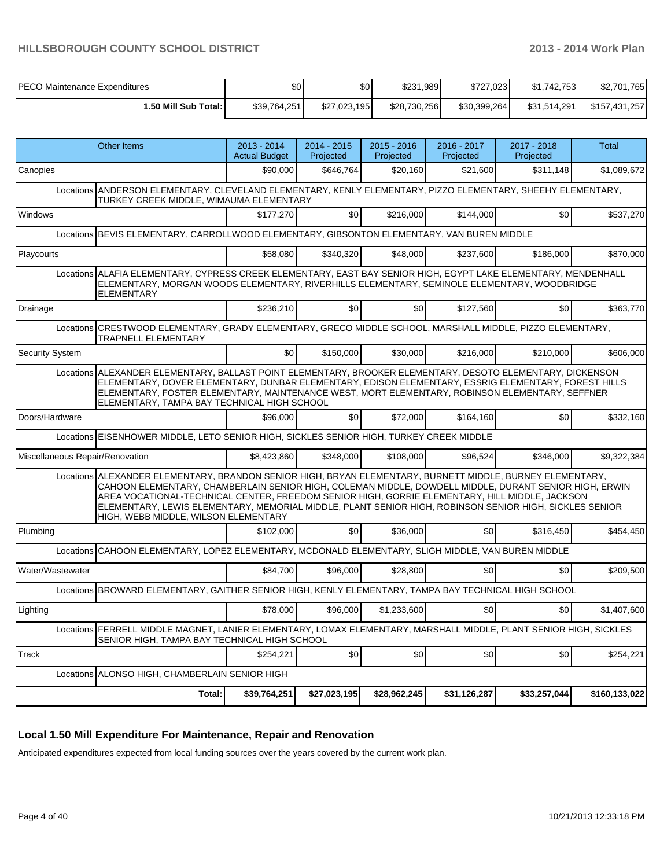| <b>PECO Maintenance Expenditures</b> | \$0          | \$0          | \$231,989    | \$727.023    | \$1.742.753  | \$2,701,765   |
|--------------------------------------|--------------|--------------|--------------|--------------|--------------|---------------|
| <b>I.50 Mill Sub Total: I</b>        | \$39.764.251 | \$27,023,195 | \$28,730,256 | \$30,399,264 | \$31.514.291 | \$157,431,257 |

| <b>Other Items</b>                                                                                                                                                                                                                                                                                                                                                                                                                                                     | 2013 - 2014<br><b>Actual Budget</b> | 2014 - 2015<br>Projected | $2015 - 2016$<br>Projected | 2016 - 2017<br>Projected | $2017 - 2018$<br>Projected | Total         |
|------------------------------------------------------------------------------------------------------------------------------------------------------------------------------------------------------------------------------------------------------------------------------------------------------------------------------------------------------------------------------------------------------------------------------------------------------------------------|-------------------------------------|--------------------------|----------------------------|--------------------------|----------------------------|---------------|
| Canopies                                                                                                                                                                                                                                                                                                                                                                                                                                                               | \$90,000                            | \$646,764                | \$20,160                   | \$21,600                 | \$311,148                  | \$1,089,672   |
| Locations ANDERSON ELEMENTARY, CLEVELAND ELEMENTARY, KENLY ELEMENTARY, PIZZO ELEMENTARY, SHEEHY ELEMENTARY,<br>TURKEY CREEK MIDDLE, WIMAUMA ELEMENTARY                                                                                                                                                                                                                                                                                                                 |                                     |                          |                            |                          |                            |               |
| Windows                                                                                                                                                                                                                                                                                                                                                                                                                                                                | \$177,270                           | \$0                      | \$216,000                  | \$144,000                | \$0                        | \$537,270     |
| Locations BEVIS ELEMENTARY, CARROLLWOOD ELEMENTARY, GIBSONTON ELEMENTARY, VAN BUREN MIDDLE                                                                                                                                                                                                                                                                                                                                                                             |                                     |                          |                            |                          |                            |               |
| Playcourts                                                                                                                                                                                                                                                                                                                                                                                                                                                             | \$58,080                            | \$340,320                | \$48,000                   | \$237,600                | \$186,000                  | \$870,000     |
| Locations ALAFIA ELEMENTARY, CYPRESS CREEK ELEMENTARY, EAST BAY SENIOR HIGH, EGYPT LAKE ELEMENTARY, MENDENHALL<br>ELEMENTARY, MORGAN WOODS ELEMENTARY, RIVERHILLS ELEMENTARY, SEMINOLE ELEMENTARY, WOODBRIDGE<br><b>ELEMENTARY</b>                                                                                                                                                                                                                                     |                                     |                          |                            |                          |                            |               |
| Drainage                                                                                                                                                                                                                                                                                                                                                                                                                                                               | \$236,210                           | \$0                      | \$0                        | \$127,560                | \$0                        | \$363,770     |
| Locations CRESTWOOD ELEMENTARY, GRADY ELEMENTARY, GRECO MIDDLE SCHOOL, MARSHALL MIDDLE, PIZZO ELEMENTARY,<br><b>TRAPNELL ELEMENTARY</b>                                                                                                                                                                                                                                                                                                                                |                                     |                          |                            |                          |                            |               |
| Security System                                                                                                                                                                                                                                                                                                                                                                                                                                                        | \$0                                 | \$150,000                | \$30,000                   | \$216,000                | \$210,000                  | \$606,000     |
| Locations ALEXANDER ELEMENTARY, BALLAST POINT ELEMENTARY, BROOKER ELEMENTARY, DESOTO ELEMENTARY, DICKENSON<br>ELEMENTARY, DOVER ELEMENTARY, DUNBAR ELEMENTARY, EDISON ELEMENTARY, ESSRIG ELEMENTARY, FOREST HILLS<br>ELEMENTARY, FOSTER ELEMENTARY, MAINTENANCE WEST, MORT ELEMENTARY, ROBINSON ELEMENTARY, SEFFNER<br>ELEMENTARY, TAMPA BAY TECHNICAL HIGH SCHOOL                                                                                                     |                                     |                          |                            |                          |                            |               |
| Doors/Hardware                                                                                                                                                                                                                                                                                                                                                                                                                                                         | \$96,000                            | \$0                      | \$72,000                   | \$164,160                | \$0                        | \$332,160     |
| Locations EISENHOWER MIDDLE, LETO SENIOR HIGH, SICKLES SENIOR HIGH, TURKEY CREEK MIDDLE                                                                                                                                                                                                                                                                                                                                                                                |                                     |                          |                            |                          |                            |               |
| Miscellaneous Repair/Renovation                                                                                                                                                                                                                                                                                                                                                                                                                                        | \$8,423,860                         | \$348,000                | \$108,000                  | \$96,524                 | \$346,000                  | \$9,322,384   |
| Locations ALEXANDER ELEMENTARY, BRANDON SENIOR HIGH, BRYAN ELEMENTARY, BURNETT MIDDLE, BURNEY ELEMENTARY,<br>CAHOON ELEMENTARY, CHAMBERLAIN SENIOR HIGH, COLEMAN MIDDLE, DOWDELL MIDDLE, DURANT SENIOR HIGH, ERWIN<br>AREA VOCATIONAL-TECHNICAL CENTER, FREEDOM SENIOR HIGH, GORRIE ELEMENTARY, HILL MIDDLE, JACKSON<br>ELEMENTARY, LEWIS ELEMENTARY, MEMORIAL MIDDLE, PLANT SENIOR HIGH, ROBINSON SENIOR HIGH, SICKLES SENIOR<br>HIGH, WEBB MIDDLE, WILSON ELEMENTARY |                                     |                          |                            |                          |                            |               |
| Plumbing                                                                                                                                                                                                                                                                                                                                                                                                                                                               | \$102,000                           | \$0                      | \$36,000                   | \$0                      | \$316,450                  | \$454,450     |
| Locations CAHOON ELEMENTARY, LOPEZ ELEMENTARY, MCDONALD ELEMENTARY, SLIGH MIDDLE, VAN BUREN MIDDLE                                                                                                                                                                                                                                                                                                                                                                     |                                     |                          |                            |                          |                            |               |
| Water/Wastewater                                                                                                                                                                                                                                                                                                                                                                                                                                                       | \$84,700                            | \$96,000                 | \$28,800                   | \$0                      | \$0                        | \$209,500     |
| Locations BROWARD ELEMENTARY, GAITHER SENIOR HIGH, KENLY ELEMENTARY, TAMPA BAY TECHNICAL HIGH SCHOOL                                                                                                                                                                                                                                                                                                                                                                   |                                     |                          |                            |                          |                            |               |
| Lighting                                                                                                                                                                                                                                                                                                                                                                                                                                                               | \$78,000                            | \$96,000                 | \$1,233,600                | \$0                      | \$0                        | \$1,407,600   |
| Locations FERRELL MIDDLE MAGNET, LANIER ELEMENTARY, LOMAX ELEMENTARY, MARSHALL MIDDLE, PLANT SENIOR HIGH, SICKLES<br>SENIOR HIGH, TAMPA BAY TECHNICAL HIGH SCHOOL                                                                                                                                                                                                                                                                                                      |                                     |                          |                            |                          |                            |               |
| Track                                                                                                                                                                                                                                                                                                                                                                                                                                                                  | \$254,221                           | \$0]                     | \$0                        | \$0                      | \$0                        | \$254,221     |
| Locations ALONSO HIGH, CHAMBERLAIN SENIOR HIGH                                                                                                                                                                                                                                                                                                                                                                                                                         |                                     |                          |                            |                          |                            |               |
| Total:                                                                                                                                                                                                                                                                                                                                                                                                                                                                 | \$39,764,251                        | \$27,023,195             | \$28,962,245               | \$31,126,287             | \$33,257,044               | \$160,133,022 |

#### **Local 1.50 Mill Expenditure For Maintenance, Repair and Renovation**

Anticipated expenditures expected from local funding sources over the years covered by the current work plan.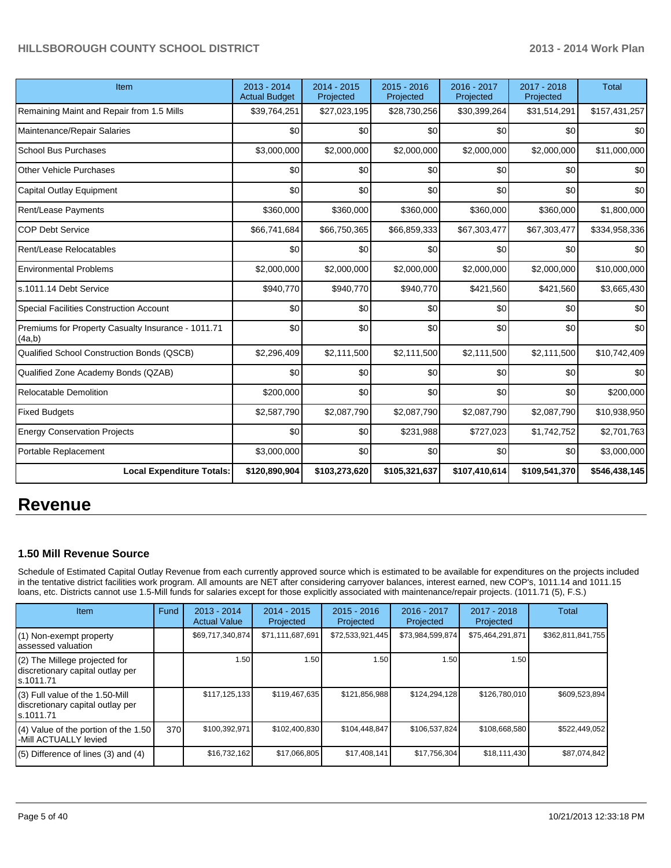| Item                                                         | 2013 - 2014<br><b>Actual Budget</b> | $2014 - 2015$<br>Projected | $2015 - 2016$<br>Projected | 2016 - 2017<br>Projected | 2017 - 2018<br>Projected | <b>Total</b>  |
|--------------------------------------------------------------|-------------------------------------|----------------------------|----------------------------|--------------------------|--------------------------|---------------|
| Remaining Maint and Repair from 1.5 Mills                    | \$39,764,251                        | \$27,023,195               | \$28,730,256               | \$30,399,264             | \$31,514,291             | \$157,431,257 |
| Maintenance/Repair Salaries                                  | \$0                                 | \$0                        | \$0                        | \$0                      | \$0                      | \$0           |
| <b>School Bus Purchases</b>                                  | \$3,000,000                         | \$2,000,000                | \$2,000,000                | \$2,000,000              | \$2,000,000              | \$11,000,000  |
| <b>Other Vehicle Purchases</b>                               | \$0                                 | \$0                        | \$0                        | \$0                      | \$0                      | \$0           |
| Capital Outlay Equipment                                     | \$0                                 | \$0                        | \$0                        | \$0                      | \$0                      | \$0           |
| Rent/Lease Payments                                          | \$360,000                           | \$360,000                  | \$360,000                  | \$360,000                | \$360,000                | \$1,800,000   |
| <b>COP Debt Service</b>                                      | \$66,741,684                        | \$66,750,365               | \$66,859,333               | \$67,303,477             | \$67,303,477             | \$334,958,336 |
| Rent/Lease Relocatables                                      | \$0                                 | \$0                        | \$0                        | \$0                      | \$0                      | \$0           |
| <b>Environmental Problems</b>                                | \$2,000,000                         | \$2,000,000                | \$2,000,000                | \$2,000,000              | \$2,000,000              | \$10,000,000  |
| s.1011.14 Debt Service                                       | \$940,770                           | \$940,770                  | \$940,770                  | \$421,560                | \$421,560                | \$3,665,430   |
| <b>Special Facilities Construction Account</b>               | \$0                                 | \$0                        | \$0                        | \$0                      | \$0                      | \$0           |
| Premiums for Property Casualty Insurance - 1011.71<br>(4a,b) | \$0                                 | \$0                        | \$0                        | \$0                      | \$0                      | \$0           |
| Qualified School Construction Bonds (QSCB)                   | \$2,296,409                         | \$2,111,500                | \$2,111,500                | \$2,111,500              | \$2,111,500              | \$10,742,409  |
| Qualified Zone Academy Bonds (QZAB)                          | \$0                                 | \$0                        | \$0                        | \$0                      | \$0                      | \$0           |
| <b>Relocatable Demolition</b>                                | \$200,000                           | \$0                        | \$0                        | \$0                      | \$0                      | \$200,000     |
| <b>Fixed Budgets</b>                                         | \$2,587,790                         | \$2,087,790                | \$2,087,790                | \$2,087,790              | \$2,087,790              | \$10,938,950  |
| <b>Energy Conservation Projects</b>                          | \$0                                 | \$0                        | \$231,988                  | \$727,023                | \$1,742,752              | \$2,701,763   |
| Portable Replacement                                         | \$3,000,000                         | \$0                        | \$0                        | \$0                      | \$0                      | \$3,000,000   |
| <b>Local Expenditure Totals:</b>                             | \$120,890,904                       | \$103,273,620              | \$105,321,637              | \$107,410,614            | \$109,541,370            | \$546,438,145 |

## **Revenue**

#### **1.50 Mill Revenue Source**

Schedule of Estimated Capital Outlay Revenue from each currently approved source which is estimated to be available for expenditures on the projects included in the tentative district facilities work program. All amounts are NET after considering carryover balances, interest earned, new COP's, 1011.14 and 1011.15 loans, etc. Districts cannot use 1.5-Mill funds for salaries except for those explicitly associated with maintenance/repair projects. (1011.71 (5), F.S.)

| Item                                                                                | Fund | $2013 - 2014$<br><b>Actual Value</b> | $2014 - 2015$<br>Projected | $2015 - 2016$<br>Projected | $2016 - 2017$<br>Projected | $2017 - 2018$<br>Projected | Total             |
|-------------------------------------------------------------------------------------|------|--------------------------------------|----------------------------|----------------------------|----------------------------|----------------------------|-------------------|
| (1) Non-exempt property<br>lassessed valuation                                      |      | \$69,717,340,874                     | \$71,111,687,691           | \$72,533,921,445           | \$73,984,599,874           | \$75,464,291,871           | \$362,811,841,755 |
| (2) The Millege projected for<br>discretionary capital outlay per<br>ls.1011.71     |      | 1.50                                 | 1.50                       | 1.50                       | 1.50                       | 1.50 I                     |                   |
| $(3)$ Full value of the 1.50-Mill<br>discretionary capital outlay per<br>ls.1011.71 |      | \$117,125,133                        | \$119,467,635              | \$121,856,988              | \$124,294,128              | \$126,780,010              | \$609,523,894     |
| $(4)$ Value of the portion of the 1.50<br>I-Mill ACTUALLY levied                    | 370  | \$100,392,971                        | \$102,400,830              | \$104,448,847              | \$106,537,824              | \$108,668,580              | \$522,449,052     |
| $(5)$ Difference of lines $(3)$ and $(4)$                                           |      | \$16,732,162                         | \$17,066,805               | \$17,408,141               | \$17,756,304               | \$18,111,430               | \$87,074,842      |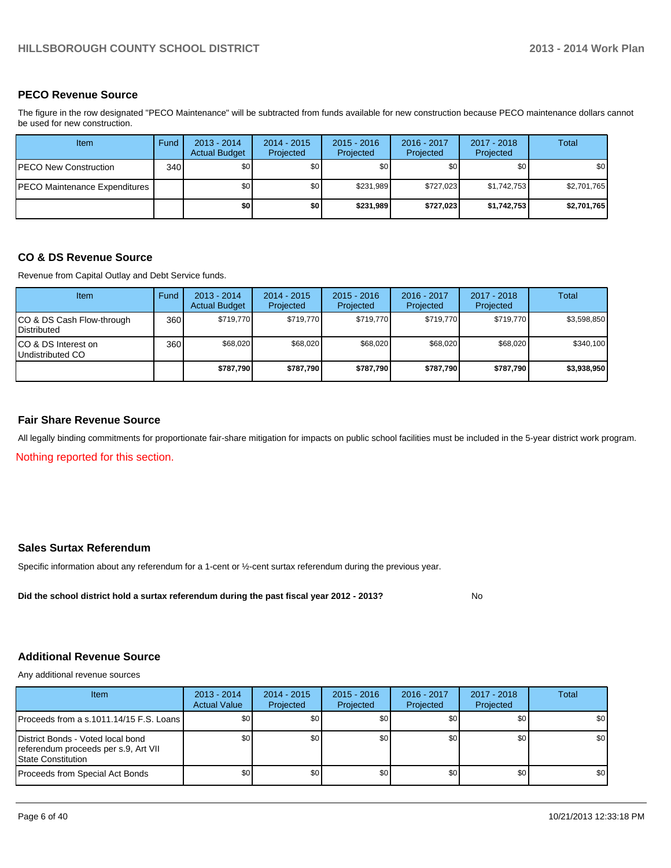#### **PECO Revenue Source**

The figure in the row designated "PECO Maintenance" will be subtracted from funds available for new construction because PECO maintenance dollars cannot be used for new construction.

| <b>Item</b>                   | Fund | $2013 - 2014$<br><b>Actual Budget</b> | 2014 - 2015<br>Projected | $2015 - 2016$<br>Projected | 2016 - 2017<br>Projected | 2017 - 2018<br>Projected | Total            |
|-------------------------------|------|---------------------------------------|--------------------------|----------------------------|--------------------------|--------------------------|------------------|
| PECO New Construction         | 340  | \$0 <sub>0</sub>                      | \$0 <sub>1</sub>         | \$0                        | \$0 <sub>0</sub>         | \$0                      | \$0 <sub>1</sub> |
| PECO Maintenance Expenditures |      | \$0                                   | \$0 <sub>1</sub>         | \$231.989                  | \$727.023                | \$1,742,753              | \$2,701,765      |
|                               |      | \$0                                   | \$0                      | \$231.989                  | \$727,023                | \$1,742,753              | \$2,701,765      |

#### **CO & DS Revenue Source**

Revenue from Capital Outlay and Debt Service funds.

| <b>Item</b>                                     | Fund | $2013 - 2014$<br><b>Actual Budget</b> | $2014 - 2015$<br>Projected | $2015 - 2016$<br>Projected | $2016 - 2017$<br>Projected | $2017 - 2018$<br>Projected | Total       |
|-------------------------------------------------|------|---------------------------------------|----------------------------|----------------------------|----------------------------|----------------------------|-------------|
| CO & DS Cash Flow-through<br><b>Distributed</b> | 360  | \$719.770                             | \$719.770                  | \$719.770                  | \$719.770                  | \$719.770                  | \$3,598,850 |
| CO & DS Interest on<br>Undistributed CO         | 360  | \$68,020                              | \$68,020                   | \$68,020                   | \$68,020                   | \$68,020                   | \$340,100   |
|                                                 |      | \$787,790                             | \$787,790                  | \$787,790                  | \$787.790                  | \$787,790                  | \$3,938,950 |

#### **Fair Share Revenue Source**

All legally binding commitments for proportionate fair-share mitigation for impacts on public school facilities must be included in the 5-year district work program.

Nothing reported for this section.

#### **Sales Surtax Referendum**

Specific information about any referendum for a 1-cent or ½-cent surtax referendum during the previous year.

**Did the school district hold a surtax referendum during the past fiscal year 2012 - 2013?**

No

#### **Additional Revenue Source**

Any additional revenue sources

| <b>Item</b>                                                                                             | $2013 - 2014$<br><b>Actual Value</b> | $2014 - 2015$<br>Projected | $2015 - 2016$<br>Projected | 2016 - 2017<br>Projected | $2017 - 2018$<br>Projected | Total            |
|---------------------------------------------------------------------------------------------------------|--------------------------------------|----------------------------|----------------------------|--------------------------|----------------------------|------------------|
| <b>IProceeds from a s.1011.14/15 F.S. Loans</b>                                                         | \$0 <sub>0</sub>                     | \$0 I                      | \$0                        | \$0                      | \$0                        | \$0              |
| District Bonds - Voted local bond<br>referendum proceeds per s.9, Art VII<br><b>IState Constitution</b> | \$0                                  | \$0 I                      | \$0                        | \$0 I                    | \$0                        | \$0              |
| Proceeds from Special Act Bonds                                                                         | \$0                                  | \$0 I                      | \$0                        | \$0 <sub>1</sub>         | \$0                        | \$0 <sub>1</sub> |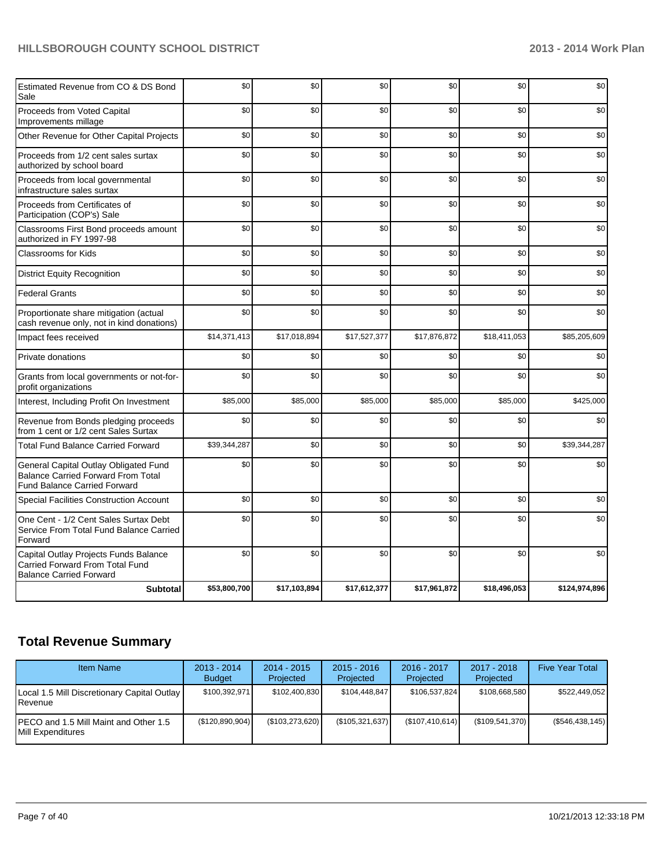| Estimated Revenue from CO & DS Bond<br>Sale                                                                               | \$0          | \$0          | \$0          | \$0          | \$0          | \$0           |
|---------------------------------------------------------------------------------------------------------------------------|--------------|--------------|--------------|--------------|--------------|---------------|
| Proceeds from Voted Capital<br>Improvements millage                                                                       | \$0          | \$0          | \$0          | \$0          | \$0          | \$0           |
| Other Revenue for Other Capital Projects                                                                                  | \$0          | \$0          | \$0          | \$0          | \$0          | \$0           |
| Proceeds from 1/2 cent sales surtax<br>authorized by school board                                                         | \$0          | \$0          | \$0          | \$0          | \$0          | \$0           |
| Proceeds from local governmental<br>infrastructure sales surtax                                                           | \$0          | \$0          | \$0          | \$0          | \$0          | \$0           |
| Proceeds from Certificates of<br>Participation (COP's) Sale                                                               | \$0          | \$0          | \$0          | \$0          | \$0          | \$0           |
| Classrooms First Bond proceeds amount<br>authorized in FY 1997-98                                                         | \$0          | \$0          | \$0          | \$0          | \$0          | \$0           |
| <b>Classrooms for Kids</b>                                                                                                | \$0          | \$0          | \$0          | \$0          | \$0          | \$0           |
| <b>District Equity Recognition</b>                                                                                        | \$0          | \$0          | \$0          | \$0          | \$0          | \$0           |
| <b>Federal Grants</b>                                                                                                     | \$0          | \$0          | \$0          | \$0          | \$0          | \$0           |
| Proportionate share mitigation (actual<br>cash revenue only, not in kind donations)                                       | \$0          | \$0          | \$0          | \$0          | \$0          | \$0           |
| Impact fees received                                                                                                      | \$14,371,413 | \$17,018,894 | \$17,527,377 | \$17,876,872 | \$18,411,053 | \$85,205,609  |
| Private donations                                                                                                         | \$0          | \$0          | \$0          | \$0          | \$0          | \$0           |
| Grants from local governments or not-for-<br>profit organizations                                                         | \$0          | \$0          | \$0          | \$0          | \$0          | \$0           |
| Interest, Including Profit On Investment                                                                                  | \$85,000     | \$85,000     | \$85,000     | \$85,000     | \$85,000     | \$425,000     |
| Revenue from Bonds pledging proceeds<br>from 1 cent or 1/2 cent Sales Surtax                                              | \$0          | \$0          | \$0          | \$0          | \$0          | \$0           |
| <b>Total Fund Balance Carried Forward</b>                                                                                 | \$39,344,287 | \$0          | \$0          | \$0          | \$0          | \$39,344,287  |
| General Capital Outlay Obligated Fund<br><b>Balance Carried Forward From Total</b><br><b>Fund Balance Carried Forward</b> | \$0          | \$0          | \$0          | \$0          | \$0          | \$0           |
| <b>Special Facilities Construction Account</b>                                                                            | \$0          | \$0          | \$0          | \$0          | \$0          | \$0           |
| One Cent - 1/2 Cent Sales Surtax Debt<br>Service From Total Fund Balance Carried<br>Forward                               | \$0          | \$0          | \$0          | \$0          | \$0          | \$0           |
| Capital Outlay Projects Funds Balance<br>Carried Forward From Total Fund<br><b>Balance Carried Forward</b>                | \$0          | \$0          | \$0          | \$0          | \$0          | \$0           |
| <b>Subtotal</b>                                                                                                           | \$53,800,700 | \$17,103,894 | \$17,612,377 | \$17,961,872 | \$18,496,053 | \$124,974,896 |

## **Total Revenue Summary**

| <b>Item Name</b>                                                | $2013 - 2014$<br><b>Budget</b> | $2014 - 2015$<br>Projected | $2015 - 2016$<br>Projected | $2016 - 2017$<br>Projected | $2017 - 2018$<br>Projected | <b>Five Year Total</b> |
|-----------------------------------------------------------------|--------------------------------|----------------------------|----------------------------|----------------------------|----------------------------|------------------------|
| Local 1.5 Mill Discretionary Capital Outlay<br><b>I</b> Revenue | \$100,392,971                  | \$102.400.830              | \$104.448.847              | \$106,537,824              | \$108.668.580              | \$522.449.052          |
| IPECO and 1.5 Mill Maint and Other 1.5<br>Mill Expenditures     | (\$120,890,904)                | (\$103, 273, 620)          | (\$105,321,637)            | (\$107,410,614)            | (\$109,541,370)            | $(\$546,438,145)$      |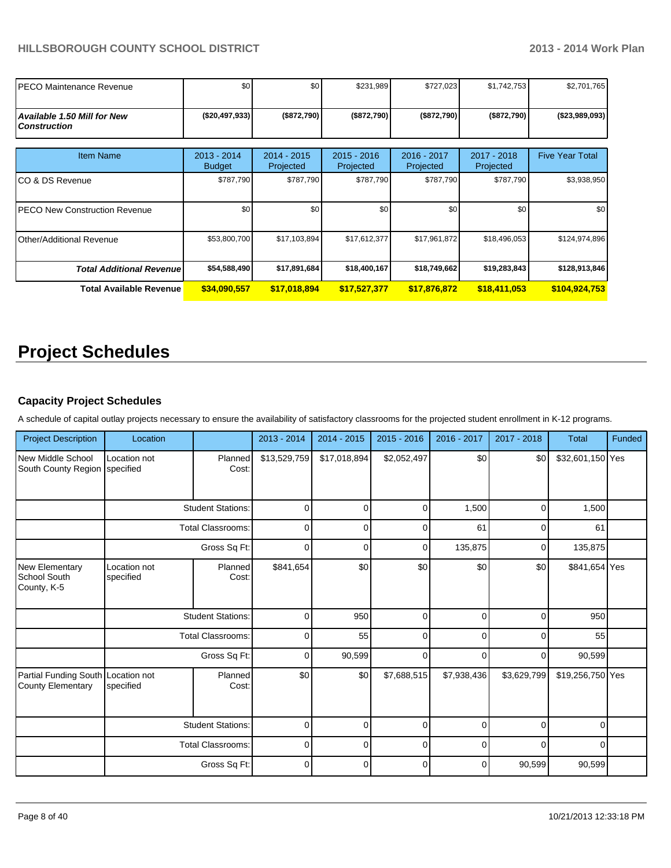| IPECO Maintenance Revenue                                 | \$0                            | \$0                        | \$231,989                  | \$727,023                | \$1,742,753              | \$2,701,765            |
|-----------------------------------------------------------|--------------------------------|----------------------------|----------------------------|--------------------------|--------------------------|------------------------|
| <b>Available 1.50 Mill for New</b><br><b>Construction</b> | ( \$20,497,933]                | (\$872,790)                | (\$872,790)                | (\$872,790)              | (\$872,790)              | ( \$23,989,093)        |
| <b>Item Name</b>                                          | $2013 - 2014$<br><b>Budget</b> | $2014 - 2015$<br>Projected | $2015 - 2016$<br>Projected | 2016 - 2017<br>Projected | 2017 - 2018<br>Projected | <b>Five Year Total</b> |
| ICO & DS Revenue                                          | \$787,790                      | \$787,790                  | \$787,790                  | \$787,790                | \$787,790                | \$3,938,950            |
| <b>IPECO New Construction Revenue</b>                     | \$0                            | \$0                        | \$0                        | \$0                      | \$0                      | \$0                    |
| Other/Additional Revenue                                  | \$53,800,700                   | \$17,103,894               | \$17,612,377               | \$17,961,872             | \$18,496,053             | \$124,974,896          |
| <b>Total Additional Revenuel</b>                          | \$54,588,490                   | \$17,891,684               | \$18,400,167               | \$18,749,662             | \$19,283,843             | \$128,913,846          |
| Total Available Revenue                                   | \$34,090,557                   | \$17,018,894               | \$17,527,377               | \$17,876,872             | \$18,411,053             | \$104,924,753          |

# **Project Schedules**

#### **Capacity Project Schedules**

A schedule of capital outlay projects necessary to ensure the availability of satisfactory classrooms for the projected student enrollment in K-12 programs.

| <b>Project Description</b>                                     | Location                  |                          | $2013 - 2014$ | 2014 - 2015  | $2015 - 2016$ | 2016 - 2017 | 2017 - 2018 | <b>Total</b>     | Funded |
|----------------------------------------------------------------|---------------------------|--------------------------|---------------|--------------|---------------|-------------|-------------|------------------|--------|
| New Middle School<br>South County Region specified             | Location not              | Planned<br>Cost:         | \$13,529,759  | \$17,018,894 | \$2,052,497   | \$0         | \$0         | \$32,601,150 Yes |        |
|                                                                | <b>Student Stations:</b>  |                          | $\Omega$      | $\Omega$     | $\Omega$      | 1,500       | $\Omega$    | 1,500            |        |
|                                                                | <b>Total Classrooms:</b>  |                          | $\mathbf 0$   | 0            | $\Omega$      | 61          | 0           | 61               |        |
|                                                                | Gross Sq Ft:              |                          | $\mathbf 0$   | 0            | 0             | 135,875     | 0           | 135,875          |        |
| <b>New Elementary</b><br><b>School South</b><br>County, K-5    | Location not<br>specified | Planned<br>Cost:         | \$841,654     | \$0          | \$0           | \$0         | \$0         | \$841,654 Yes    |        |
|                                                                |                           | <b>Student Stations:</b> | $\mathbf 0$   | 950          | $\mathbf 0$   | $\Omega$    | 0           | 950              |        |
|                                                                |                           | <b>Total Classrooms:</b> | $\mathbf 0$   | 55           | $\Omega$      | $\Omega$    | $\Omega$    | 55               |        |
|                                                                |                           | Gross Sq Ft:             | $\mathbf 0$   | 90,599       | $\Omega$      | 0           | $\Omega$    | 90,599           |        |
| Partial Funding South Location not<br><b>County Elementary</b> | specified                 | Planned<br>Cost:         | \$0           | \$0          | \$7,688,515   | \$7,938,436 | \$3,629,799 | \$19,256,750 Yes |        |
|                                                                |                           | <b>Student Stations:</b> | 0             | $\Omega$     | $\mathbf 0$   | $\Omega$    | $\Omega$    | $\Omega$         |        |
|                                                                | <b>Total Classrooms:</b>  |                          | $\mathbf 0$   | $\Omega$     | $\mathbf 0$   | $\Omega$    | $\Omega$    | 0                |        |
|                                                                |                           | Gross Sq Ft:             | $\mathbf 0$   | $\Omega$     | $\mathbf 0$   | $\Omega$    | 90,599      | 90,599           |        |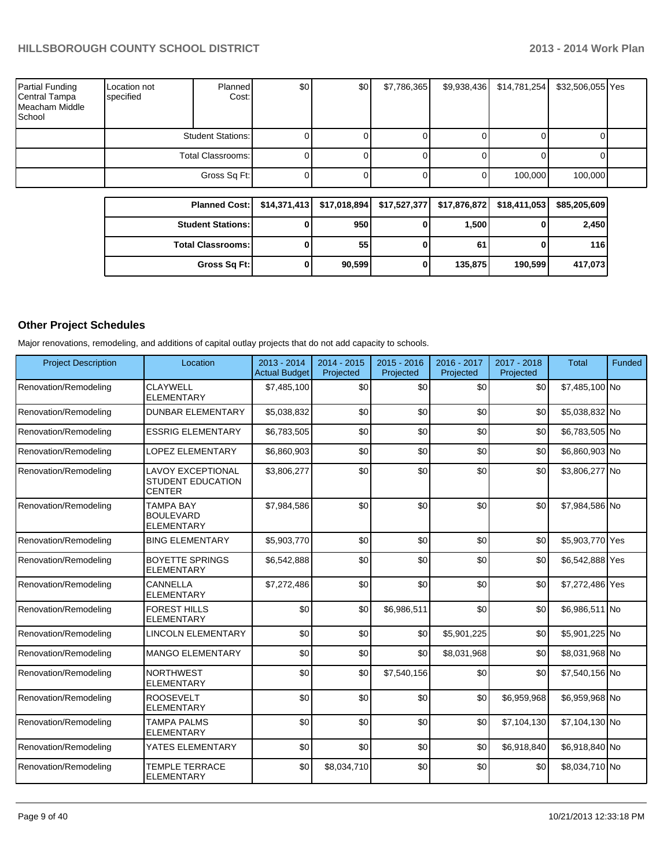| Partial Funding<br>Central Tampa<br>Meacham Middle<br>School | Location not<br>specified | Planned<br>Cost:    | \$0 | \$0 | \$7,786,365 | \$9,938,436 | \$14,781,254 | \$32,506,055 Yes |  |
|--------------------------------------------------------------|---------------------------|---------------------|-----|-----|-------------|-------------|--------------|------------------|--|
|                                                              |                           | Student Stations: I |     |     |             |             |              |                  |  |
|                                                              | Total Classrooms: I       |                     |     |     |             |             |              |                  |  |
|                                                              |                           | Gross Sq Ft:        | υι  |     |             |             | 100,000      | 100,000          |  |

| Planned Cost:   \$14,371,413   \$17,018,894   \$17,527,377   \$17,876,872   \$18,411,053 |        |         |         | \$85,205,609 |
|------------------------------------------------------------------------------------------|--------|---------|---------|--------------|
| <b>Student Stations:</b>                                                                 | 950 l  | 1,500   |         | 2,450        |
| <b>Total Classrooms: I</b>                                                               | 55     | 61      |         | 116          |
| Gross Sq Ft:                                                                             | 90,599 | 135,875 | 190.599 | 417,073      |

#### **Other Project Schedules**

Major renovations, remodeling, and additions of capital outlay projects that do not add capacity to schools.

| <b>Project Description</b> | Location                                                              | 2013 - 2014<br><b>Actual Budget</b> | 2014 - 2015<br>Projected | 2015 - 2016<br>Projected | 2016 - 2017<br>Projected | 2017 - 2018<br>Projected | <b>Total</b>    | <b>Funded</b> |
|----------------------------|-----------------------------------------------------------------------|-------------------------------------|--------------------------|--------------------------|--------------------------|--------------------------|-----------------|---------------|
| Renovation/Remodeling      | <b>CLAYWELL</b><br><b>ELEMENTARY</b>                                  | \$7,485,100                         | \$0                      | \$0                      | \$0                      | \$0                      | \$7,485,100 No  |               |
| Renovation/Remodeling      | <b>DUNBAR ELEMENTARY</b>                                              | \$5,038,832                         | \$0                      | \$0                      | \$0                      | \$0                      | \$5,038,832 No  |               |
| Renovation/Remodeling      | <b>ESSRIG ELEMENTARY</b>                                              | \$6,783,505                         | \$0                      | \$0                      | \$0                      | \$0                      | \$6,783,505 No  |               |
| Renovation/Remodeling      | <b>LOPEZ ELEMENTARY</b>                                               | \$6,860,903                         | \$0                      | \$0                      | \$0                      | \$0                      | \$6,860,903 No  |               |
| Renovation/Remodeling      | <b>LAVOY EXCEPTIONAL</b><br><b>STUDENT EDUCATION</b><br><b>CENTER</b> | \$3,806,277                         | \$0                      | \$0                      | \$0                      | \$0                      | \$3,806,277 No  |               |
| Renovation/Remodeling      | <b>TAMPA BAY</b><br><b>BOULEVARD</b><br><b>ELEMENTARY</b>             | \$7,984,586                         | \$0                      | \$0                      | \$0                      | \$0                      | \$7,984,586 No  |               |
| Renovation/Remodeling      | <b>BING ELEMENTARY</b>                                                | \$5,903,770                         | \$0                      | \$0                      | \$0                      | \$0                      | \$5,903,770 Yes |               |
| Renovation/Remodeling      | <b>BOYETTE SPRINGS</b><br><b>ELEMENTARY</b>                           | \$6,542,888                         | \$0                      | \$0                      | \$0                      | \$0                      | \$6,542,888 Yes |               |
| Renovation/Remodeling      | CANNELLA<br><b>ELEMENTARY</b>                                         | \$7,272,486                         | \$0                      | \$0                      | \$0                      | \$0                      | \$7,272,486 Yes |               |
| Renovation/Remodeling      | <b>FOREST HILLS</b><br><b>ELEMENTARY</b>                              | \$0                                 | \$0                      | \$6,986,511              | \$0                      | \$0                      | \$6,986,511 No  |               |
| Renovation/Remodeling      | <b>LINCOLN ELEMENTARY</b>                                             | \$0                                 | \$0                      | \$0                      | \$5,901,225              | \$0                      | \$5,901,225 No  |               |
| Renovation/Remodeling      | <b>MANGO ELEMENTARY</b>                                               | \$0                                 | \$0                      | \$0                      | \$8,031,968              | \$0                      | \$8,031,968 No  |               |
| Renovation/Remodeling      | <b>NORTHWEST</b><br><b>ELEMENTARY</b>                                 | \$0                                 | \$0                      | \$7,540,156              | \$0                      | \$0                      | \$7,540,156 No  |               |
| Renovation/Remodeling      | <b>ROOSEVELT</b><br><b>ELEMENTARY</b>                                 | \$0                                 | \$0                      | \$0                      | \$0                      | \$6,959,968              | \$6,959,968 No  |               |
| Renovation/Remodeling      | <b>TAMPA PALMS</b><br><b>ELEMENTARY</b>                               | \$0                                 | \$0                      | \$0                      | \$0                      | \$7,104,130              | \$7,104,130 No  |               |
| Renovation/Remodeling      | YATES ELEMENTARY                                                      | \$0                                 | \$0                      | \$0                      | \$0                      | \$6,918,840              | \$6,918,840 No  |               |
| Renovation/Remodeling      | <b>TEMPLE TERRACE</b><br><b>ELEMENTARY</b>                            | \$0                                 | \$8,034,710              | \$0                      | \$0                      | \$0                      | \$8,034,710 No  |               |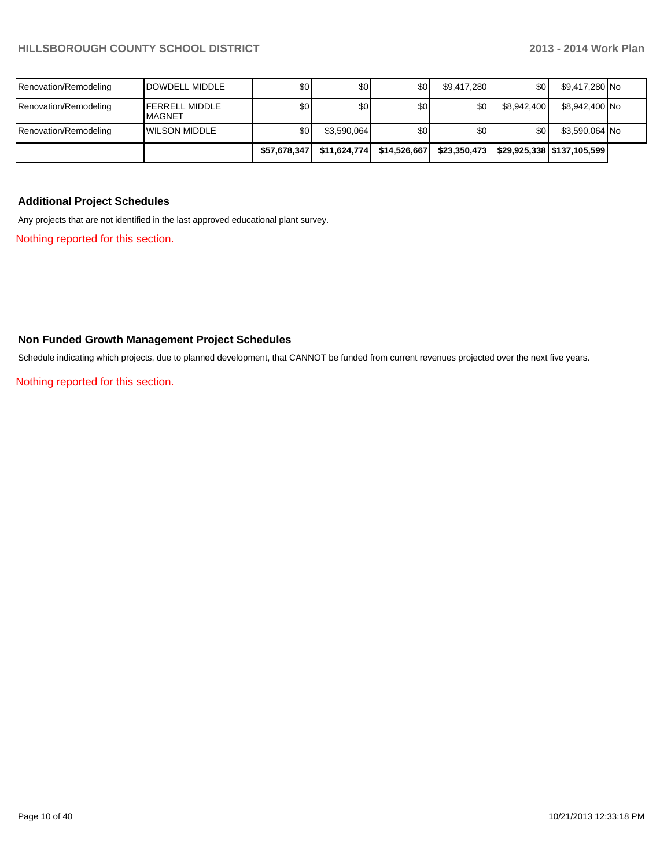|                       |                                        | \$57,678,347     | \$11,624,774 | \$14,526,667 | \$23,350,473     |             | \$29,925,338   \$137,105,599 |  |
|-----------------------|----------------------------------------|------------------|--------------|--------------|------------------|-------------|------------------------------|--|
| Renovation/Remodeling | <b>IWILSON MIDDLE</b>                  | \$0 I            | \$3,590,064  | 30           | \$0              | \$0         | \$3,590,064 No               |  |
| Renovation/Remodeling | <b>FERRELL MIDDLE</b><br><b>MAGNET</b> | \$0 <sub>1</sub> | \$٥Ι         | \$0          | \$0 <sub>1</sub> | \$8,942,400 | \$8,942,400 No               |  |
| Renovation/Remodeling | <b>IDOWDELL MIDDLE</b>                 | \$0              | \$0l         | 30           | \$9,417,280      | \$0         | \$9,417,280 No               |  |

#### **Additional Project Schedules**

Any projects that are not identified in the last approved educational plant survey.

Nothing reported for this section.

#### **Non Funded Growth Management Project Schedules**

Schedule indicating which projects, due to planned development, that CANNOT be funded from current revenues projected over the next five years.

Nothing reported for this section.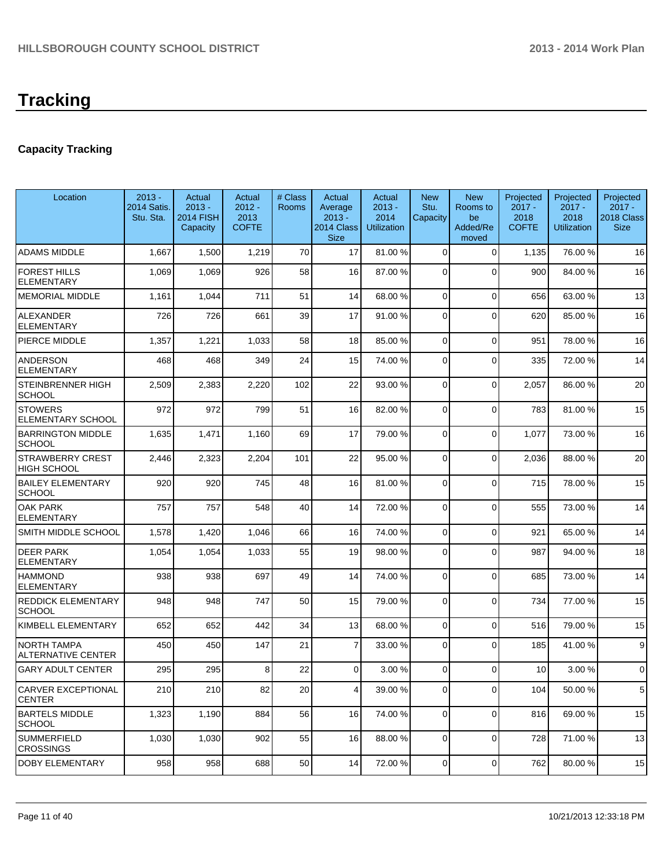## **Capacity Tracking**

| Location                                   | $2013 -$<br>2014 Satis.<br>Stu. Sta. | Actual<br>$2013 -$<br>2014 FISH<br>Capacity | Actual<br>$2012 -$<br>2013<br><b>COFTE</b> | # Class<br>Rooms | Actual<br>Average<br>$2013 -$<br>2014 Class<br><b>Size</b> | Actual<br>$2013 -$<br>2014<br>Utilization | <b>New</b><br>Stu.<br>Capacity | <b>New</b><br>Rooms to<br>be<br>Added/Re<br>moved | Projected<br>$2017 -$<br>2018<br><b>COFTE</b> | Projected<br>$2017 -$<br>2018<br><b>Utilization</b> | Projected<br>$2017 -$<br>2018 Class<br><b>Size</b> |
|--------------------------------------------|--------------------------------------|---------------------------------------------|--------------------------------------------|------------------|------------------------------------------------------------|-------------------------------------------|--------------------------------|---------------------------------------------------|-----------------------------------------------|-----------------------------------------------------|----------------------------------------------------|
| <b>ADAMS MIDDLE</b>                        | 1,667                                | 1,500                                       | 1,219                                      | 70               | 17                                                         | 81.00 %                                   | 0                              | $\Omega$                                          | 1,135                                         | 76.00 %                                             | 16                                                 |
| <b>FOREST HILLS</b><br><b>ELEMENTARY</b>   | 1,069                                | 1,069                                       | 926                                        | 58               | 16                                                         | 87.00 %                                   | $\Omega$                       | $\Omega$                                          | 900                                           | 84.00%                                              | 16                                                 |
| <b>MEMORIAL MIDDLE</b>                     | 1,161                                | 1,044                                       | 711                                        | 51               | 14                                                         | 68.00 %                                   | 0                              | $\Omega$                                          | 656                                           | 63.00 %                                             | 13                                                 |
| <b>ALEXANDER</b><br><b>ELEMENTARY</b>      | 726                                  | 726                                         | 661                                        | 39               | 17                                                         | 91.00 %                                   | 0                              | $\Omega$                                          | 620                                           | 85.00 %                                             | 16                                                 |
| PIERCE MIDDLE                              | 1,357                                | 1,221                                       | 1,033                                      | 58               | 18                                                         | 85.00 %                                   | 0                              | $\Omega$                                          | 951                                           | 78.00%                                              | 16                                                 |
| <b>ANDERSON</b><br><b>ELEMENTARY</b>       | 468                                  | 468                                         | 349                                        | 24               | 15                                                         | 74.00 %                                   | 0                              | $\Omega$                                          | 335                                           | 72.00%                                              | 14                                                 |
| STEINBRENNER HIGH<br>SCHOOL                | 2,509                                | 2,383                                       | 2,220                                      | 102              | 22                                                         | 93.00 %                                   | 0                              | $\Omega$                                          | 2,057                                         | 86.00 %                                             | 20                                                 |
| <b>STOWERS</b><br><b>ELEMENTARY SCHOOL</b> | 972                                  | 972                                         | 799                                        | 51               | 16                                                         | 82.00 %                                   | 0                              | $\Omega$                                          | 783                                           | 81.00%                                              | 15                                                 |
| <b>BARRINGTON MIDDLE</b><br><b>SCHOOL</b>  | 1,635                                | 1,471                                       | 1,160                                      | 69               | 17                                                         | 79.00 %                                   | 0                              | $\Omega$                                          | 1,077                                         | 73.00 %                                             | 16                                                 |
| STRAWBERRY CREST<br>HIGH SCHOOL            | 2,446                                | 2,323                                       | 2,204                                      | 101              | 22                                                         | 95.00 %                                   | 0                              | $\Omega$                                          | 2,036                                         | 88.00 %                                             | 20                                                 |
| <b>BAILEY ELEMENTARY</b><br><b>SCHOOL</b>  | 920                                  | 920                                         | 745                                        | 48               | 16                                                         | 81.00 %                                   | 0                              | $\Omega$                                          | 715                                           | 78.00 %                                             | 15                                                 |
| <b>OAK PARK</b><br><b>ELEMENTARY</b>       | 757                                  | 757                                         | 548                                        | 40               | 14                                                         | 72.00 %                                   | 0                              | $\Omega$                                          | 555                                           | 73.00 %                                             | 14                                                 |
| SMITH MIDDLE SCHOOL                        | 1,578                                | 1,420                                       | 1,046                                      | 66               | 16                                                         | 74.00 %                                   | $\Omega$                       | $\Omega$                                          | 921                                           | 65.00 %                                             | 14                                                 |
| <b>DEER PARK</b><br>ELEMENTARY             | 1,054                                | 1,054                                       | 1,033                                      | 55               | 19                                                         | 98.00 %                                   | 0                              | $\Omega$                                          | 987                                           | 94.00%                                              | 18                                                 |
| <b>HAMMOND</b><br><b>ELEMENTARY</b>        | 938                                  | 938                                         | 697                                        | 49               | 14                                                         | 74.00 %                                   | 0                              | $\Omega$                                          | 685                                           | 73.00 %                                             | 14                                                 |
| <b>REDDICK ELEMENTARY</b><br><b>SCHOOL</b> | 948                                  | 948                                         | 747                                        | 50               | 15                                                         | 79.00 %                                   | $\Omega$                       | $\Omega$                                          | 734                                           | 77.00 %                                             | 15                                                 |
| KIMBELL ELEMENTARY                         | 652                                  | 652                                         | 442                                        | 34               | 13                                                         | 68.00 %                                   | $\mathbf 0$                    | $\Omega$                                          | 516                                           | 79.00 %                                             | 15                                                 |
| NORTH TAMPA<br>ALTERNATIVE CENTER          | 450                                  | 450                                         | 147                                        | 21               | $\overline{7}$                                             | 33.00 %                                   | 0                              | $\Omega$                                          | 185                                           | 41.00%                                              | 9                                                  |
| <b>GARY ADULT CENTER</b>                   | 295                                  | 295                                         | 8 <sup>1</sup>                             | 22               | $\Omega$                                                   | 3.00 %                                    | 0                              | $\Omega$                                          | 10                                            | 3.00%                                               | $\mathbf 0$                                        |
| <b>CARVER EXCEPTIONAL</b><br><b>CENTER</b> | 210                                  | 210                                         | 82                                         | 20               | $\vert 4 \vert$                                            | 39.00 %                                   | 0                              | $\overline{0}$                                    | 104                                           | 50.00 %                                             | 5                                                  |
| <b>BARTELS MIDDLE</b><br><b>SCHOOL</b>     | 1,323                                | 1,190                                       | 884                                        | 56               | 16                                                         | 74.00 %                                   | 0                              | $\mathbf 0$                                       | 816                                           | 69.00 %                                             | 15                                                 |
| <b>SUMMERFIELD</b><br><b>CROSSINGS</b>     | 1,030                                | 1,030                                       | 902                                        | 55               | 16                                                         | 88.00 %                                   | 0                              | $\Omega$                                          | 728                                           | 71.00%                                              | 13                                                 |
| DOBY ELEMENTARY                            | 958                                  | 958                                         | 688                                        | 50               | 14                                                         | 72.00 %                                   | $\overline{0}$                 | $\overline{0}$                                    | 762                                           | 80.00%                                              | 15                                                 |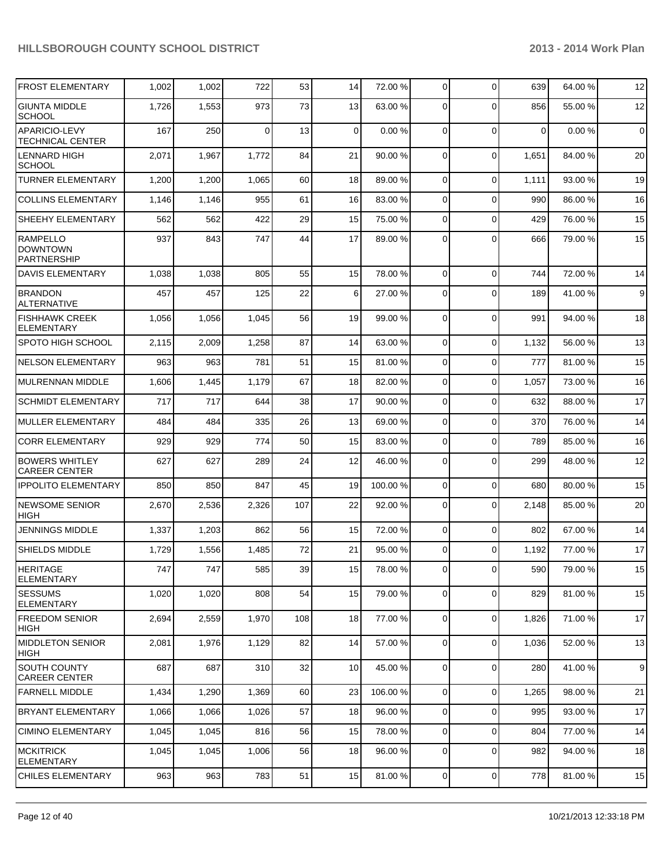| <b>FROST ELEMENTARY</b>                                  | 1,002 | 1,002 | 722   | 53  | 14 | 72.00 %  | 0              | $\Omega$       | 639   | 64.00 % | 12          |
|----------------------------------------------------------|-------|-------|-------|-----|----|----------|----------------|----------------|-------|---------|-------------|
| <b>GIUNTA MIDDLE</b><br><b>SCHOOL</b>                    | 1,726 | 1,553 | 973   | 73  | 13 | 63.00 %  | 0              | $\Omega$       | 856   | 55.00 % | 12          |
| APARICIO-LEVY<br><b>TECHNICAL CENTER</b>                 | 167   | 250   | 0     | 13  | 0  | 0.00%    | $\Omega$       | $\Omega$       | 0     | 0.00%   | $\mathbf 0$ |
| <b>LENNARD HIGH</b><br><b>SCHOOL</b>                     | 2,071 | 1,967 | 1,772 | 84  | 21 | 90.00 %  | 0              | $\Omega$       | 1,651 | 84.00%  | 20          |
| <b>TURNER ELEMENTARY</b>                                 | 1,200 | 1,200 | 1,065 | 60  | 18 | 89.00 %  | 0              | $\mathbf 0$    | 1,111 | 93.00 % | 19          |
| <b>COLLINS ELEMENTARY</b>                                | 1,146 | 1,146 | 955   | 61  | 16 | 83.00 %  | 0              | $\Omega$       | 990   | 86.00 % | 16          |
| SHEEHY ELEMENTARY                                        | 562   | 562   | 422   | 29  | 15 | 75.00 %  | 0              | $\Omega$       | 429   | 76.00%  | 15          |
| <b>RAMPELLO</b><br><b>DOWNTOWN</b><br><b>PARTNERSHIP</b> | 937   | 843   | 747   | 44  | 17 | 89.00 %  | 0              | $\Omega$       | 666   | 79.00 % | 15          |
| DAVIS ELEMENTARY                                         | 1,038 | 1,038 | 805   | 55  | 15 | 78.00 %  | 0              | $\Omega$       | 744   | 72.00 % | 14          |
| <b>BRANDON</b><br><b>ALTERNATIVE</b>                     | 457   | 457   | 125   | 22  | 6  | 27.00 %  | 0              | $\Omega$       | 189   | 41.00 % | 9           |
| <b>FISHHAWK CREEK</b><br>ELEMENTARY                      | 1,056 | 1,056 | 1,045 | 56  | 19 | 99.00 %  | 0              | $\Omega$       | 991   | 94.00 % | 18          |
| SPOTO HIGH SCHOOL                                        | 2,115 | 2,009 | 1,258 | 87  | 14 | 63.00 %  | 0              | $\Omega$       | 1,132 | 56.00 % | 13          |
| <b>NELSON ELEMENTARY</b>                                 | 963   | 963   | 781   | 51  | 15 | 81.00 %  | 0              | $\mathbf 0$    | 777   | 81.00%  | 15          |
| MULRENNAN MIDDLE                                         | 1,606 | 1,445 | 1,179 | 67  | 18 | 82.00 %  | 0              | $\Omega$       | 1,057 | 73.00 % | 16          |
| <b>SCHMIDT ELEMENTARY</b>                                | 717   | 717   | 644   | 38  | 17 | 90.00 %  | 0              | $\mathbf 0$    | 632   | 88.00 % | 17          |
| MULLER ELEMENTARY                                        | 484   | 484   | 335   | 26  | 13 | 69.00 %  | 0              | $\mathbf 0$    | 370   | 76.00 % | 14          |
| <b>CORR ELEMENTARY</b>                                   | 929   | 929   | 774   | 50  | 15 | 83.00 %  | 0              | $\Omega$       | 789   | 85.00 % | 16          |
| <b>BOWERS WHITLEY</b><br><b>CAREER CENTER</b>            | 627   | 627   | 289   | 24  | 12 | 46.00 %  | 0              | $\Omega$       | 299   | 48.00 % | 12          |
| <b>IPPOLITO ELEMENTARY</b>                               | 850   | 850   | 847   | 45  | 19 | 100.00 % | 0              | $\mathbf 0$    | 680   | 80.00 % | 15          |
| <b>NEWSOME SENIOR</b><br><b>HIGH</b>                     | 2,670 | 2,536 | 2,326 | 107 | 22 | 92.00 %  | 0              | $\Omega$       | 2,148 | 85.00 % | 20          |
| <b>JENNINGS MIDDLE</b>                                   | 1,337 | 1,203 | 862   | 56  | 15 | 72.00 %  | $\overline{0}$ | $\Omega$       | 802   | 67.00 % | 14          |
| SHIELDS MIDDLE                                           | 1,729 | 1,556 | 1,485 | 72  | 21 | 95.00 %  | 0              | $\Omega$       | 1,192 | 77.00 % | 17          |
| <b>HERITAGE</b><br><b>ELEMENTARY</b>                     | 747   | 747   | 585   | 39  | 15 | 78.00 %  |                | $\overline{0}$ | 590   | 79.00%  | 15          |
| <b>SESSUMS</b><br><b>ELEMENTARY</b>                      | 1,020 | 1,020 | 808   | 54  | 15 | 79.00 %  | 0              | $\Omega$       | 829   | 81.00%  | 15          |
| <b>FREEDOM SENIOR</b><br>HIGH                            | 2,694 | 2,559 | 1,970 | 108 | 18 | 77.00 %  | $\overline{0}$ | $\mathbf 0$    | 1,826 | 71.00%  | 17          |
| <b>MIDDLETON SENIOR</b><br>HIGH                          | 2,081 | 1,976 | 1,129 | 82  | 14 | 57.00 %  | $\overline{0}$ | $\overline{0}$ | 1,036 | 52.00 % | 13          |
| SOUTH COUNTY<br>CAREER CENTER                            | 687   | 687   | 310   | 32  | 10 | 45.00 %  | $\overline{0}$ | $\Omega$       | 280   | 41.00 % | 9           |
| <b>FARNELL MIDDLE</b>                                    | 1,434 | 1,290 | 1,369 | 60  | 23 | 106.00 % | $\overline{0}$ | $\Omega$       | 1,265 | 98.00 % | 21          |
| <b>BRYANT ELEMENTARY</b>                                 | 1,066 | 1,066 | 1,026 | 57  | 18 | 96.00 %  | 0              | $\mathbf 0$    | 995   | 93.00 % | 17          |
| <b>CIMINO ELEMENTARY</b>                                 | 1,045 | 1,045 | 816   | 56  | 15 | 78.00 %  | 0              | $\Omega$       | 804   | 77.00 % | 14          |
| <b>MCKITRICK</b><br><b>ELEMENTARY</b>                    | 1,045 | 1,045 | 1,006 | 56  | 18 | 96.00 %  | 0              | $\mathbf 0$    | 982   | 94.00%  | 18          |
| CHILES ELEMENTARY                                        | 963   | 963   | 783   | 51  | 15 | 81.00 %  | $\overline{0}$ | $\overline{0}$ | 778   | 81.00%  | 15          |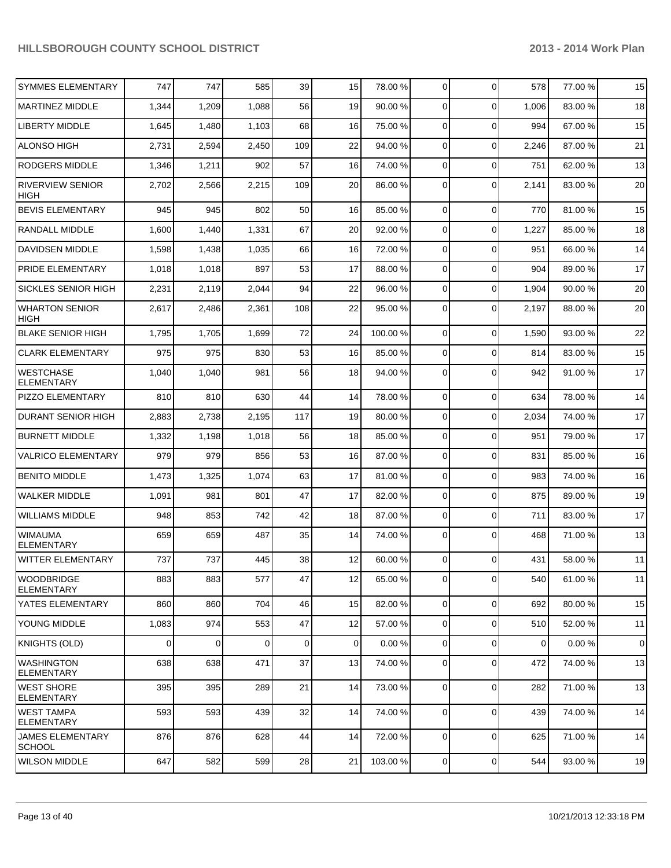| <b>SYMMES ELEMENTARY</b>               | 747      | 747            | 585         | 39  | 15          | 78.00 %  | $\overline{0}$ | $\Omega$       | 578   | 77.00 % | 15          |
|----------------------------------------|----------|----------------|-------------|-----|-------------|----------|----------------|----------------|-------|---------|-------------|
| MARTINEZ MIDDLE                        | 1,344    | 1,209          | 1,088       | 56  | 19          | 90.00 %  | $\overline{0}$ | $\Omega$       | 1,006 | 83.00 % | 18          |
| <b>LIBERTY MIDDLE</b>                  | 1,645    | 1,480          | 1,103       | 68  | 16          | 75.00 %  | $\overline{0}$ | $\Omega$       | 994   | 67.00 % | 15          |
| <b>ALONSO HIGH</b>                     | 2,731    | 2,594          | 2,450       | 109 | 22          | 94.00 %  | $\overline{0}$ | $\Omega$       | 2,246 | 87.00 % | 21          |
| <b>RODGERS MIDDLE</b>                  | 1,346    | 1,211          | 902         | 57  | 16          | 74.00 %  | $\overline{0}$ | $\Omega$       | 751   | 62.00 % | 13          |
| <b>RIVERVIEW SENIOR</b><br><b>HIGH</b> | 2,702    | 2,566          | 2,215       | 109 | 20          | 86.00 %  | $\mathbf 0$    | $\Omega$       | 2,141 | 83.00 % | 20          |
| <b>BEVIS ELEMENTARY</b>                | 945      | 945            | 802         | 50  | 16          | 85.00 %  | $\overline{0}$ | $\overline{0}$ | 770   | 81.00%  | 15          |
| <b>RANDALL MIDDLE</b>                  | 1,600    | 1,440          | 1,331       | 67  | 20          | 92.00 %  | $\overline{0}$ | $\overline{0}$ | 1,227 | 85.00 % | 18          |
| <b>DAVIDSEN MIDDLE</b>                 | 1,598    | 1,438          | 1,035       | 66  | 16          | 72.00 %  | $\overline{0}$ | $\Omega$       | 951   | 66.00 % | 14          |
| PRIDE ELEMENTARY                       | 1,018    | 1,018          | 897         | 53  | 17          | 88.00 %  | $\overline{0}$ | $\overline{0}$ | 904   | 89.00 % | 17          |
| <b>SICKLES SENIOR HIGH</b>             | 2,231    | 2,119          | 2,044       | 94  | 22          | 96.00 %  | $\overline{0}$ | $\overline{0}$ | 1,904 | 90.00 % | 20          |
| <b>WHARTON SENIOR</b><br><b>HIGH</b>   | 2,617    | 2,486          | 2,361       | 108 | 22          | 95.00 %  | $\Omega$       | $\Omega$       | 2,197 | 88.00 % | 20          |
| <b>BLAKE SENIOR HIGH</b>               | 1,795    | 1,705          | 1,699       | 72  | 24          | 100.00%  | $\mathbf 0$    | $\Omega$       | 1,590 | 93.00 % | 22          |
| <b>CLARK ELEMENTARY</b>                | 975      | 975            | 830         | 53  | 16          | 85.00 %  | $\mathbf 0$    | $\Omega$       | 814   | 83.00 % | 15          |
| <b>WESTCHASE</b><br><b>ELEMENTARY</b>  | 1,040    | 1,040          | 981         | 56  | 18          | 94.00 %  | $\mathbf 0$    | $\Omega$       | 942   | 91.00%  | 17          |
| PIZZO ELEMENTARY                       | 810      | 810            | 630         | 44  | 14          | 78.00 %  | $\Omega$       | $\Omega$       | 634   | 78.00%  | 14          |
| <b>DURANT SENIOR HIGH</b>              | 2,883    | 2,738          | 2,195       | 117 | 19          | 80.00 %  | $\mathbf 0$    | $\Omega$       | 2,034 | 74.00%  | 17          |
| <b>BURNETT MIDDLE</b>                  | 1,332    | 1,198          | 1,018       | 56  | 18          | 85.00 %  | $\Omega$       | $\Omega$       | 951   | 79.00 % | 17          |
| <b>VALRICO ELEMENTARY</b>              | 979      | 979            | 856         | 53  | 16          | 87.00 %  | $\mathbf 0$    | $\Omega$       | 831   | 85.00 % | 16          |
| <b>BENITO MIDDLE</b>                   | 1,473    | 1,325          | 1,074       | 63  | 17          | 81.00 %  | $\Omega$       | $\Omega$       | 983   | 74.00%  | 16          |
| <b>WALKER MIDDLE</b>                   | 1,091    | 981            | 801         | 47  | 17          | 82.00 %  | $\mathbf 0$    | $\Omega$       | 875   | 89.00%  | 19          |
| <b>WILLIAMS MIDDLE</b>                 | 948      | 853            | 742         | 42  | 18          | 87.00 %  | $\Omega$       | $\Omega$       | 711   | 83.00 % | 17          |
| <b>WIMAUMA</b><br><b>ELEMENTARY</b>    | 659      | 659            | 487         | 35  | 14          | 74.00 %  | $\Omega$       | $\Omega$       | 468   | 71.00%  | 13          |
| <b>WITTER ELEMENTARY</b>               | 737      | 737            | 445         | 38  | 12          | 60.00 %  | $\Omega$       | $\Omega$       | 431   | 58.00 % | 11          |
| WOODBRIDGE<br><b>ELEMENTARY</b>        | 883      | 883            | 577         | 47  | 12          | 65.00 %  | $\overline{0}$ | $\Omega$       | 540   | 61.00%  | 11          |
| YATES ELEMENTARY                       | 860      | 860            | 704         | 46  | 15          | 82.00 %  | $\overline{0}$ | $\overline{0}$ | 692   | 80.00 % | 15          |
| <b>YOUNG MIDDLE</b>                    | 1,083    | 974            | 553         | 47  | 12          | 57.00 %  | $\overline{0}$ | $\overline{0}$ | 510   | 52.00 % | 11          |
| KNIGHTS (OLD)                          | $\Omega$ | $\overline{0}$ | $\mathbf 0$ | 0   | $\mathbf 0$ | 0.00%    | $\overline{0}$ | $\overline{0}$ | 0     | 0.00%   | $\mathbf 0$ |
| <b>WASHINGTON</b><br><b>ELEMENTARY</b> | 638      | 638            | 471         | 37  | 13          | 74.00 %  | $\overline{0}$ | $\Omega$       | 472   | 74.00%  | 13          |
| <b>WEST SHORE</b><br><b>ELEMENTARY</b> | 395      | 395            | 289         | 21  | 14          | 73.00 %  | $\overline{0}$ | $\Omega$       | 282   | 71.00%  | 13          |
| <b>WEST TAMPA</b><br><b>ELEMENTARY</b> | 593      | 593            | 439         | 32  | 14          | 74.00 %  | $\overline{0}$ | $\Omega$       | 439   | 74.00 % | 14          |
| JAMES ELEMENTARY<br><b>SCHOOL</b>      | 876      | 876            | 628         | 44  | 14          | 72.00 %  | $\overline{0}$ | $\Omega$       | 625   | 71.00 % | 14          |
| <b>WILSON MIDDLE</b>                   | 647      | 582            | 599         | 28  | 21          | 103.00 % | $\overline{0}$ | $\overline{0}$ | 544   | 93.00 % | 19          |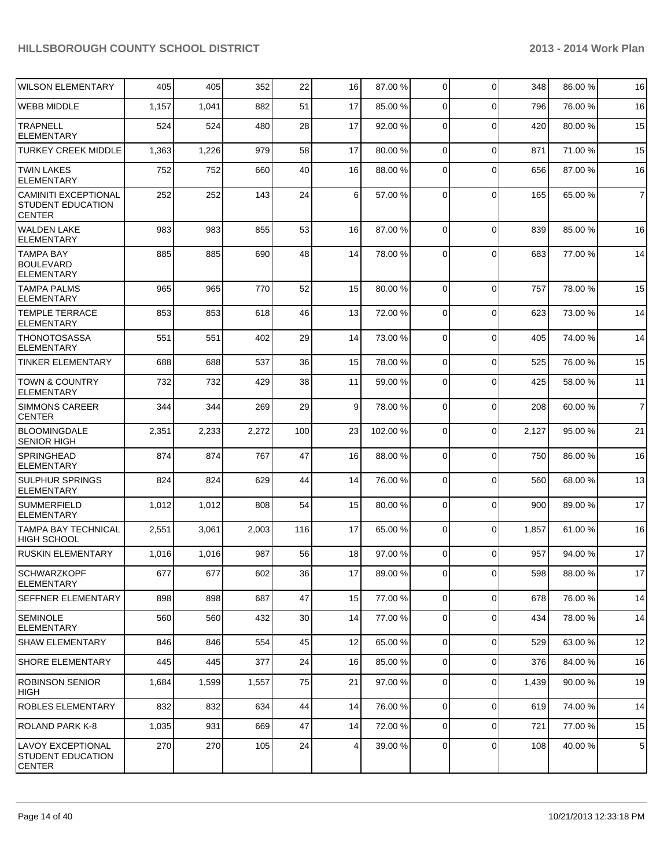| <b>WILSON ELEMENTARY</b>                                       | 405   | 405   | 352   | 22              | 16              | 87.00 % | $\overline{0}$ | $\Omega$       | 348   | 86.00 % | 16             |
|----------------------------------------------------------------|-------|-------|-------|-----------------|-----------------|---------|----------------|----------------|-------|---------|----------------|
| <b>WEBB MIDDLE</b>                                             | 1,157 | 1,041 | 882   | 51              | 17              | 85.00 % | 0              | $\Omega$       | 796   | 76.00 % | 16             |
| <b>TRAPNELL</b><br><b>ELEMENTARY</b>                           | 524   | 524   | 480   | 28              | 17              | 92.00 % | 0              | $\Omega$       | 420   | 80.00 % | 15             |
| <b>TURKEY CREEK MIDDLE</b>                                     | 1,363 | 1,226 | 979   | 58              | 17              | 80.00 % | $\overline{0}$ | $\mathbf 0$    | 871   | 71.00%  | 15             |
| <b>TWIN LAKES</b><br><b>ELEMENTARY</b>                         | 752   | 752   | 660   | 40              | 16              | 88.00 % | 0              | $\Omega$       | 656   | 87.00 % | 16             |
| CAMINITI EXCEPTIONAL<br>STUDENT EDUCATION<br><b>CENTER</b>     | 252   | 252   | 143   | 24              | 6               | 57.00 % | $\Omega$       | $\Omega$       | 165   | 65.00 % | $\overline{7}$ |
| <b>WALDEN LAKE</b><br><b>ELEMENTARY</b>                        | 983   | 983   | 855   | 53              | 16              | 87.00 % | 0              | $\Omega$       | 839   | 85.00 % | 16             |
| <b>TAMPA BAY</b><br><b>BOULEVARD</b><br><b>ELEMENTARY</b>      | 885   | 885   | 690   | 48              | 14              | 78.00 % | $\Omega$       | $\Omega$       | 683   | 77.00 % | 14             |
| <b>TAMPA PALMS</b><br><b>ELEMENTARY</b>                        | 965   | 965   | 770   | 52              | 15              | 80.00 % | 0              | $\Omega$       | 757   | 78.00 % | 15             |
| <b>TEMPLE TERRACE</b><br><b>ELEMENTARY</b>                     | 853   | 853   | 618   | 46              | 13              | 72.00 % | $\Omega$       | $\Omega$       | 623   | 73.00 % | 14             |
| <b>THONOTOSASSA</b><br><b>ELEMENTARY</b>                       | 551   | 551   | 402   | 29              | 14              | 73.00 % | 0              | $\Omega$       | 405   | 74.00%  | 14             |
| <b>TINKER ELEMENTARY</b>                                       | 688   | 688   | 537   | 36              | 15              | 78.00 % | $\overline{0}$ | $\Omega$       | 525   | 76.00%  | 15             |
| <b>TOWN &amp; COUNTRY</b><br><b>ELEMENTARY</b>                 | 732   | 732   | 429   | 38              | 11              | 59.00 % | $\Omega$       | $\Omega$       | 425   | 58.00 % | 11             |
| <b>SIMMONS CAREER</b><br><b>CENTER</b>                         | 344   | 344   | 269   | 29              | 9               | 78.00 % | $\overline{0}$ | $\Omega$       | 208   | 60.00%  | $\overline{7}$ |
| <b>BLOOMINGDALE</b><br><b>SENIOR HIGH</b>                      | 2,351 | 2,233 | 2,272 | 100             | 23              | 102.00% | $\Omega$       | $\Omega$       | 2,127 | 95.00 % | 21             |
| <b>SPRINGHEAD</b><br><b>ELEMENTARY</b>                         | 874   | 874   | 767   | 47              | 16              | 88.00 % | 0              | $\Omega$       | 750   | 86.00 % | 16             |
| <b>SULPHUR SPRINGS</b><br><b>ELEMENTARY</b>                    | 824   | 824   | 629   | 44              | 14              | 76.00 % | $\Omega$       | $\Omega$       | 560   | 68.00 % | 13             |
| <b>SUMMERFIELD</b><br><b>ELEMENTARY</b>                        | 1,012 | 1,012 | 808   | 54              | 15              | 80.00 % | $\overline{0}$ | $\Omega$       | 900   | 89.00 % | 17             |
| <b>TAMPA BAY TECHNICAL</b><br><b>HIGH SCHOOL</b>               | 2,551 | 3,061 | 2,003 | 116             | 17              | 65.00 % | 0              | $\Omega$       | 1,857 | 61.00 % | 16             |
| <b>RUSKIN ELEMENTARY</b>                                       | 1,016 | 1,016 | 987   | 56              | 18              | 97.00 % | 0              | $\Omega$       | 957   | 94.00 % | 17             |
| <b>SCHWARZKOPF</b><br><b>ELEMENTARY</b>                        | 677   | 677   | 602   | 36              | 17 <sup>1</sup> | 89.00 % | 0              | $\overline{0}$ | 598   | 88.00 % | 17             |
| <b>SEFFNER ELEMENTARY</b>                                      | 898   | 898   | 687   | 47              | 15              | 77.00 % | $\overline{0}$ | $\Omega$       | 678   | 76.00 % | 14             |
| <b>SEMINOLE</b><br><b>ELEMENTARY</b>                           | 560   | 560   | 432   | 30 <sup>2</sup> | 14              | 77.00 % | $\overline{0}$ | $\Omega$       | 434   | 78.00 % | 14             |
| <b>SHAW ELEMENTARY</b>                                         | 846   | 846   | 554   | 45              | 12              | 65.00 % | $\overline{0}$ | $\Omega$       | 529   | 63.00 % | 12             |
| <b>SHORE ELEMENTARY</b>                                        | 445   | 445   | 377   | 24              | 16              | 85.00 % | $\Omega$       | $\mathbf 0$    | 376   | 84.00%  | 16             |
| <b>ROBINSON SENIOR</b><br><b>HIGH</b>                          | 1,684 | 1,599 | 1,557 | 75              | 21              | 97.00 % | $\Omega$       | 0              | 1,439 | 90.00 % | 19             |
| ROBLES ELEMENTARY                                              | 832   | 832   | 634   | 44              | 14              | 76.00 % | $\overline{0}$ | $\Omega$       | 619   | 74.00%  | 14             |
| <b>ROLAND PARK K-8</b>                                         | 1,035 | 931   | 669   | 47              | 14              | 72.00 % | $\overline{0}$ | $\Omega$       | 721   | 77.00 % | 15             |
| LAVOY EXCEPTIONAL<br><b>STUDENT EDUCATION</b><br><b>CENTER</b> | 270   | 270   | 105   | 24              | 4               | 39.00 % | 0              | 0              | 108   | 40.00 % | $\,$ 5 $\,$    |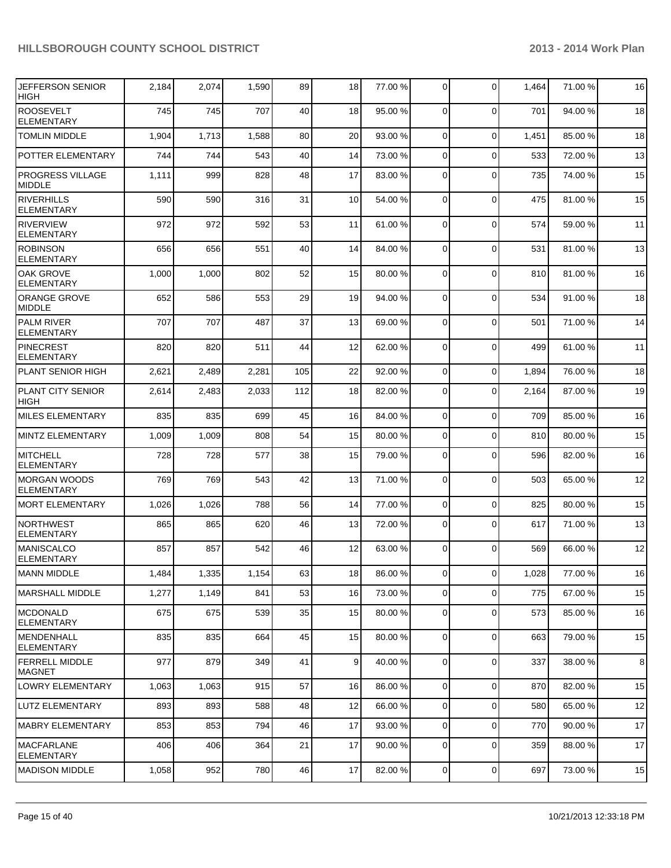| <b>JEFFERSON SENIOR</b><br><b>HIGH</b>   | 2,184 | 2,074 | 1,590 | 89  | 18 | 77.00 % | 0              | $\Omega$       | 1,464 | 71.00 % | 16 |
|------------------------------------------|-------|-------|-------|-----|----|---------|----------------|----------------|-------|---------|----|
| <b>ROOSEVELT</b><br><b>ELEMENTARY</b>    | 745   | 745   | 707   | 40  | 18 | 95.00 % | 0              | $\Omega$       | 701   | 94.00%  | 18 |
| <b>TOMLIN MIDDLE</b>                     | 1,904 | 1,713 | 1,588 | 80  | 20 | 93.00 % | 0              | $\mathbf 0$    | 1,451 | 85.00 % | 18 |
| POTTER ELEMENTARY                        | 744   | 744   | 543   | 40  | 14 | 73.00 % | 0              | $\mathbf 0$    | 533   | 72.00 % | 13 |
| <b>PROGRESS VILLAGE</b><br><b>MIDDLE</b> | 1,111 | 999   | 828   | 48  | 17 | 83.00 % | 0              | $\Omega$       | 735   | 74.00 % | 15 |
| <b>RIVERHILLS</b><br><b>ELEMENTARY</b>   | 590   | 590   | 316   | 31  | 10 | 54.00 % | 0              | $\mathbf 0$    | 475   | 81.00%  | 15 |
| <b>RIVERVIEW</b><br><b>ELEMENTARY</b>    | 972   | 972   | 592   | 53  | 11 | 61.00 % | 0              | $\Omega$       | 574   | 59.00 % | 11 |
| <b>ROBINSON</b><br><b>ELEMENTARY</b>     | 656   | 656   | 551   | 40  | 14 | 84.00 % | 0              | $\mathbf 0$    | 531   | 81.00 % | 13 |
| <b>OAK GROVE</b><br><b>ELEMENTARY</b>    | 1,000 | 1,000 | 802   | 52  | 15 | 80.00 % | $\Omega$       | $\Omega$       | 810   | 81.00%  | 16 |
| <b>ORANGE GROVE</b><br><b>MIDDLE</b>     | 652   | 586   | 553   | 29  | 19 | 94.00 % | 0              | $\Omega$       | 534   | 91.00%  | 18 |
| <b>PALM RIVER</b><br><b>ELEMENTARY</b>   | 707   | 707   | 487   | 37  | 13 | 69.00 % | 0              | $\Omega$       | 501   | 71.00%  | 14 |
| PINECREST<br><b>ELEMENTARY</b>           | 820   | 820   | 511   | 44  | 12 | 62.00 % | $\mathbf 0$    | $\Omega$       | 499   | 61.00%  | 11 |
| <b>PLANT SENIOR HIGH</b>                 | 2,621 | 2,489 | 2,281 | 105 | 22 | 92.00 % | $\mathbf 0$    | $\Omega$       | 1,894 | 76.00 % | 18 |
| PLANT CITY SENIOR<br><b>HIGH</b>         | 2,614 | 2,483 | 2,033 | 112 | 18 | 82.00 % | $\mathbf 0$    | $\Omega$       | 2,164 | 87.00 % | 19 |
| <b>MILES ELEMENTARY</b>                  | 835   | 835   | 699   | 45  | 16 | 84.00 % | 0              | $\Omega$       | 709   | 85.00 % | 16 |
| <b>MINTZ ELEMENTARY</b>                  | 1,009 | 1,009 | 808   | 54  | 15 | 80.00 % | 0              | $\Omega$       | 810   | 80.00%  | 15 |
| <b>MITCHELL</b><br><b>ELEMENTARY</b>     | 728   | 728   | 577   | 38  | 15 | 79.00 % | 0              | $\mathbf 0$    | 596   | 82.00%  | 16 |
| <b>MORGAN WOODS</b><br><b>ELEMENTARY</b> | 769   | 769   | 543   | 42  | 13 | 71.00 % | $\Omega$       | $\Omega$       | 503   | 65.00 % | 12 |
| <b>MORT ELEMENTARY</b>                   | 1,026 | 1,026 | 788   | 56  | 14 | 77.00 % | $\mathbf 0$    | $\mathbf 0$    | 825   | 80.00%  | 15 |
| <b>NORTHWEST</b><br><b>ELEMENTARY</b>    | 865   | 865   | 620   | 46  | 13 | 72.00 % | 0              | $\Omega$       | 617   | 71.00 % | 13 |
| <b>MANISCALCO</b><br><b>ELEMENTARY</b>   | 857   | 857   | 542   | 46  | 12 | 63.00 % | 0              | $\Omega$       | 569   | 66.00 % | 12 |
| <b>MANN MIDDLE</b>                       | 1,484 | 1,335 | 1,154 | 63  | 18 | 86.00 % | 01             | $\overline{0}$ | 1,028 | 77.00 % | 16 |
| IMARSHALL MIDDLE                         | 1,277 | 1,149 | 841   | 53  | 16 | 73.00 % | 0              | $\Omega$       | 775   | 67.00%  | 15 |
| MCDONALD<br><b>ELEMENTARY</b>            | 675   | 675   | 539   | 35  | 15 | 80.00 % | 0              | 0              | 573   | 85.00 % | 16 |
| <b>IMENDENHALL</b><br><b>ELEMENTARY</b>  | 835   | 835   | 664   | 45  | 15 | 80.00 % | 0              | $\mathbf 0$    | 663   | 79.00 % | 15 |
| <b>FERRELL MIDDLE</b><br><b>MAGNET</b>   | 977   | 879   | 349   | 41  | 9  | 40.00 % | $\overline{0}$ | $\mathbf 0$    | 337   | 38.00 % | 8  |
| <b>LOWRY ELEMENTARY</b>                  | 1,063 | 1,063 | 915   | 57  | 16 | 86.00 % | 0              | $\mathbf 0$    | 870   | 82.00%  | 15 |
| LUTZ ELEMENTARY                          | 893   | 893   | 588   | 48  | 12 | 66.00 % | 0              | $\mathbf 0$    | 580   | 65.00 % | 12 |
| <b>MABRY ELEMENTARY</b>                  | 853   | 853   | 794   | 46  | 17 | 93.00 % | 0              | $\mathbf 0$    | 770   | 90.00%  | 17 |
| <b>MACFARLANE</b><br><b>ELEMENTARY</b>   | 406   | 406   | 364   | 21  | 17 | 90.00 % | 0              | 0              | 359   | 88.00 % | 17 |
| <b>MADISON MIDDLE</b>                    | 1,058 | 952   | 780   | 46  | 17 | 82.00 % | 0              | $\mathbf 0$    | 697   | 73.00 % | 15 |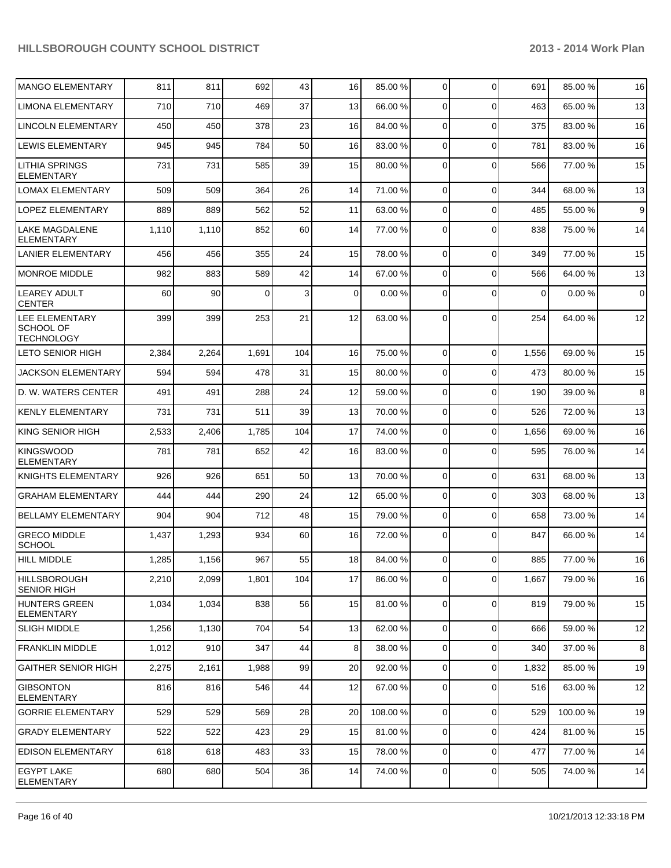| <b>MANGO ELEMENTARY</b>                                 | 811   | 811   | 692      | 43  | 16              | 85.00 %  | 0              | $\Omega$       | 691      | 85.00 % | 16          |
|---------------------------------------------------------|-------|-------|----------|-----|-----------------|----------|----------------|----------------|----------|---------|-------------|
| <b>LIMONA ELEMENTARY</b>                                | 710   | 710   | 469      | 37  | 13              | 66.00 %  | 0              | $\Omega$       | 463      | 65.00 % | 13          |
| <b>LINCOLN ELEMENTARY</b>                               | 450   | 450   | 378      | 23  | 16              | 84.00 %  | 0              | $\Omega$       | 375      | 83.00 % | 16          |
| <b>LEWIS ELEMENTARY</b>                                 | 945   | 945   | 784      | 50  | 16              | 83.00 %  | 0              | $\Omega$       | 781      | 83.00 % | 16          |
| LITHIA SPRINGS<br><b>ELEMENTARY</b>                     | 731   | 731   | 585      | 39  | 15              | 80.00 %  | 0              | $\Omega$       | 566      | 77.00 % | 15          |
| <b>LOMAX ELEMENTARY</b>                                 | 509   | 509   | 364      | 26  | 14              | 71.00 %  | $\overline{0}$ | $\Omega$       | 344      | 68.00 % | 13          |
| <b>LOPEZ ELEMENTARY</b>                                 | 889   | 889   | 562      | 52  | 11              | 63.00 %  | $\overline{0}$ | $\Omega$       | 485      | 55.00 % | 9           |
| LAKE MAGDALENE<br><b>ELEMENTARY</b>                     | 1,110 | 1,110 | 852      | 60  | 14              | 77.00 %  | 0              | $\Omega$       | 838      | 75.00 % | 14          |
| <b>LANIER ELEMENTARY</b>                                | 456   | 456   | 355      | 24  | 15              | 78.00 %  | $\Omega$       | $\Omega$       | 349      | 77.00 % | 15          |
| <b>MONROE MIDDLE</b>                                    | 982   | 883   | 589      | 42  | 14              | 67.00 %  | $\Omega$       | $\Omega$       | 566      | 64.00%  | 13          |
| <b>LEAREY ADULT</b><br><b>CENTER</b>                    | 60    | 90    | $\Omega$ | 3   | $\Omega$        | 0.00 %   | 0              | $\Omega$       | $\Omega$ | 0.00%   | $\mathbf 0$ |
| <b>LEE ELEMENTARY</b><br>SCHOOL OF<br><b>TECHNOLOGY</b> | 399   | 399   | 253      | 21  | 12              | 63.00 %  | $\Omega$       | $\Omega$       | 254      | 64.00 % | 12          |
| <b>LETO SENIOR HIGH</b>                                 | 2,384 | 2,264 | 1,691    | 104 | 16              | 75.00 %  | $\overline{0}$ | $\Omega$       | 1,556    | 69.00 % | 15          |
| <b>JACKSON ELEMENTARY</b>                               | 594   | 594   | 478      | 31  | 15              | 80.00 %  | 0              | $\Omega$       | 473      | 80.00 % | 15          |
| D. W. WATERS CENTER                                     | 491   | 491   | 288      | 24  | 12              | 59.00 %  | 0              | $\Omega$       | 190      | 39.00 % | 8           |
| <b>KENLY ELEMENTARY</b>                                 | 731   | 731   | 511      | 39  | 13              | 70.00 %  | 0              | $\Omega$       | 526      | 72.00 % | 13          |
| KING SENIOR HIGH                                        | 2,533 | 2,406 | 1,785    | 104 | 17              | 74.00 %  | 0              | $\Omega$       | 1,656    | 69.00 % | 16          |
| <b>KINGSWOOD</b><br><b>ELEMENTARY</b>                   | 781   | 781   | 652      | 42  | 16              | 83.00 %  | 0              | $\Omega$       | 595      | 76.00 % | 14          |
| KNIGHTS ELEMENTARY                                      | 926   | 926   | 651      | 50  | 13              | 70.00 %  | 0              | $\Omega$       | 631      | 68.00 % | 13          |
| <b>GRAHAM ELEMENTARY</b>                                | 444   | 444   | 290      | 24  | 12              | 65.00 %  | 0              | $\Omega$       | 303      | 68.00 % | 13          |
| <b>BELLAMY ELEMENTARY</b>                               | 904   | 904   | 712      | 48  | 15              | 79.00 %  | 0              | $\Omega$       | 658      | 73.00 % | 14          |
| <b>GRECO MIDDLE</b><br><b>SCHOOL</b>                    | 1,437 | 1,293 | 934      | 60  | 16              | 72.00 %  | $\Omega$       | $\Omega$       | 847      | 66.00%  | 14          |
| <b>HILL MIDDLE</b>                                      | 1,285 | 1,156 | 967      | 55  | 18              | 84.00 %  | $\Omega$       | $\Omega$       | 885      | 77.00 % | 16          |
| <b>HILLSBOROUGH</b><br><b>SENIOR HIGH</b>               | 2,210 | 2,099 | 1,801    | 104 | 17              | 86.00 %  | $\overline{0}$ | $\Omega$       | 1,667    | 79.00 % | 16          |
| HUNTERS GREEN<br><b>ELEMENTARY</b>                      | 1,034 | 1,034 | 838      | 56  | 15              | 81.00 %  | $\overline{0}$ | $\Omega$       | 819      | 79.00 % | 15          |
| <b>SLIGH MIDDLE</b>                                     | 1,256 | 1,130 | 704      | 54  | 13              | 62.00 %  | $\overline{0}$ | $\Omega$       | 666      | 59.00 % | 12          |
| <b>FRANKLIN MIDDLE</b>                                  | 1,012 | 910   | 347      | 44  | 8               | 38.00 %  | $\overline{0}$ | $\Omega$       | 340      | 37.00 % | $\bf8$      |
| <b>GAITHER SENIOR HIGH</b>                              | 2,275 | 2,161 | 1,988    | 99  | 20 <sub>2</sub> | 92.00 %  | $\overline{0}$ | $\Omega$       | 1,832    | 85.00 % | 19          |
| <b>GIBSONTON</b><br><b>ELEMENTARY</b>                   | 816   | 816   | 546      | 44  | 12              | 67.00 %  | $\overline{0}$ | $\Omega$       | 516      | 63.00 % | 12          |
| <b>GORRIE ELEMENTARY</b>                                | 529   | 529   | 569      | 28  | 20              | 108.00 % | $\overline{0}$ | $\overline{0}$ | 529      | 100.00% | 19          |
| <b>GRADY ELEMENTARY</b>                                 | 522   | 522   | 423      | 29  | 15              | 81.00 %  | $\overline{0}$ | $\Omega$       | 424      | 81.00%  | 15          |
| <b>EDISON ELEMENTARY</b>                                | 618   | 618   | 483      | 33  | 15              | 78.00 %  | $\overline{0}$ | $\Omega$       | 477      | 77.00 % | 14          |
| <b>EGYPT LAKE</b><br><b>ELEMENTARY</b>                  | 680   | 680   | 504      | 36  | 14              | 74.00 %  | 0              | 0              | 505      | 74.00 % | 14          |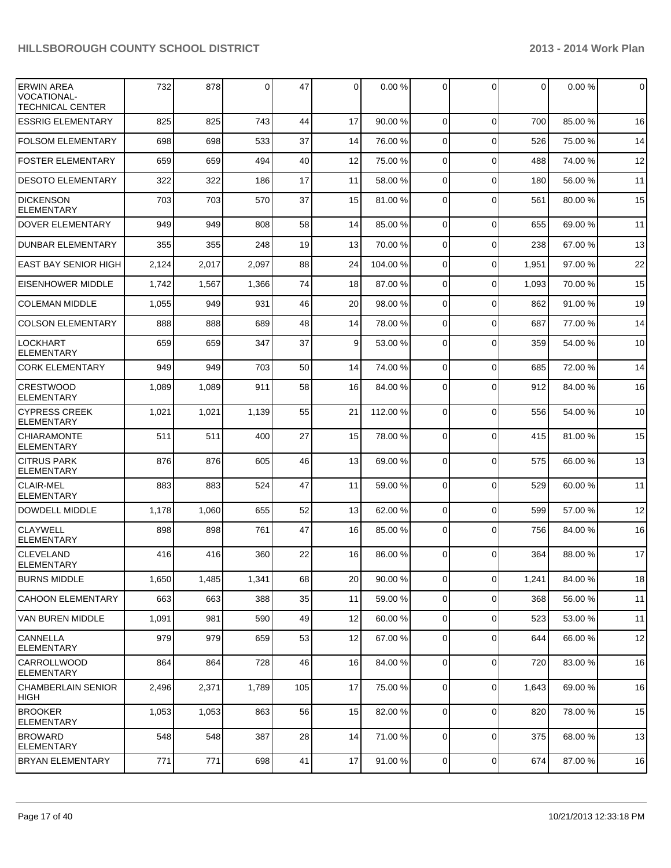| <b>ERWIN AREA</b><br><b>VOCATIONAL-</b><br>TECHNICAL CENTER | 732   | 878   | $\Omega$ | 47  | $\Omega$        | 0.00%    | $\Omega$       | $\Omega$     | 0     | 0.00%   | $\overline{0}$ |
|-------------------------------------------------------------|-------|-------|----------|-----|-----------------|----------|----------------|--------------|-------|---------|----------------|
| <b>ESSRIG ELEMENTARY</b>                                    | 825   | 825   | 743      | 44  | 17              | 90.00 %  | $\Omega$       | $\Omega$     | 700   | 85.00 % | 16             |
| <b>FOLSOM ELEMENTARY</b>                                    | 698   | 698   | 533      | 37  | 14              | 76.00 %  | $\Omega$       | $\mathbf{0}$ | 526   | 75.00 % | 14             |
| <b>FOSTER ELEMENTARY</b>                                    | 659   | 659   | 494      | 40  | 12              | 75.00 %  | $\Omega$       | $\mathbf{0}$ | 488   | 74.00%  | 12             |
| <b>DESOTO ELEMENTARY</b>                                    | 322   | 322   | 186      | 17  | 11              | 58.00 %  | $\Omega$       | $\mathbf{0}$ | 180   | 56.00 % | 11             |
| <b>DICKENSON</b><br><b>ELEMENTARY</b>                       | 703   | 703   | 570      | 37  | 15              | 81.00 %  | $\Omega$       | $\Omega$     | 561   | 80.00 % | 15             |
| <b>DOVER ELEMENTARY</b>                                     | 949   | 949   | 808      | 58  | 14              | 85.00 %  | $\Omega$       | $\Omega$     | 655   | 69.00%  | 11             |
| <b>DUNBAR ELEMENTARY</b>                                    | 355   | 355   | 248      | 19  | 13              | 70.00 %  | $\Omega$       | $\Omega$     | 238   | 67.00%  | 13             |
| <b>EAST BAY SENIOR HIGH</b>                                 | 2,124 | 2,017 | 2,097    | 88  | 24              | 104.00 % | $\Omega$       | $\Omega$     | 1,951 | 97.00 % | 22             |
| <b>EISENHOWER MIDDLE</b>                                    | 1,742 | 1,567 | 1,366    | 74  | 18              | 87.00 %  | $\Omega$       | $\mathbf{0}$ | 1,093 | 70.00%  | 15             |
| <b>COLEMAN MIDDLE</b>                                       | 1,055 | 949   | 931      | 46  | 20              | 98.00 %  | $\Omega$       | $\Omega$     | 862   | 91.00%  | 19             |
| <b>COLSON ELEMENTARY</b>                                    | 888   | 888   | 689      | 48  | 14              | 78.00 %  | $\Omega$       | $\Omega$     | 687   | 77.00 % | 14             |
| <b>LOCKHART</b><br><b>ELEMENTARY</b>                        | 659   | 659   | 347      | 37  | 9 <sup>1</sup>  | 53.00 %  | $\Omega$       | $\Omega$     | 359   | 54.00 % | 10             |
| <b>CORK ELEMENTARY</b>                                      | 949   | 949   | 703      | 50  | 14              | 74.00 %  | $\Omega$       | $\Omega$     | 685   | 72.00 % | 14             |
| CRESTWOOD<br><b>ELEMENTARY</b>                              | 1,089 | 1,089 | 911      | 58  | 16              | 84.00 %  | $\Omega$       | $\Omega$     | 912   | 84.00%  | 16             |
| <b>CYPRESS CREEK</b><br><b>ELEMENTARY</b>                   | 1,021 | 1,021 | 1,139    | 55  | 21              | 112.00 % | $\Omega$       | $\mathbf{0}$ | 556   | 54.00 % | 10             |
| <b>CHIARAMONTE</b><br><b>ELEMENTARY</b>                     | 511   | 511   | 400      | 27  | 15              | 78.00 %  | $\Omega$       | $\mathbf{0}$ | 415   | 81.00%  | 15             |
| <b>CITRUS PARK</b><br><b>ELEMENTARY</b>                     | 876   | 876   | 605      | 46  | 13              | 69.00 %  | $\Omega$       | $\Omega$     | 575   | 66.00 % | 13             |
| <b>CLAIR-MEL</b><br><b>ELEMENTARY</b>                       | 883   | 883   | 524      | 47  | 11              | 59.00 %  | $\Omega$       | $\Omega$     | 529   | 60.00%  | 11             |
| DOWDELL MIDDLE                                              | 1,178 | 1,060 | 655      | 52  | 13              | 62.00 %  | $\Omega$       | $\mathbf{0}$ | 599   | 57.00 % | 12             |
| <b>CLAYWELL</b><br><b>ELEMENTARY</b>                        | 898   | 898   | 761      | 47  | 16              | 85.00 %  | $\Omega$       | $\mathbf{0}$ | 756   | 84.00 % | 16             |
| <b>CLEVELAND</b><br> ELEMENTARY                             | 416   | 416   | 360      | 22  | 16              | 86.00 %  | $\Omega$       | $\Omega$     | 364   | 88.00 % | 17             |
| <b>BURNS MIDDLE</b>                                         | 1,650 | 1,485 | 1,341    | 68  | 20 <sub>l</sub> | 90.00 %  | $\overline{0}$ | 0            | 1,241 | 84.00 % | 18             |
| <b>CAHOON ELEMENTARY</b>                                    | 663   | 663   | 388      | 35  | 11              | 59.00 %  | $\overline{0}$ | 0            | 368   | 56.00 % | 11             |
| VAN BUREN MIDDLE                                            | 1,091 | 981   | 590      | 49  | 12              | 60.00 %  | $\overline{0}$ | 0            | 523   | 53.00 % | 11             |
| <b>CANNELLA</b><br>ELEMENTARY                               | 979   | 979   | 659      | 53  | 12              | 67.00 %  | $\overline{0}$ | $\mathbf 0$  | 644   | 66.00 % | 12             |
| lcarrollwood<br>IELEMENTARY                                 | 864   | 864   | 728      | 46  | 16              | 84.00 %  | $\Omega$       | 0            | 720   | 83.00 % | 16             |
| CHAMBERLAIN SENIOR<br> HIGH                                 | 2,496 | 2,371 | 1,789    | 105 | 17              | 75.00 %  | $\overline{0}$ | 0            | 1,643 | 69.00 % | 16             |
| <b>BROOKER</b><br><b>ELEMENTARY</b>                         | 1,053 | 1,053 | 863      | 56  | 15              | 82.00 %  | $\overline{0}$ | 0            | 820   | 78.00 % | 15             |
| <b>BROWARD</b><br><b>ELEMENTARY</b>                         | 548   | 548   | 387      | 28  | 14              | 71.00 %  | $\overline{0}$ | 0            | 375   | 68.00 % | 13             |
| <b>BRYAN ELEMENTARY</b>                                     | 771   | 771   | 698      | 41  | 17              | 91.00 %  | $\overline{0}$ | $\mathbf 0$  | 674   | 87.00%  | 16             |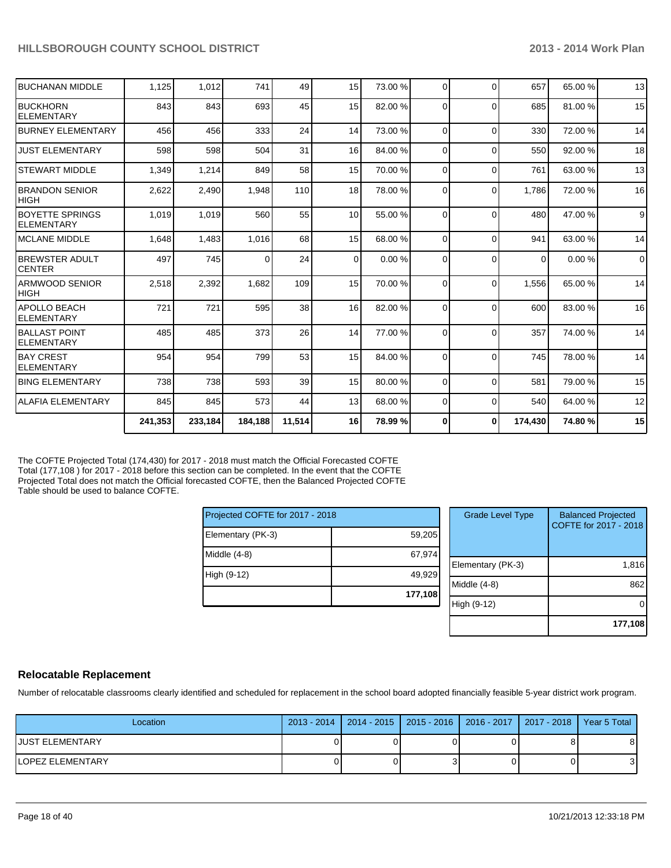| <b>BUCHANAN MIDDLE</b>                      | 1,125   | 1,012   | 741     | 49              | 15              | 73.00 % | $\Omega$       | $\Omega$ | 657      | 65.00 % | 13          |
|---------------------------------------------|---------|---------|---------|-----------------|-----------------|---------|----------------|----------|----------|---------|-------------|
| <b>IBUCKHORN</b><br><b>IELEMENTARY</b>      | 843     | 843     | 693     | 45              | 15              | 82.00 % | 0              | $\Omega$ | 685      | 81.00%  | 15          |
| <b>BURNEY ELEMENTARY</b>                    | 456     | 456     | 333     | 24              | 14              | 73.00 % | $\Omega$       | $\Omega$ | 330      | 72.00 % | 14          |
| <b>JUST ELEMENTARY</b>                      | 598     | 598     | 504     | 31              | 16 <sup>1</sup> | 84.00 % | $\Omega$       | $\Omega$ | 550      | 92.00 % | 18          |
| <b>STEWART MIDDLE</b>                       | 1,349   | 1,214   | 849     | 58              | 15              | 70.00 % | $\Omega$       | $\Omega$ | 761      | 63.00 % | 13          |
| <b>BRANDON SENIOR</b><br><b>HIGH</b>        | 2,622   | 2,490   | 1,948   | 110             | 18 <sup>1</sup> | 78.00 % | $\Omega$       | $\Omega$ | 1.786    | 72.00%  | 16          |
| <b>BOYETTE SPRINGS</b><br><b>ELEMENTARY</b> | 1,019   | 1,019   | 560     | 55              | 10              | 55.00 % | $\Omega$       | $\Omega$ | 480      | 47.00%  | 9           |
| <b>IMCLANE MIDDLE</b>                       | 1,648   | 1,483   | 1,016   | 68              | 15              | 68.00 % | $\Omega$       | $\Omega$ | 941      | 63.00 % | 14          |
| <b>BREWSTER ADULT</b><br>ICENTER            | 497     | 745     | 0       | 24              | $\Omega$        | 0.00%   | $\Omega$       | $\Omega$ | $\Omega$ | 0.00%   | $\mathbf 0$ |
| <b>ARMWOOD SENIOR</b><br><b>HIGH</b>        | 2,518   | 2,392   | 1,682   | 109             | 15              | 70.00 % | $\overline{0}$ | $\Omega$ | 1,556    | 65.00 % | 14          |
| <b>APOLLO BEACH</b><br><b>ELEMENTARY</b>    | 721     | 721     | 595     | 38 <sup>1</sup> | 16 <sup>1</sup> | 82.00 % | $\Omega$       | $\Omega$ | 600      | 83.00 % | 16          |
| <b>IBALLAST POINT</b><br><b>ELEMENTARY</b>  | 485     | 485     | 373     | 26              | 14              | 77.00 % | $\Omega$       | $\Omega$ | 357      | 74.00 % | 14          |
| <b>IBAY CREST</b><br><b>ELEMENTARY</b>      | 954     | 954     | 799     | 53              | 15              | 84.00 % | $\Omega$       | $\Omega$ | 745      | 78.00 % | 14          |
| <b>BING ELEMENTARY</b>                      | 738     | 738     | 593     | 39              | 15              | 80.00 % | $\Omega$       | $\Omega$ | 581      | 79.00 % | 15          |
| <b>ALAFIA ELEMENTARY</b>                    | 845     | 845     | 573     | 44              | 13              | 68.00 % | 0              | $\Omega$ | 540      | 64.00%  | 12          |
|                                             | 241,353 | 233,184 | 184,188 | 11,514          | 16 <sup>1</sup> | 78.99 % | 0              | $\bf{0}$ | 174,430  | 74.80%  | 15          |

The COFTE Projected Total (174,430) for 2017 - 2018 must match the Official Forecasted COFTE Total (177,108 ) for 2017 - 2018 before this section can be completed. In the event that the COFTE Projected Total does not match the Official forecasted COFTE, then the Balanced Projected COFTE Table should be used to balance COFTE.

| Projected COFTE for 2017 - 2018 |         |
|---------------------------------|---------|
| Elementary (PK-3)               | 59,205  |
| Middle (4-8)                    | 67,974  |
| High (9-12)                     | 49,929  |
|                                 | 177,108 |

| <b>Grade Level Type</b> | <b>Balanced Projected</b><br>COFTE for 2017 - 2018 |
|-------------------------|----------------------------------------------------|
| Elementary (PK-3)       | 1,816                                              |
| Middle (4-8)            | 862                                                |
| High (9-12)             |                                                    |
|                         | 177,108                                            |

#### **Relocatable Replacement**

Number of relocatable classrooms clearly identified and scheduled for replacement in the school board adopted financially feasible 5-year district work program.

| Location         | 2013 - 2014   2014 - 2015   2015 - 2016   2016 - 2017   2017 - 2018   Year 5 Total |  |    |
|------------------|------------------------------------------------------------------------------------|--|----|
| IJUST ELEMENTARY |                                                                                    |  | 81 |
| LOPEZ ELEMENTARY |                                                                                    |  | 31 |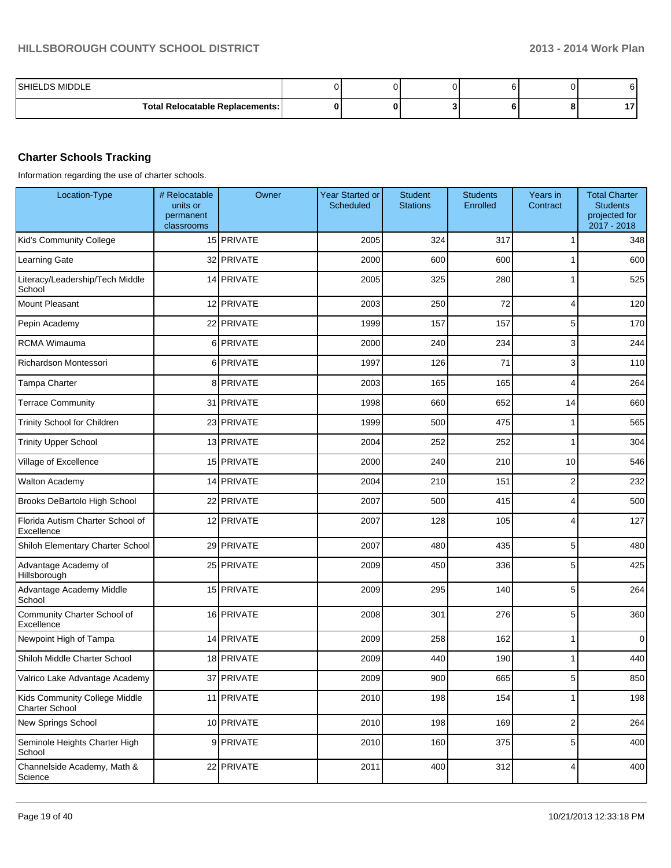| LDS MIDDLE<br>SHIEL                    |  |  |               |
|----------------------------------------|--|--|---------------|
| <b>Total Relocatable Replacements:</b> |  |  | $\sim$<br>. . |

## **Charter Schools Tracking**

Information regarding the use of charter schools.

| Location-Type                                   | # Relocatable<br>units or<br>permanent<br>classrooms | Owner      | <b>Year Started or</b><br><b>Scheduled</b> | <b>Student</b><br><b>Stations</b> | <b>Students</b><br>Enrolled | Years in<br>Contract | <b>Total Charter</b><br><b>Students</b><br>projected for<br>2017 - 2018 |
|-------------------------------------------------|------------------------------------------------------|------------|--------------------------------------------|-----------------------------------|-----------------------------|----------------------|-------------------------------------------------------------------------|
| Kid's Community College                         |                                                      | 15 PRIVATE | 2005                                       | 324                               | 317                         | 1                    | 348                                                                     |
| Learning Gate                                   |                                                      | 32 PRIVATE | 2000                                       | 600                               | 600                         |                      | 600                                                                     |
| Literacy/Leadership/Tech Middle<br>School       |                                                      | 14 PRIVATE | 2005                                       | 325                               | 280                         |                      | 525                                                                     |
| <b>Mount Pleasant</b>                           |                                                      | 12 PRIVATE | 2003                                       | 250                               | 72                          | 4                    | 120                                                                     |
| Pepin Academy                                   |                                                      | 22 PRIVATE | 1999                                       | 157                               | 157                         | 5                    | 170                                                                     |
| RCMA Wimauma                                    |                                                      | 6 PRIVATE  | 2000                                       | 240                               | 234                         | 3                    | 244                                                                     |
| Richardson Montessori                           |                                                      | 6 PRIVATE  | 1997                                       | 126                               | 71                          | 3                    | 110                                                                     |
| Tampa Charter                                   |                                                      | 8 PRIVATE  | 2003                                       | 165                               | 165                         | 4                    | 264                                                                     |
| <b>Terrace Community</b>                        |                                                      | 31 PRIVATE | 1998                                       | 660                               | 652                         | 14                   | 660                                                                     |
| Trinity School for Children                     |                                                      | 23 PRIVATE | 1999                                       | 500                               | 475                         | 1                    | 565                                                                     |
| <b>Trinity Upper School</b>                     |                                                      | 13 PRIVATE | 2004                                       | 252                               | 252                         | 1                    | 304                                                                     |
| Village of Excellence                           |                                                      | 15 PRIVATE | 2000                                       | 240                               | 210                         | 10                   | 546                                                                     |
| <b>Walton Academy</b>                           |                                                      | 14 PRIVATE | 2004                                       | 210                               | 151                         | $\overline{2}$       | 232                                                                     |
| Brooks DeBartolo High School                    |                                                      | 22 PRIVATE | 2007                                       | 500                               | 415                         | 4                    | 500                                                                     |
| Florida Autism Charter School of<br>Excellence  |                                                      | 12 PRIVATE | 2007                                       | 128                               | 105                         | 4                    | 127                                                                     |
| Shiloh Elementary Charter School                |                                                      | 29 PRIVATE | 2007                                       | 480                               | 435                         | 5                    | 480                                                                     |
| Advantage Academy of<br>Hillsborough            |                                                      | 25 PRIVATE | 2009                                       | 450                               | 336                         | 5                    | 425                                                                     |
| Advantage Academy Middle<br>School              |                                                      | 15 PRIVATE | 2009                                       | 295                               | 140                         | 5                    | 264                                                                     |
| Community Charter School of<br>Excellence       |                                                      | 16 PRIVATE | 2008                                       | 301                               | 276                         | 5                    | 360                                                                     |
| Newpoint High of Tampa                          |                                                      | 14 PRIVATE | 2009                                       | 258                               | 162                         | 1                    | $\mathbf 0$                                                             |
| Shiloh Middle Charter School                    |                                                      | 18 PRIVATE | 2009                                       | 440                               | 190                         | 1                    | 440                                                                     |
| Valrico Lake Advantage Academy                  |                                                      | 37 PRIVATE | 2009                                       | 900                               | 665                         | 5                    | 850                                                                     |
| Kids Community College Middle<br>Charter School |                                                      | 11 PRIVATE | 2010                                       | 198                               | 154                         | 1                    | 198                                                                     |
| New Springs School                              |                                                      | 10 PRIVATE | 2010                                       | 198                               | 169                         | $\overline{c}$       | 264                                                                     |
| Seminole Heights Charter High<br>School         |                                                      | 9 PRIVATE  | 2010                                       | 160                               | 375                         | 5                    | 400                                                                     |
| Channelside Academy, Math &<br>Science          |                                                      | 22 PRIVATE | 2011                                       | 400                               | 312                         | 4                    | 400                                                                     |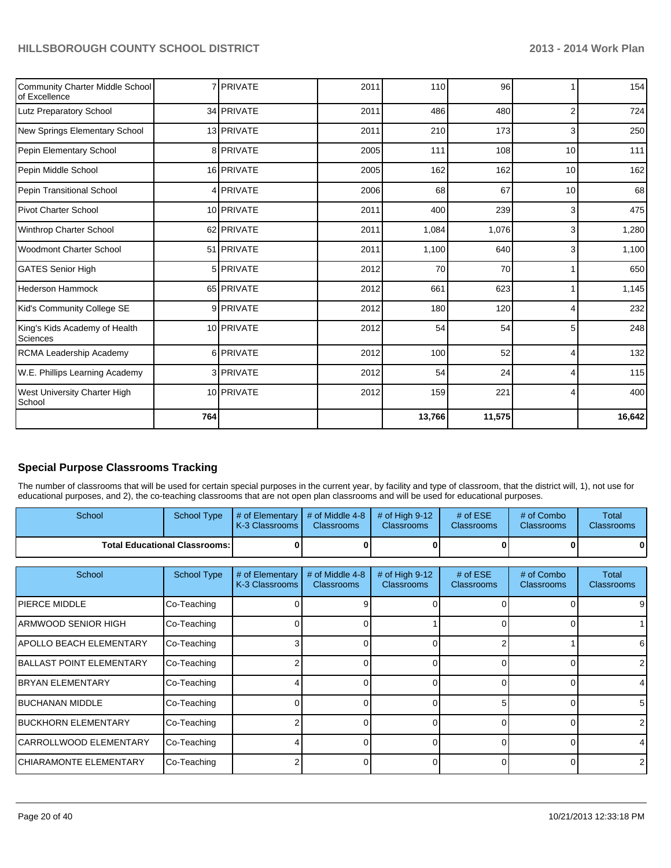| <b>Community Charter Middle School</b><br>of Excellence |     | 7 PRIVATE  | 2011 | 110    | 96     |                | 154    |
|---------------------------------------------------------|-----|------------|------|--------|--------|----------------|--------|
| Lutz Preparatory School                                 |     | 34 PRIVATE | 2011 | 486    | 480    | $\overline{2}$ | 724    |
| New Springs Elementary School                           |     | 13 PRIVATE | 2011 | 210    | 173    | 3              | 250    |
| Pepin Elementary School                                 |     | 8 PRIVATE  | 2005 | 111    | 108    | 10             | $111$  |
| Pepin Middle School                                     |     | 16 PRIVATE | 2005 | 162    | 162    | 10             | 162    |
| Pepin Transitional School                               |     | 4 PRIVATE  | 2006 | 68     | 67     | 10             | 68     |
| <b>Pivot Charter School</b>                             |     | 10 PRIVATE | 2011 | 400    | 239    | 3              | 475    |
| Winthrop Charter School                                 |     | 62 PRIVATE | 2011 | 1,084  | 1,076  | 3              | 1,280  |
| <b>Woodmont Charter School</b>                          |     | 51 PRIVATE | 2011 | 1,100  | 640    | 3              | 1,100  |
| <b>GATES Senior High</b>                                |     | 5 PRIVATE  | 2012 | 70     | 70     |                | 650    |
| <b>Hederson Hammock</b>                                 |     | 65 PRIVATE | 2012 | 661    | 623    |                | 1,145  |
| Kid's Community College SE                              |     | 9 PRIVATE  | 2012 | 180    | 120    |                | 232    |
| King's Kids Academy of Health<br><b>Sciences</b>        |     | 10 PRIVATE | 2012 | 54     | 54     | 5              | 248    |
| <b>RCMA Leadership Academy</b>                          |     | 6 PRIVATE  | 2012 | 100    | 52     | 4              | 132    |
| W.E. Phillips Learning Academy                          |     | 3 PRIVATE  | 2012 | 54     | 24     | Δ              | 115    |
| West University Charter High<br>School                  |     | 10 PRIVATE | 2012 | 159    | 221    | 4              | 400    |
|                                                         | 764 |            |      | 13,766 | 11,575 |                | 16,642 |

## **Special Purpose Classrooms Tracking**

The number of classrooms that will be used for certain special purposes in the current year, by facility and type of classroom, that the district will, 1), not use for educational purposes, and 2), the co-teaching classrooms that are not open plan classrooms and will be used for educational purposes.

| <b>School</b>                          | <b>School Type</b> | $\parallel$ # of Elementary $\parallel$ # of Middle 4-8 $\parallel$ # of High 9-12 $\parallel$<br><b>K-3 Classrooms M</b> | <b>Classrooms</b> | <b>Classrooms</b> | # of $ESE$<br><b>Classrooms</b> | # of Combo<br><b>Classrooms</b> | Total<br><b>Classrooms</b> |
|----------------------------------------|--------------------|---------------------------------------------------------------------------------------------------------------------------|-------------------|-------------------|---------------------------------|---------------------------------|----------------------------|
| <b>Total Educational Classrooms: I</b> |                    |                                                                                                                           | 01                | OΙ                |                                 | 0                               | 0                          |

| School                          | <b>School Type</b> | # of Elementary<br>K-3 Classrooms | # of Middle 4-8<br><b>Classrooms</b> | # of High 9-12<br><b>Classrooms</b> | $#$ of ESE<br><b>Classrooms</b> | # of Combo<br><b>Classrooms</b> | Total<br><b>Classrooms</b> |
|---------------------------------|--------------------|-----------------------------------|--------------------------------------|-------------------------------------|---------------------------------|---------------------------------|----------------------------|
| <b>IPIERCE MIDDLE</b>           | Co-Teaching        |                                   |                                      |                                     |                                 |                                 | 9                          |
| IARMWOOD SENIOR HIGH            | Co-Teaching        |                                   |                                      |                                     |                                 |                                 |                            |
| IAPOLLO BEACH ELEMENTARY        | Co-Teaching        |                                   |                                      |                                     |                                 |                                 | 6                          |
| <b>BALLAST POINT ELEMENTARY</b> | Co-Teaching        |                                   |                                      |                                     |                                 |                                 |                            |
| <b>IBRYAN ELEMENTARY</b>        | Co-Teaching        |                                   |                                      |                                     | 0                               |                                 |                            |
| <b>IBUCHANAN MIDDLE</b>         | Co-Teaching        |                                   |                                      |                                     |                                 |                                 | 5                          |
| <b>BUCKHORN ELEMENTARY</b>      | Co-Teaching        |                                   |                                      |                                     |                                 |                                 |                            |
| ICARROLLWOOD ELEMENTARY         | Co-Teaching        |                                   |                                      |                                     |                                 |                                 |                            |
| ICHIARAMONTE ELEMENTARY         | Co-Teaching        |                                   |                                      |                                     | ∩                               |                                 | 2                          |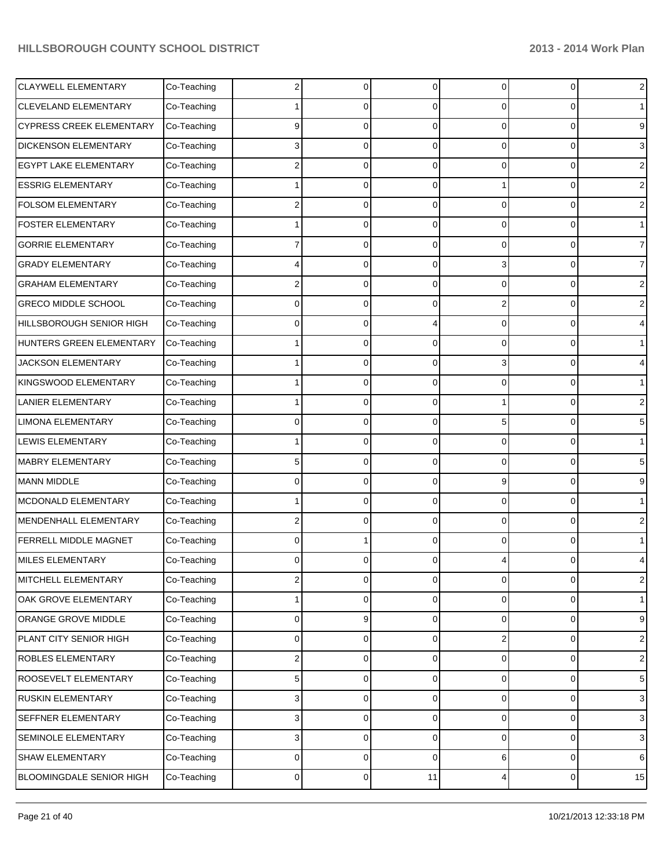| <b>CLAYWELL ELEMENTARY</b>      | Co-Teaching | 2 | 0         | $\Omega$       | 0        | 0                   | $\sqrt{2}$       |
|---------------------------------|-------------|---|-----------|----------------|----------|---------------------|------------------|
| <b>CLEVELAND ELEMENTARY</b>     | Co-Teaching |   | C         | 0              | 0        | 0                   | $\mathbf{1}$     |
| CYPRESS CREEK ELEMENTARY        | Co-Teaching | 9 | 0         | $\Omega$       | $\Omega$ | $\mathbf 0$         | $\boldsymbol{9}$ |
| <b>DICKENSON ELEMENTARY</b>     | Co-Teaching | 3 | C         | 0              | 0        | $\mathbf 0$         | $\mathbf{3}$     |
| EGYPT LAKE ELEMENTARY           | Co-Teaching | 2 | C         | 0              | 0        | $\mathbf 0$         | $\sqrt{2}$       |
| <b>ESSRIG ELEMENTARY</b>        | Co-Teaching |   | C         | 0              |          | $\mathbf 0$         | $\sqrt{2}$       |
| <b>FOLSOM ELEMENTARY</b>        | Co-Teaching | 2 | C         | $\Omega$       | $\Omega$ | $\mathbf 0$         | $\sqrt{2}$       |
| <b>FOSTER ELEMENTARY</b>        | Co-Teaching |   | C         | 0              | 0        | $\mathbf 0$         | $\mathbf{1}$     |
| <b>GORRIE ELEMENTARY</b>        | Co-Teaching |   | C         | 0              | 0        | $\mathbf 0$         | $\overline{7}$   |
| <b>GRADY ELEMENTARY</b>         | Co-Teaching | 4 | C         | 0              | 3        | $\mathbf 0$         | $\overline{7}$   |
| <b>GRAHAM ELEMENTARY</b>        | Co-Teaching | 2 | C         | 0              | $\Omega$ | $\mathbf 0$         | $\sqrt{2}$       |
| <b>GRECO MIDDLE SCHOOL</b>      | Co-Teaching | 0 | C         | 0              | 2        | $\mathbf 0$         | $\overline{c}$   |
| HILLSBOROUGH SENIOR HIGH        | Co-Teaching | 0 | C         |                | 0        | $\Omega$            | 4                |
| HUNTERS GREEN ELEMENTARY        | Co-Teaching |   | C         | 0              | 0        | $\mathbf 0$         | $\mathbf{1}$     |
| JACKSON ELEMENTARY              | Co-Teaching |   | C         | 0              | 3        | $\mathbf 0$         | 4                |
| KINGSWOOD ELEMENTARY            | Co-Teaching |   | C         | 0              | 0        | $\mathbf 0$         | $\mathbf{1}$     |
| <b>LANIER ELEMENTARY</b>        | Co-Teaching |   | C         | 0              |          | $\Omega$            | $\sqrt{2}$       |
| <b>LIMONA ELEMENTARY</b>        | Co-Teaching | 0 | C         | 0              | 5        | $\mathbf 0$         | $\,$ 5 $\,$      |
| <b>LEWIS ELEMENTARY</b>         | Co-Teaching |   | C         | $\Omega$       | 0        | $\mathbf 0$         | $\mathbf{1}$     |
| <b>MABRY ELEMENTARY</b>         | Co-Teaching | 5 | C         | 0              | 0        | $\mathbf 0$         | $\,$ 5 $\,$      |
| MANN MIDDLE                     | Co-Teaching | 0 | C         | 0              | 9        | $\Omega$            | 9                |
| MCDONALD ELEMENTARY             | Co-Teaching |   | C         | 0              | 0        | $\mathbf 0$         | $\mathbf{1}$     |
| MENDENHALL ELEMENTARY           | Co-Teaching | 2 | C         | 0              | $\Omega$ | $\Omega$            | $\sqrt{2}$       |
| FERRELL MIDDLE MAGNET           | Co-Teaching | 0 |           | 0              | 0        | $\Omega$            | $\mathbf{1}$     |
| MILES ELEMENTARY                | Co-Teaching | 0 |           |                |          | 0                   | 4                |
| MITCHELL ELEMENTARY             | Co-Teaching | 2 | 0         | $\overline{0}$ | 0        | 0                   | $\sqrt{2}$       |
| OAK GROVE ELEMENTARY            | Co-Teaching |   | 0         | 0              | 0        | 0                   | $\mathbf{1}$     |
| ORANGE GROVE MIDDLE             | Co-Teaching | 0 | 9         | 0              | 0        | $\mathsf 0$         | $\boldsymbol{9}$ |
| PLANT CITY SENIOR HIGH          | Co-Teaching | 0 | 0         | 0              | 2        | 0                   | $\sqrt{2}$       |
| ROBLES ELEMENTARY               | Co-Teaching | 2 | 0         | 0              | 0        | 0                   | $\sqrt{2}$       |
| ROOSEVELT ELEMENTARY            | Co-Teaching | 5 | 0         | 0              | 0        | 0                   | $\sqrt{5}$       |
| <b>RUSKIN ELEMENTARY</b>        | Co-Teaching | 3 | 0         | 0              | 0        | 0                   | $\sqrt{3}$       |
| SEFFNER ELEMENTARY              | Co-Teaching | 3 | 0         | 0              | 0        | 0                   | $\mathbf{3}$     |
| SEMINOLE ELEMENTARY             | Co-Teaching | 3 | 0         | 0              | 0        | 0                   | $\sqrt{3}$       |
| <b>SHAW ELEMENTARY</b>          | Co-Teaching | 0 | 0         | 0              | 6        | $\mathbf 0$         | 6                |
| <b>BLOOMINGDALE SENIOR HIGH</b> | Co-Teaching | 0 | $\pmb{0}$ | 11             | 4        | $\mathsf{O}\xspace$ | 15               |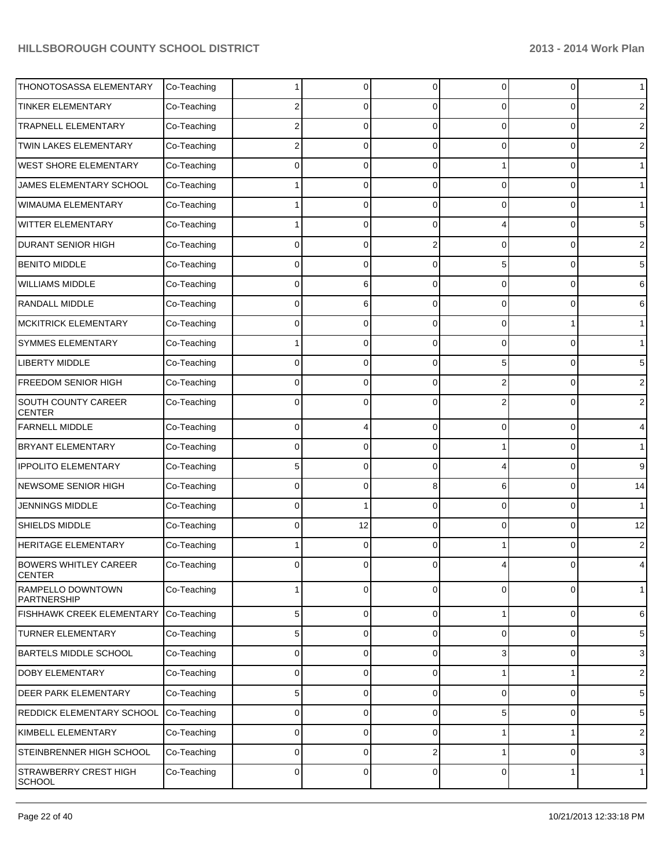| THONOTOSASSA ELEMENTARY                       | Co-Teaching |             | $\Omega$ | $\Omega$    | 0 | 0 | $\mathbf{1}$   |
|-----------------------------------------------|-------------|-------------|----------|-------------|---|---|----------------|
| <b>TINKER ELEMENTARY</b>                      | Co-Teaching | 2           | 0        | 0           | 0 | 0 | 2              |
| <b>TRAPNELL ELEMENTARY</b>                    | Co-Teaching | 2           | 0        | 0           | 0 | 0 | $\overline{2}$ |
| TWIN LAKES ELEMENTARY                         | Co-Teaching | 2           | 0        | 0           | 0 | 0 | 2              |
| <b>WEST SHORE ELEMENTARY</b>                  | Co-Teaching | 0           | 0        | 0           |   | 0 | $\mathbf{1}$   |
| JAMES ELEMENTARY SCHOOL                       | Co-Teaching |             | 0        | 0           | 0 | 0 | $\mathbf 1$    |
| <b>WIMAUMA ELEMENTARY</b>                     | Co-Teaching |             | 0        | 0           | 0 | 0 | $\mathbf{1}$   |
| WITTER ELEMENTARY                             | Co-Teaching |             | 0        | 0           | 4 | 0 | 5              |
| <b>DURANT SENIOR HIGH</b>                     | Co-Teaching | 0           | 0        | 2           | 0 | 0 | 2              |
| <b>BENITO MIDDLE</b>                          | Co-Teaching | 0           | 0        | $\Omega$    | 5 | 0 | 5              |
| <b>WILLIAMS MIDDLE</b>                        | Co-Teaching | 0           | 6        | 0           | 0 | 0 | 6              |
| RANDALL MIDDLE                                | Co-Teaching | 0           | 6        | $\Omega$    | 0 | 0 | 6              |
| <b>MCKITRICK ELEMENTARY</b>                   | Co-Teaching | 0           | 0        | 0           | 0 |   | $\mathbf 1$    |
| SYMMES ELEMENTARY                             | Co-Teaching |             | $\Omega$ | $\Omega$    | 0 | 0 | $\mathbf 1$    |
| <b>LIBERTY MIDDLE</b>                         | Co-Teaching | 0           | 0        | 0           | 5 | 0 | 5              |
| FREEDOM SENIOR HIGH                           | Co-Teaching | 0           | 0        | $\Omega$    | 2 | 0 | 2              |
| SOUTH COUNTY CAREER<br><b>CENTER</b>          | Co-Teaching | 0           | 0        | n           | 2 | 0 | $\overline{c}$ |
| <b>FARNELL MIDDLE</b>                         | Co-Teaching | 0           |          | $\Omega$    | 0 | 0 | $\overline{4}$ |
| <b>BRYANT ELEMENTARY</b>                      | Co-Teaching | 0           | 0        | $\Omega$    |   | 0 | $\mathbf 1$    |
| <b>IPPOLITO ELEMENTARY</b>                    | Co-Teaching | 5           | 0        | $\Omega$    | 4 | 0 | 9              |
| NEWSOME SENIOR HIGH                           | Co-Teaching | 0           | 0        | 8           | 6 | 0 | 14             |
| <b>JENNINGS MIDDLE</b>                        | Co-Teaching | 0           |          | $\Omega$    | 0 | 0 | $\mathbf{1}$   |
| SHIELDS MIDDLE                                | Co-Teaching | $\Omega$    | 12       | $\Omega$    | 0 | 0 | 12             |
| HERITAGE ELEMENTARY                           | Co-Teaching |             | 0        | $\Omega$    |   | 0 | $\mathbf{2}$   |
| <b>BOWERS WHITLEY CAREER</b><br><b>CENTER</b> | Co-Teaching | 0           | 0        | $\Omega$    | 4 | 0 | 4              |
| RAMPELLO DOWNTOWN<br>PARTNERSHIP              | Co-Teaching | 1           | 0        | 0           | 0 | 0 | $\mathbf{1}$   |
| FISHHAWK CREEK ELEMENTARY                     | Co-Teaching | 5           | 0        | 0           | 1 | 0 | 6              |
| <b>TURNER ELEMENTARY</b>                      | Co-Teaching | 5           | 0        | $\mathbf 0$ | 0 | 0 | 5              |
| <b>BARTELS MIDDLE SCHOOL</b>                  | Co-Teaching | 0           | 0        | $\mathbf 0$ | 3 | 0 | $\mathbf{3}$   |
| <b>DOBY ELEMENTARY</b>                        | Co-Teaching | 0           | 0        | $\mathbf 0$ |   | 1 | $\sqrt{2}$     |
| <b>DEER PARK ELEMENTARY</b>                   | Co-Teaching | 5           | 0        | $\mathbf 0$ | 0 | 0 | 5              |
| REDDICK ELEMENTARY SCHOOL                     | Co-Teaching | 0           | 0        | $\mathbf 0$ | 5 | 0 | 5              |
| KIMBELL ELEMENTARY                            | Co-Teaching | 0           | 0        | $\mathbf 0$ |   | 1 | $\sqrt{2}$     |
| STEINBRENNER HIGH SCHOOL                      | Co-Teaching | 0           | 0        | 2           |   | 0 | $\mathbf{3}$   |
| STRAWBERRY CREST HIGH<br><b>SCHOOL</b>        | Co-Teaching | $\mathbf 0$ | 0        | $\mathbf 0$ | 0 | 1 | $\mathbf{1}$   |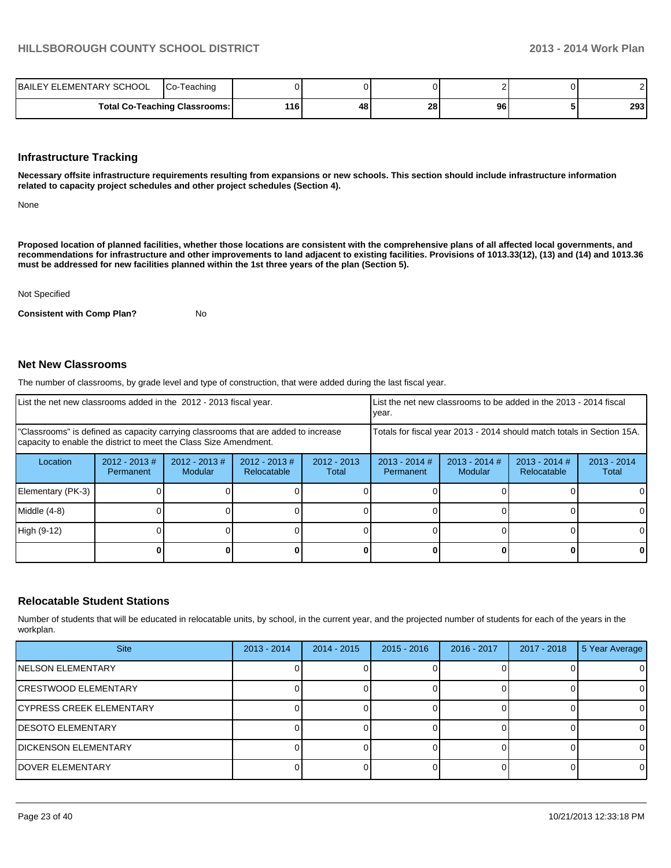| <b>ELEMENTARY SCHOOL</b><br><b>IBAILEY</b> | ICo-<br>-Teaching                    |     |    |    |    |     |
|--------------------------------------------|--------------------------------------|-----|----|----|----|-----|
|                                            | <b>Total Co-Teaching Classrooms:</b> | 116 | 48 | 28 | 96 | 293 |

#### **Infrastructure Tracking**

**Necessary offsite infrastructure requirements resulting from expansions or new schools. This section should include infrastructure information related to capacity project schedules and other project schedules (Section 4).**

None

**Proposed location of planned facilities, whether those locations are consistent with the comprehensive plans of all affected local governments, and recommendations for infrastructure and other improvements to land adjacent to existing facilities. Provisions of 1013.33(12), (13) and (14) and 1013.36 must be addressed for new facilities planned within the 1st three years of the plan (Section 5).**

Not Specified

**Consistent with Comp Plan?** No

#### **Net New Classrooms**

The number of classrooms, by grade level and type of construction, that were added during the last fiscal year.

| List the net new classrooms added in the 2012 - 2013 fiscal year.                                                                                       |                               |                            |                                                                        |                        | List the net new classrooms to be added in the 2013 - 2014 fiscal<br>vear. |                            |                                |                        |
|---------------------------------------------------------------------------------------------------------------------------------------------------------|-------------------------------|----------------------------|------------------------------------------------------------------------|------------------------|----------------------------------------------------------------------------|----------------------------|--------------------------------|------------------------|
| "Classrooms" is defined as capacity carrying classrooms that are added to increase<br>capacity to enable the district to meet the Class Size Amendment. |                               |                            | Totals for fiscal year 2013 - 2014 should match totals in Section 15A. |                        |                                                                            |                            |                                |                        |
| Location                                                                                                                                                | $2012 - 2013 \#$<br>Permanent | $2012 - 2013$ #<br>Modular | $2012 - 2013 \#$<br>Relocatable                                        | $2012 - 2013$<br>Total | $2013 - 2014$ #<br>Permanent                                               | $2013 - 2014$ #<br>Modular | $2013 - 2014$ #<br>Relocatable | $2013 - 2014$<br>Total |
| Elementary (PK-3)                                                                                                                                       |                               |                            |                                                                        |                        |                                                                            |                            |                                |                        |
| Middle (4-8)                                                                                                                                            |                               |                            |                                                                        |                        |                                                                            |                            |                                |                        |
| High (9-12)                                                                                                                                             |                               |                            |                                                                        |                        |                                                                            |                            |                                |                        |
|                                                                                                                                                         |                               |                            |                                                                        |                        |                                                                            |                            |                                | 01                     |

#### **Relocatable Student Stations**

Number of students that will be educated in relocatable units, by school, in the current year, and the projected number of students for each of the years in the workplan.

| <b>Site</b>                     | $2013 - 2014$ | $2014 - 2015$ | $2015 - 2016$ | 2016 - 2017 | 2017 - 2018 | 5 Year Average |
|---------------------------------|---------------|---------------|---------------|-------------|-------------|----------------|
| INELSON ELEMENTARY              |               |               |               |             |             | 0              |
| <b>CRESTWOOD ELEMENTARY</b>     |               |               |               |             |             | $\Omega$       |
| <b>CYPRESS CREEK ELEMENTARY</b> |               |               |               |             |             | 0              |
| IDESOTO ELEMENTARY              |               |               |               |             |             | $\Omega$       |
| DICKENSON ELEMENTARY            |               |               |               |             |             | $\Omega$       |
| IDOVER ELEMENTARY               |               |               |               |             |             | $\Omega$       |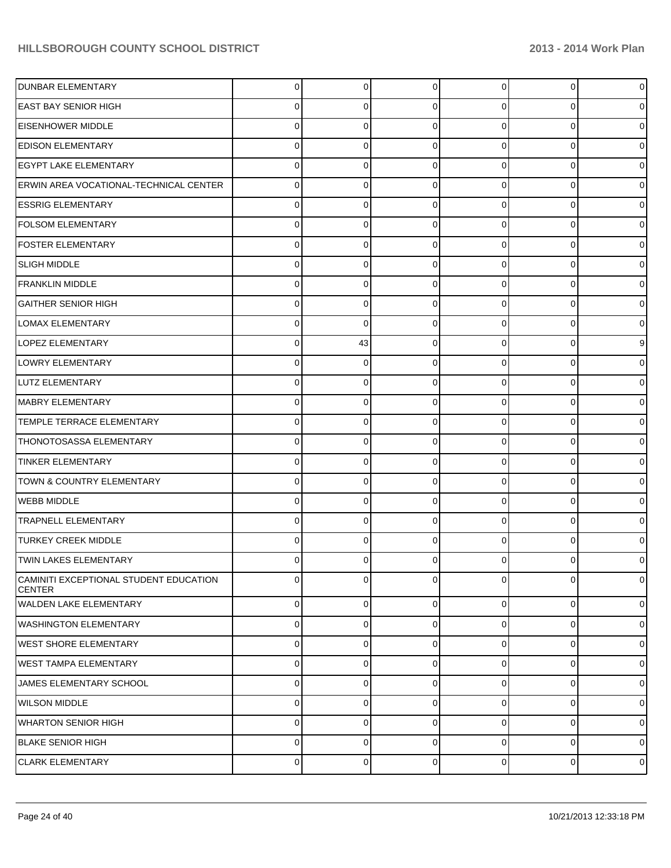| <b>DUNBAR ELEMENTARY</b>                                | 0              | $\overline{0}$ | $\Omega$       | $\overline{0}$ | $\overline{0}$ | $\pmb{0}$           |
|---------------------------------------------------------|----------------|----------------|----------------|----------------|----------------|---------------------|
| <b>EAST BAY SENIOR HIGH</b>                             | 0              | 0              | 0              | 0              | 0              | $\mathbf 0$         |
| <b>EISENHOWER MIDDLE</b>                                | 0              | 0              | $\Omega$       | $\Omega$       | 0              | $\pmb{0}$           |
| <b>EDISON ELEMENTARY</b>                                | 0              | 0              | $\Omega$       | 0              | 0              | $\mathbf 0$         |
| <b>EGYPT LAKE ELEMENTARY</b>                            | 0              | 0              | C              | $\Omega$       | 0              | $\pmb{0}$           |
| ERWIN AREA VOCATIONAL-TECHNICAL CENTER                  | 0              | 0              | 0              | 0              | 0              | $\mathbf 0$         |
| <b>ESSRIG ELEMENTARY</b>                                | 0              | 0              | C              | $\Omega$       | 0              | $\pmb{0}$           |
| <b>FOLSOM ELEMENTARY</b>                                | 0              | 0              | ∩              | 0              | 0              | $\mathbf 0$         |
| <b>FOSTER ELEMENTARY</b>                                | 0              | 0              | C              | $\Omega$       | 0              | $\pmb{0}$           |
| <b>SLIGH MIDDLE</b>                                     | 0              | 0              | $\Omega$       | $\Omega$       | 0              | $\mathbf 0$         |
| <b>FRANKLIN MIDDLE</b>                                  | 0              | 0              | ∩              | $\Omega$       | 0              | $\pmb{0}$           |
| IGAITHER SENIOR HIGH                                    | 0              | 0              | ∩              | 0              | 0              | $\mathbf 0$         |
| <b>LOMAX ELEMENTARY</b>                                 | 0              | 0              | ∩              | $\Omega$       | 0              | $\pmb{0}$           |
| LOPEZ ELEMENTARY                                        | 0              | 43             | $\Omega$       | $\Omega$       | 0              | $\boldsymbol{9}$    |
| LOWRY ELEMENTARY                                        | 0              | 0              | C              | $\Omega$       | 0              | $\pmb{0}$           |
| LUTZ ELEMENTARY                                         | 0              | 0              | $\Omega$       | $\Omega$       | $\overline{0}$ | $\pmb{0}$           |
| MABRY ELEMENTARY                                        | 0              | 0              | ∩              | $\Omega$       | 0              | $\pmb{0}$           |
| TEMPLE TERRACE ELEMENTARY                               | 0              | 0              | $\Omega$       | $\Omega$       | 0              | $\mathsf{O}\xspace$ |
| THONOTOSASSA ELEMENTARY                                 | 0              | 0              | ∩              | $\Omega$       | 0              | $\pmb{0}$           |
| <b>TINKER ELEMENTARY</b>                                | 0              | 0              | $\Omega$       | $\Omega$       | 0              | $\mathbf 0$         |
| TOWN & COUNTRY ELEMENTARY                               | 0              | 0              | ∩              | $\Omega$       | 0              | $\pmb{0}$           |
| <b>WEBB MIDDLE</b>                                      | 0              | 0              | $\Omega$       | $\Omega$       | 0              | $\pmb{0}$           |
| <b>TRAPNELL ELEMENTARY</b>                              | 0              | 0              | $\Omega$       | $\Omega$       | 0              | $\pmb{0}$           |
| <b>TURKEY CREEK MIDDLE</b>                              | 0              | 0              | $\Omega$       | 0              | 0              | $\mathbf 0$         |
| <b>TWIN LAKES ELEMENTARY</b>                            | 0              | 0              |                | 0              | 0              | $\mathbf 0$         |
| CAMINITI EXCEPTIONAL STUDENT EDUCATION<br><b>CENTER</b> | $\Omega$       | 0              | $\Omega$       | $\Omega$       | 0              | $\mathbf 0$         |
| <b>WALDEN LAKE ELEMENTARY</b>                           | $\Omega$       | $\overline{0}$ | $\overline{0}$ | $\overline{0}$ | $\overline{0}$ | $\mathbf 0$         |
| <b>WASHINGTON ELEMENTARY</b>                            | $\Omega$       | $\Omega$       | $\Omega$       | $\Omega$       | $\overline{0}$ | $\mathbf 0$         |
| <b>WEST SHORE ELEMENTARY</b>                            | $\Omega$       | $\Omega$       | $\Omega$       | $\Omega$       | $\overline{0}$ | $\mathbf 0$         |
| <b>I</b> WEST TAMPA ELEMENTARY                          | $\Omega$       | $\Omega$       | $\Omega$       | $\overline{0}$ | $\overline{0}$ | $\mathbf 0$         |
| JAMES ELEMENTARY SCHOOL                                 | $\Omega$       | $\Omega$       | $\Omega$       | $\Omega$       | $\overline{0}$ | $\mathbf 0$         |
| <b>WILSON MIDDLE</b>                                    | $\Omega$       | 0              | $\Omega$       | $\Omega$       | $\overline{0}$ | $\mathbf 0$         |
| WHARTON SENIOR HIGH                                     | $\Omega$       | $\Omega$       | $\Omega$       | $\Omega$       | $\overline{0}$ | $\mathbf 0$         |
| <b>BLAKE SENIOR HIGH</b>                                | $\Omega$       | $\Omega$       | $\Omega$       | $\Omega$       | $\overline{0}$ | $\mathbf 0$         |
| <b>CLARK ELEMENTARY</b>                                 | $\overline{0}$ | 0              | $\overline{0}$ | $\overline{0}$ | $\overline{0}$ | $\mathbf 0$         |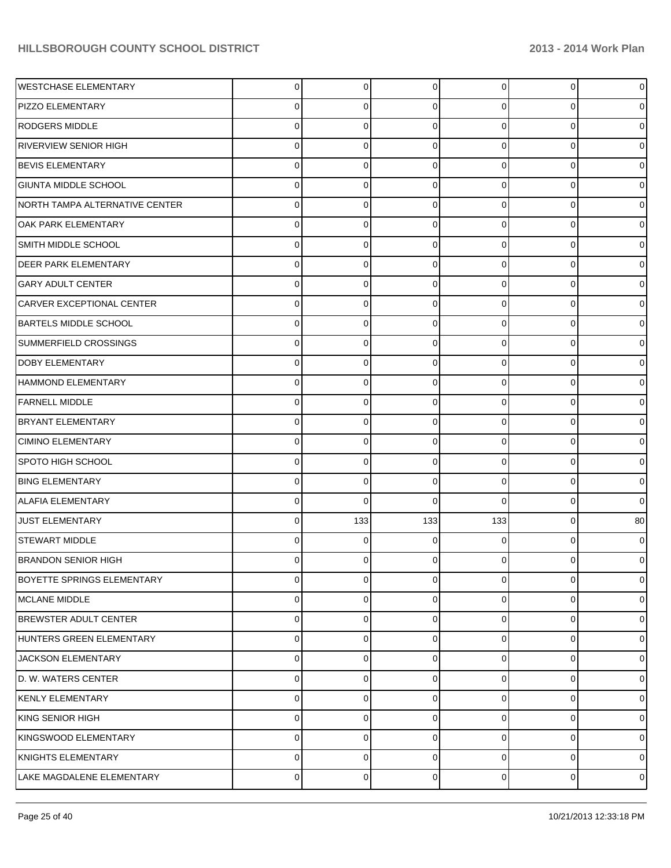| <b>WESTCHASE ELEMENTARY</b>       | 0 | $\overline{0}$ | $\mathbf 0$ | 0              | $\overline{0}$ | $\pmb{0}$   |
|-----------------------------------|---|----------------|-------------|----------------|----------------|-------------|
| PIZZO ELEMENTARY                  |   | 0              | $\Omega$    | 0              | 0              | $\mathbf 0$ |
| <b>RODGERS MIDDLE</b>             |   | 0              | $\Omega$    | 0              | 0              | $\pmb{0}$   |
| RIVERVIEW SENIOR HIGH             |   | 0              | $\Omega$    | 0              | 0              | $\mathbf 0$ |
| <b>BEVIS ELEMENTARY</b>           |   | 0              | $\Omega$    | 0              | 0              | $\pmb{0}$   |
| GIUNTA MIDDLE SCHOOL              |   | 0              | $\Omega$    | 0              | 0              | $\mathbf 0$ |
| NORTH TAMPA ALTERNATIVE CENTER    |   | 0              | $\Omega$    | 0              | 0              | $\pmb{0}$   |
| <b>OAK PARK ELEMENTARY</b>        | 0 | 0              | $\Omega$    | 0              | 0              | $\mathbf 0$ |
| SMITH MIDDLE SCHOOL               |   | 0              | $\Omega$    | 0              | 0              | $\pmb{0}$   |
| <b>DEER PARK ELEMENTARY</b>       | 0 | 0              | $\Omega$    | 0              | 0              | $\mathbf 0$ |
| <b>GARY ADULT CENTER</b>          |   | 0              | $\Omega$    | 0              | 0              | $\pmb{0}$   |
| CARVER EXCEPTIONAL CENTER         | 0 | 0              | $\Omega$    | 0              | 0              | $\mathbf 0$ |
| <b>BARTELS MIDDLE SCHOOL</b>      |   | 0              | $\Omega$    | 0              | 0              | $\pmb{0}$   |
| SUMMERFIELD CROSSINGS             | 0 | 0              | $\Omega$    | 0              | 0              | $\mathbf 0$ |
| DOBY ELEMENTARY                   |   | 0              | $\Omega$    | 0              | 0              | $\pmb{0}$   |
| HAMMOND ELEMENTARY                | 0 | 0              | $\Omega$    | 0              | 0              | $\mathbf 0$ |
| <b>FARNELL MIDDLE</b>             |   | 0              | $\Omega$    | 0              | 0              | $\pmb{0}$   |
| <b>BRYANT ELEMENTARY</b>          | 0 | 0              | $\Omega$    | 0              | $\overline{0}$ | $\mathbf 0$ |
| <b>CIMINO ELEMENTARY</b>          |   | 0              | $\Omega$    | 0              | 0              | $\pmb{0}$   |
| SPOTO HIGH SCHOOL                 | 0 | 0              | $\Omega$    | 0              | 0              | $\mathbf 0$ |
| <b>BING ELEMENTARY</b>            |   | 0              | $\Omega$    | 0              | 0              | $\pmb{0}$   |
| <b>ALAFIA ELEMENTARY</b>          | 0 | 0              | $\Omega$    | 0              | $\overline{0}$ | $\mathbf 0$ |
| JUST ELEMENTARY                   | 0 | 133            | 133         | 133            | 0              | 80          |
| STEWART MIDDLE                    | 0 | 0              | $\Omega$    | 0              | $\overline{0}$ | $\mathbf 0$ |
| <b>BRANDON SENIOR HIGH</b>        | 0 | 0              | $\Omega$    | 0              | 0              | $\mathbf 0$ |
| <b>BOYETTE SPRINGS ELEMENTARY</b> | 0 | 0              | $\mathbf 0$ | 0              | $\overline{0}$ | $\mathbf 0$ |
| MCLANE MIDDLE                     | 0 | 0              | 0           | 0              | 0              | $\mathbf 0$ |
| <b>BREWSTER ADULT CENTER</b>      | 0 | 0              | $\Omega$    | 0              | 0              | $\mathbf 0$ |
| HUNTERS GREEN ELEMENTARY          | 0 | 0              | 0           | 0              | $\overline{0}$ | $\mathbf 0$ |
| JACKSON ELEMENTARY                | 0 | 0              | $\Omega$    | 0              | 0              | $\mathbf 0$ |
| D. W. WATERS CENTER               | 0 | 0              | 0           | 0              | $\overline{0}$ | $\mathbf 0$ |
| KENLY ELEMENTARY                  | 0 | 0              | $\Omega$    | 0              | $\overline{0}$ | $\mathbf 0$ |
| KING SENIOR HIGH                  | 0 | 0              | 0           | 0              | $\overline{0}$ | $\mathbf 0$ |
| KINGSWOOD ELEMENTARY              | 0 | 0              | $\Omega$    | 0              | 0              | $\mathbf 0$ |
| KNIGHTS ELEMENTARY                | 0 | 0              | $\mathbf 0$ | $\overline{0}$ | $\overline{0}$ | $\mathbf 0$ |
| LAKE MAGDALENE ELEMENTARY         | 0 | 0              | 0           | $\overline{0}$ | $\overline{0}$ | $\pmb{0}$   |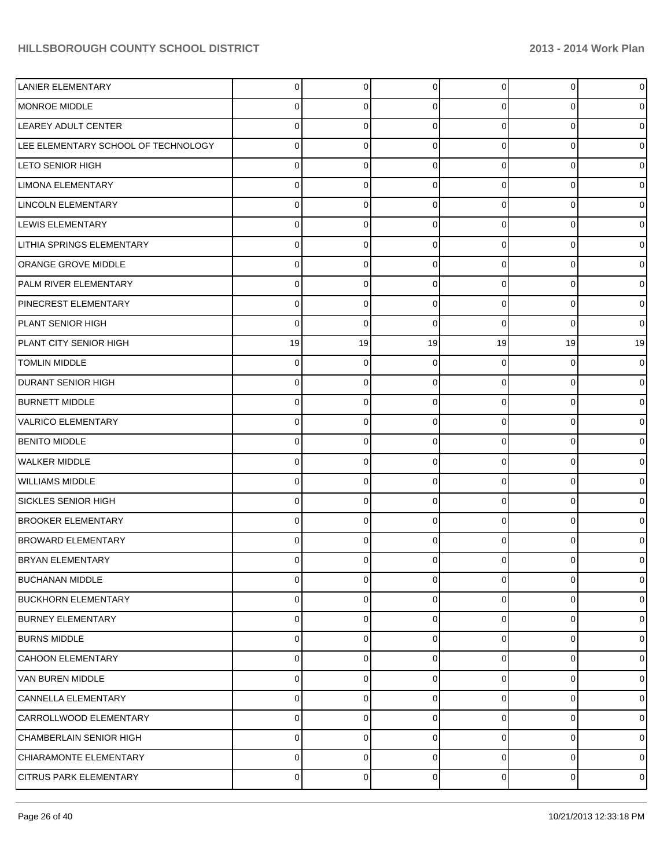| <b>LANIER ELEMENTARY</b>            | 0  | 0        | $\mathbf 0$ | 0              | $\overline{0}$ | $\pmb{0}$           |
|-------------------------------------|----|----------|-------------|----------------|----------------|---------------------|
| MONROE MIDDLE                       | 0  | 0        | $\Omega$    | 0              | 0              | $\mathbf 0$         |
| LEAREY ADULT CENTER                 | 0  | $\Omega$ | $\Omega$    | 0              | 0              | $\pmb{0}$           |
| LEE ELEMENTARY SCHOOL OF TECHNOLOGY | 0  | 0        | $\Omega$    | 0              | $\mathbf 0$    | $\pmb{0}$           |
| <b>LETO SENIOR HIGH</b>             | 0  | 0        | $\Omega$    | 0              | 0              | $\pmb{0}$           |
| <b>LIMONA ELEMENTARY</b>            | 0  | 0        | $\Omega$    | 0              | $\mathbf 0$    | $\mathbf 0$         |
| <b>LINCOLN ELEMENTARY</b>           | 0  | 0        | $\Omega$    | 0              | 0              | $\pmb{0}$           |
| LEWIS ELEMENTARY                    | 0  | 0        | $\Omega$    | 0              | $\mathbf 0$    | $\pmb{0}$           |
| <b>LITHIA SPRINGS ELEMENTARY</b>    | 0  | $\Omega$ | $\Omega$    | 0              | 0              | $\pmb{0}$           |
| <b>ORANGE GROVE MIDDLE</b>          | 0  | 0        | $\Omega$    | 0              | $\mathbf 0$    | $\mathbf 0$         |
| PALM RIVER ELEMENTARY               | 0  | $\Omega$ | $\Omega$    | 0              | 0              | $\pmb{0}$           |
| PINECREST ELEMENTARY                | 0  | 0        | $\Omega$    | 0              | $\mathbf 0$    | $\pmb{0}$           |
| PLANT SENIOR HIGH                   | 0  | 0        | $\Omega$    | 0              | 0              | $\mathbf 0$         |
| PLANT CITY SENIOR HIGH              | 19 | 19       | 19          | 19             | 19             | 19                  |
| <b>TOMLIN MIDDLE</b>                | 0  | 0        | $\Omega$    | 0              | 0              | $\mathbf 0$         |
| IDURANT SENIOR HIGH                 | 0  | 0        | $\Omega$    | 0              | $\mathbf 0$    | $\pmb{0}$           |
| <b>BURNETT MIDDLE</b>               | 0  | $\Omega$ | $\Omega$    | 0              | 0              | $\pmb{0}$           |
| <b>VALRICO ELEMENTARY</b>           | 0  | 0        | $\Omega$    | 0              | $\mathbf 0$    | $\mathbf 0$         |
| <b>BENITO MIDDLE</b>                | 0  | 0        | $\Omega$    | 0              | 0              | $\pmb{0}$           |
| WALKER MIDDLE                       | 0  | $\Omega$ | $\Omega$    | 0              | $\mathbf 0$    | $\pmb{0}$           |
| <b>WILLIAMS MIDDLE</b>              | 0  | $\Omega$ | $\Omega$    | 0              | 0              | $\pmb{0}$           |
| SICKLES SENIOR HIGH                 | 0  | 0        | $\Omega$    | 0              | $\mathbf 0$    | $\pmb{0}$           |
| <b>BROOKER ELEMENTARY</b>           | 0  | $\Omega$ | $\Omega$    | 0              | 0              | $\pmb{0}$           |
| <b>BROWARD ELEMENTARY</b>           | 0  | 0        | $\Omega$    | 0              | $\mathbf 0$    | $\mathbf 0$         |
| <b>BRYAN ELEMENTARY</b>             | 0  | 0        | $\Omega$    | 0              | $\mathbf 0$    | $\mathbf 0$         |
| <b>BUCHANAN MIDDLE</b>              | 0  | 0        | $\mathbf 0$ | $\overline{0}$ | 0              | $\mathbf 0$         |
| <b>BUCKHORN ELEMENTARY</b>          | 0  | 0        | 0           | 0              | $\mathbf 0$    | $\mathbf 0$         |
| <b>BURNEY ELEMENTARY</b>            | 0  | 0        | $\Omega$    | 0              | $\mathbf 0$    | $\mathbf 0$         |
| <b>BURNS MIDDLE</b>                 | 0  | 0        | 0           | 0              | $\mathbf 0$    | $\mathbf 0$         |
| CAHOON ELEMENTARY                   | 0  | 0        | 0           | 0              | $\mathbf 0$    | $\mathbf 0$         |
| VAN BUREN MIDDLE                    | 0  | 0        | 0           | 0              | $\mathbf 0$    | $\mathbf 0$         |
| CANNELLA ELEMENTARY                 | 0  | $\Omega$ | $\Omega$    | 0              | $\mathbf 0$    | $\mathbf 0$         |
| CARROLLWOOD ELEMENTARY              | 0  | 0        | 0           | 0              | $\mathbf 0$    | $\mathbf 0$         |
| CHAMBERLAIN SENIOR HIGH             | 0  | 0        | $\mathbf 0$ | $\overline{0}$ | 0              | $\mathbf 0$         |
| CHIARAMONTE ELEMENTARY              | 0  | 0        | $\mathbf 0$ | $\overline{0}$ | 0              | $\mathsf{O}\xspace$ |
| <b>CITRUS PARK ELEMENTARY</b>       | 0  | 0        | 0           | $\overline{0}$ | $\overline{0}$ | $\pmb{0}$           |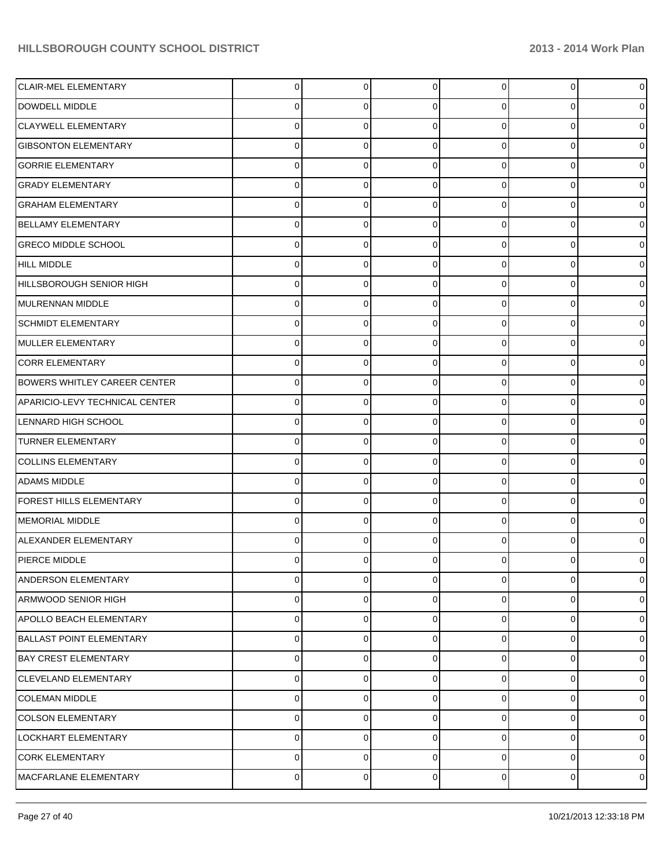| <b>CLAIR-MEL ELEMENTARY</b>         | $\Omega$ | $\overline{0}$ | $\Omega$       | 0              | 0              | $\mathbf 0$    |
|-------------------------------------|----------|----------------|----------------|----------------|----------------|----------------|
| DOWDELL MIDDLE                      | 0        | 0              | $\Omega$       | 0              | $\overline{0}$ | $\mathbf 0$    |
| <b>CLAYWELL ELEMENTARY</b>          | $\Omega$ | $\Omega$       | $\Omega$       | $\Omega$       | $\overline{0}$ | $\mathbf 0$    |
| <b>GIBSONTON ELEMENTARY</b>         | $\Omega$ | $\Omega$       | $\Omega$       | $\Omega$       | $\overline{0}$ | $\mathbf 0$    |
| <b>GORRIE ELEMENTARY</b>            | $\Omega$ | $\Omega$       | $\Omega$       | $\Omega$       | $\overline{0}$ | $\mathbf 0$    |
| <b>GRADY ELEMENTARY</b>             | $\Omega$ | $\Omega$       | $\Omega$       | $\Omega$       | $\overline{0}$ | $\mathbf 0$    |
| <b>GRAHAM ELEMENTARY</b>            | $\Omega$ | $\Omega$       | $\Omega$       | $\Omega$       | $\overline{0}$ | $\overline{0}$ |
| BELLAMY ELEMENTARY                  | $\Omega$ | $\Omega$       | $\Omega$       | $\Omega$       | $\overline{0}$ | $\mathbf 0$    |
| <b>GRECO MIDDLE SCHOOL</b>          | 0        | $\Omega$       | $\Omega$       | $\Omega$       | $\overline{0}$ | $\mathbf 0$    |
| <b>HILL MIDDLE</b>                  | $\Omega$ | $\Omega$       | $\Omega$       | $\Omega$       | $\overline{0}$ | $\mathbf 0$    |
| HILLSBOROUGH SENIOR HIGH            | $\Omega$ | $\Omega$       | $\Omega$       | $\Omega$       | $\overline{0}$ | $\mathbf 0$    |
| MULRENNAN MIDDLE                    | $\Omega$ | $\Omega$       | $\Omega$       | $\Omega$       | $\overline{0}$ | $\mathbf 0$    |
| <b>SCHMIDT ELEMENTARY</b>           | 0        | 0              | $\Omega$       | $\Omega$       | $\overline{0}$ | $\mathbf 0$    |
| MULLER ELEMENTARY                   | $\Omega$ | $\Omega$       | $\Omega$       | $\Omega$       | $\overline{0}$ | $\mathbf 0$    |
| CORR ELEMENTARY                     | $\Omega$ | $\Omega$       | $\Omega$       | $\Omega$       | $\overline{0}$ | $\overline{0}$ |
| <b>BOWERS WHITLEY CAREER CENTER</b> | $\Omega$ | $\Omega$       | $\Omega$       | $\Omega$       | $\overline{0}$ | $\mathbf 0$    |
| APARICIO-LEVY TECHNICAL CENTER      | 0        | 0              | $\Omega$       | $\Omega$       | $\overline{0}$ | $\mathbf 0$    |
| LENNARD HIGH SCHOOL                 | $\Omega$ | $\Omega$       | $\Omega$       | $\Omega$       | $\overline{0}$ | $\mathbf 0$    |
| <b>TURNER ELEMENTARY</b>            | $\Omega$ | $\Omega$       | $\Omega$       | $\Omega$       | $\overline{0}$ | $\overline{0}$ |
| <b>COLLINS ELEMENTARY</b>           | $\Omega$ | $\Omega$       | $\Omega$       | $\Omega$       | $\overline{0}$ | $\mathbf 0$    |
| <b>ADAMS MIDDLE</b>                 | 0        | 0              | $\Omega$       | $\Omega$       | $\overline{0}$ | $\mathbf 0$    |
| FOREST HILLS ELEMENTARY             | $\Omega$ | $\Omega$       | $\Omega$       | $\Omega$       | $\overline{0}$ | $\mathbf 0$    |
| MEMORIAL MIDDLE                     | $\Omega$ | $\Omega$       | $\Omega$       | $\Omega$       | $\Omega$       | $\overline{0}$ |
| ALEXANDER ELEMENTARY                | $\Omega$ | $\Omega$       | $\Omega$       | 0              | $\overline{0}$ | $\overline{0}$ |
| PIERCE MIDDLE                       |          | ŋ              |                |                | 0              | $\overline{0}$ |
| ANDERSON ELEMENTARY                 | 0        | $\overline{0}$ | $\overline{0}$ | $\overline{0}$ | 0              | $\mathbf 0$    |
| ARMWOOD SENIOR HIGH                 | $\Omega$ | $\Omega$       | $\Omega$       | 0              | $\overline{0}$ | $\mathbf 0$    |
| APOLLO BEACH ELEMENTARY             | $\Omega$ | $\Omega$       | $\Omega$       | $\mathbf 0$    | $\overline{0}$ | $\mathbf 0$    |
| <b>BALLAST POINT ELEMENTARY</b>     | $\Omega$ | $\Omega$       | $\Omega$       | $\mathbf 0$    | $\overline{0}$ | $\mathbf 0$    |
| <b>BAY CREST ELEMENTARY</b>         | $\Omega$ | $\Omega$       | $\Omega$       | 0              | $\overline{0}$ | $\mathbf 0$    |
| <b>CLEVELAND ELEMENTARY</b>         | $\Omega$ | $\Omega$       | $\Omega$       | $\mathbf 0$    | $\overline{0}$ | $\mathbf 0$    |
| <b>COLEMAN MIDDLE</b>               | $\Omega$ | $\Omega$       | $\Omega$       | $\mathbf 0$    | $\overline{0}$ | $\mathbf 0$    |
| <b>COLSON ELEMENTARY</b>            | $\Omega$ | $\Omega$       | $\Omega$       | $\mathbf 0$    | $\overline{0}$ | $\mathbf 0$    |
| LOCKHART ELEMENTARY                 | 0        | $\Omega$       | $\Omega$       | 0              | $\mathbf 0$    | $\mathbf 0$    |
| <b>CORK ELEMENTARY</b>              | $\Omega$ | 0              | 0              | 0              | $\mathbf 0$    | $\mathbf 0$    |
| MACFARLANE ELEMENTARY               | 0        | 0              | 0              | $\overline{0}$ | $\overline{0}$ | $\mathbf 0$    |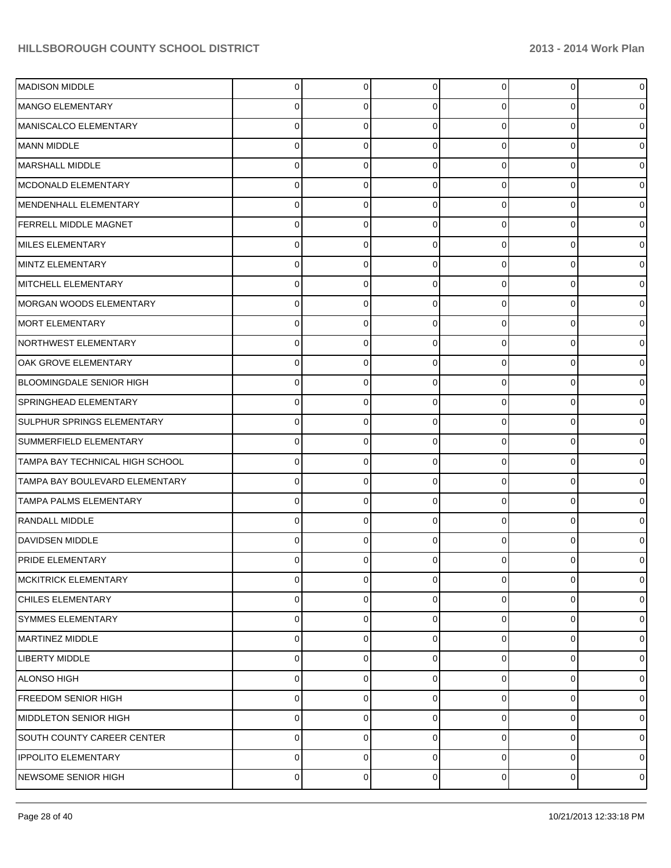| MADISON MIDDLE                    | $\Omega$ | $\overline{0}$ | $\Omega$    | 0              | $\overline{0}$ | $\mathbf 0$    |
|-----------------------------------|----------|----------------|-------------|----------------|----------------|----------------|
| MANGO ELEMENTARY                  | 0        | 0              | $\Omega$    | 0              | $\overline{0}$ | $\overline{0}$ |
| MANISCALCO ELEMENTARY             | 0        | 0              | $\Omega$    | 0              | $\overline{0}$ | $\mathbf 0$    |
| MANN MIDDLE                       | 0        | 0              | $\Omega$    | 0              | $\overline{0}$ | $\mathbf 0$    |
| MARSHALL MIDDLE                   | 0        | 0              | $\Omega$    | 0              | $\overline{0}$ | $\mathbf 0$    |
| MCDONALD ELEMENTARY               | 0        | 0              | $\Omega$    | 0              | $\mathbf{0}$   | $\mathbf 0$    |
| MENDENHALL ELEMENTARY             | 0        | 0              | $\Omega$    | 0              | $\overline{0}$ | $\mathbf 0$    |
| <b>FERRELL MIDDLE MAGNET</b>      | 0        | 0              | $\Omega$    | 0              | $\mathbf 0$    | $\mathbf 0$    |
| MILES ELEMENTARY                  | 0        | 0              | $\Omega$    | 0              | $\overline{0}$ | $\mathbf 0$    |
| MINTZ ELEMENTARY                  | 0        | 0              | $\Omega$    | 0              | $\mathbf{0}$   | $\mathbf 0$    |
| MITCHELL ELEMENTARY               | 0        | 0              | $\Omega$    | 0              | $\overline{0}$ | $\mathbf 0$    |
| IMORGAN WOODS ELEMENTARY          | 0        | 0              | $\Omega$    | 0              | $\mathbf 0$    | $\mathbf 0$    |
| MORT ELEMENTARY                   | 0        | 0              | $\Omega$    | 0              | $\overline{0}$ | $\mathbf 0$    |
| NORTHWEST ELEMENTARY              | 0        | 0              | $\Omega$    | 0              | $\mathbf{0}$   | $\mathbf 0$    |
| OAK GROVE ELEMENTARY              | 0        | 0              | $\Omega$    | 0              | $\overline{0}$ | $\mathbf 0$    |
| BLOOMINGDALE SENIOR HIGH          | 0        | 0              | $\Omega$    | 0              | $\mathbf 0$    | $\mathbf 0$    |
| SPRINGHEAD ELEMENTARY             | 0        | 0              | $\Omega$    | 0              | $\overline{0}$ | $\mathbf 0$    |
| <b>SULPHUR SPRINGS ELEMENTARY</b> | 0        | 0              | $\Omega$    | 0              | $\mathbf 0$    | $\mathbf 0$    |
| SUMMERFIELD ELEMENTARY            | 0        | 0              | $\Omega$    | 0              | $\overline{0}$ | $\mathbf 0$    |
| TAMPA BAY TECHNICAL HIGH SCHOOL   | 0        | 0              | $\Omega$    | 0              | $\mathbf 0$    | $\mathbf 0$    |
| TAMPA BAY BOULEVARD ELEMENTARY    | 0        | 0              | $\Omega$    | 0              | 0              | $\mathbf 0$    |
| <b>TAMPA PALMS ELEMENTARY</b>     | 0        | 0              | $\Omega$    | 0              | $\mathbf 0$    | $\mathbf 0$    |
| RANDALL MIDDLE                    | 0        | 0              | $\Omega$    | 0              | $\overline{0}$ | $\mathbf 0$    |
| <b>DAVIDSEN MIDDLE</b>            | 0        | 0              | $\Omega$    | 0              | $\overline{0}$ | $\mathbf 0$    |
| PRIDE ELEMENTARY                  | 0        | o              | ∩           |                | 0              | $\mathbf 0$    |
| <b>MCKITRICK ELEMENTARY</b>       | 0        | $\overline{0}$ | $\mathbf 0$ | $\overline{0}$ | 0              | $\mathbf 0$    |
| <b>CHILES ELEMENTARY</b>          | 0        | 0              | 0           | $\overline{0}$ | $\mathbf 0$    | $\mathbf 0$    |
| <b>SYMMES ELEMENTARY</b>          | 0        | 0              | 0           | 0              | $\mathbf 0$    | $\mathbf 0$    |
| MARTINEZ MIDDLE                   | 0        | 0              | 0           | $\overline{0}$ | $\mathbf 0$    | $\mathbf 0$    |
| <b>LIBERTY MIDDLE</b>             | 0        | 0              | $\Omega$    | 0              | 0              | $\mathbf 0$    |
| <b>ALONSO HIGH</b>                | 0        | 0              | 0           | $\overline{0}$ | $\mathbf 0$    | $\mathbf 0$    |
| <b>FREEDOM SENIOR HIGH</b>        | 0        | 0              | $\Omega$    | 0              | 0              | $\mathbf 0$    |
| MIDDLETON SENIOR HIGH             | 0        | 0              | 0           | $\overline{0}$ | $\mathbf 0$    | $\mathbf 0$    |
| SOUTH COUNTY CAREER CENTER        | 0        | 0              | $\Omega$    | 0              | 0              | $\mathbf 0$    |
| <b>IPPOLITO ELEMENTARY</b>        | 0        | 0              | 0           | 0              | $\mathbf 0$    | $\overline{0}$ |
| NEWSOME SENIOR HIGH               | 0        | 0              | 0           | $\overline{0}$ | $\overline{0}$ | $\mathbf 0$    |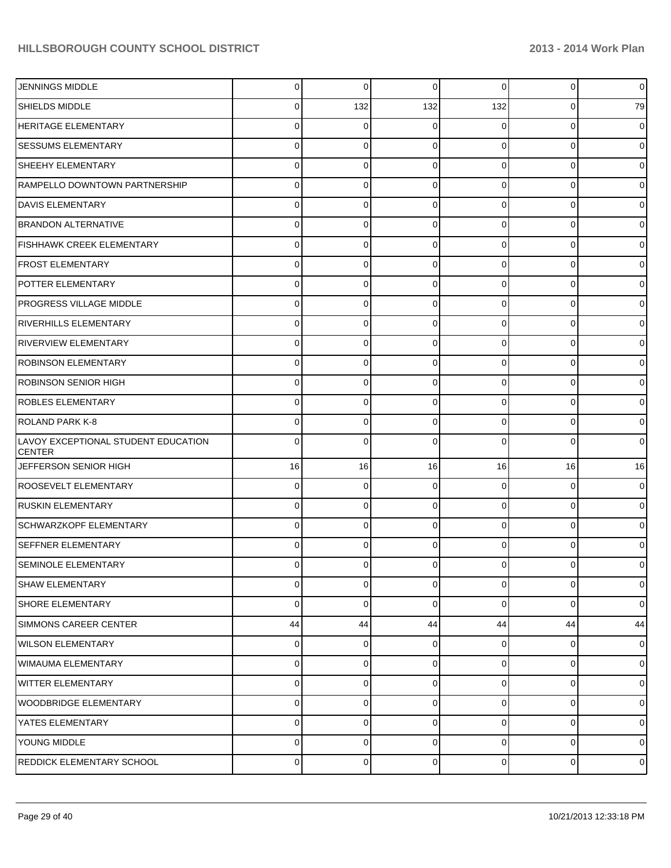| <b>JENNINGS MIDDLE</b>                               | $\overline{0}$ | 0              | $\mathbf 0$    | $\Omega$       | $\overline{0}$ | $\mathbf 0$    |
|------------------------------------------------------|----------------|----------------|----------------|----------------|----------------|----------------|
| <b>SHIELDS MIDDLE</b>                                | 0              | 132            | 132            | 132            | 0              | 79             |
| <b>HERITAGE ELEMENTARY</b>                           | 0              | 0              | ∩              | 0              | 0              | $\overline{0}$ |
| <b>SESSUMS ELEMENTARY</b>                            | 0              | 0              | 0              | 0              | 0              | $\overline{0}$ |
| SHEEHY ELEMENTARY                                    | 0              | 0              | $\Omega$       | $\Omega$       | 0              | $\mathbf 0$    |
| RAMPELLO DOWNTOWN PARTNERSHIP                        | 0              | 0              | 0              | 0              | 0              | $\overline{0}$ |
| <b>DAVIS ELEMENTARY</b>                              | 0              | 0              | $\Omega$       | $\Omega$       | 0              | $\mathbf 0$    |
| <b>BRANDON ALTERNATIVE</b>                           | 0              | 0              | $\Omega$       | 0              | 0              | $\overline{0}$ |
| <b>FISHHAWK CREEK ELEMENTARY</b>                     | 0              | 0              | $\Omega$       | $\Omega$       | 0              | $\mathbf 0$    |
| <b>FROST ELEMENTARY</b>                              | 0              | 0              | 0              | 0              | 0              | $\overline{0}$ |
| POTTER ELEMENTARY                                    | 0              | 0              | $\Omega$       | 0              | 0              | $\mathbf 0$    |
| <b>PROGRESS VILLAGE MIDDLE</b>                       | 0              | 0              | $\Omega$       | 0              | 0              | $\overline{0}$ |
| RIVERHILLS ELEMENTARY                                | 0              | 0              | $\Omega$       | $\Omega$       | 0              | $\mathbf 0$    |
| <b>RIVERVIEW ELEMENTARY</b>                          | 0              | 0              | $\Omega$       | 0              | 0              | $\overline{0}$ |
| ROBINSON ELEMENTARY                                  | 0              | 0              | 0              | 0              | 0              | $\mathbf 0$    |
| ROBINSON SENIOR HIGH                                 | 0              | 0              | 0              | 0              | 0              | $\overline{0}$ |
| <b>ROBLES ELEMENTARY</b>                             | 0              | 0              | $\Omega$       | 0              | 0              | $\mathbf 0$    |
| ROLAND PARK K-8                                      | 0              | 0              | $\Omega$       | 0              | 0              | $\overline{0}$ |
| LAVOY EXCEPTIONAL STUDENT EDUCATION<br><b>CENTER</b> | 0              | 0              |                | U              | 0              | $\mathbf 0$    |
| JEFFERSON SENIOR HIGH                                | 16             | 16             | 16             | 16             | 16             | 16             |
| ROOSEVELT ELEMENTARY                                 | $\overline{0}$ | 0              | $\mathbf 0$    | $\overline{0}$ | $\overline{0}$ | $\mathbf 0$    |
| <b>RUSKIN ELEMENTARY</b>                             | $\overline{0}$ | 0              | $\Omega$       | $\overline{0}$ | $\overline{0}$ | $\mathbf 0$    |
| SCHWARZKOPF ELEMENTARY                               | $\overline{0}$ | 0              | 0              | $\overline{0}$ | $\overline{0}$ | $\mathbf 0$    |
| <b>SEFFNER ELEMENTARY</b>                            | $\Omega$       | $\Omega$       | $\Omega$       | $\overline{0}$ | $\overline{0}$ | $\overline{0}$ |
| <b>SEMINOLE ELEMENTARY</b>                           | $\overline{0}$ | $\overline{0}$ | $\Omega$       | $\overline{0}$ | $\overline{0}$ | $\overline{0}$ |
| <b>SHAW ELEMENTARY</b>                               | $\Omega$       | $\overline{0}$ | $\overline{0}$ | $\overline{0}$ | $\overline{0}$ | $\mathbf 0$    |
| <b>SHORE ELEMENTARY</b>                              | $\Omega$       | $\overline{0}$ | $\overline{0}$ | $\overline{0}$ | $\overline{0}$ | $\overline{0}$ |
| SIMMONS CAREER CENTER                                | 44             | 44             | 44             | 44             | 44             | 44             |
| WILSON ELEMENTARY                                    | $\overline{0}$ | 0              | $\overline{0}$ | $\overline{0}$ | $\overline{0}$ | $\mathbf 0$    |
| WIMAUMA ELEMENTARY                                   | $\Omega$       | $\Omega$       | $\overline{0}$ | $\overline{0}$ | $\overline{0}$ | $\mathbf 0$    |
| WITTER ELEMENTARY                                    | $\overline{0}$ | $\Omega$       | $\overline{0}$ | $\overline{0}$ | $\overline{0}$ | $\mathbf 0$    |
| WOODBRIDGE ELEMENTARY                                | $\overline{0}$ | $\Omega$       | $\overline{0}$ | $\overline{0}$ | $\overline{0}$ | $\mathbf 0$    |
| YATES ELEMENTARY                                     | $\overline{0}$ | $\Omega$       | $\overline{0}$ | $\overline{0}$ | $\overline{0}$ | $\mathbf 0$    |
| YOUNG MIDDLE                                         | $\overline{0}$ | 0              | 0              | $\overline{0}$ | $\overline{0}$ | $\overline{0}$ |
| REDDICK ELEMENTARY SCHOOL                            | $\overline{0}$ | 0              | $\overline{0}$ | $\overline{0}$ | $\overline{0}$ | $\mathbf 0$    |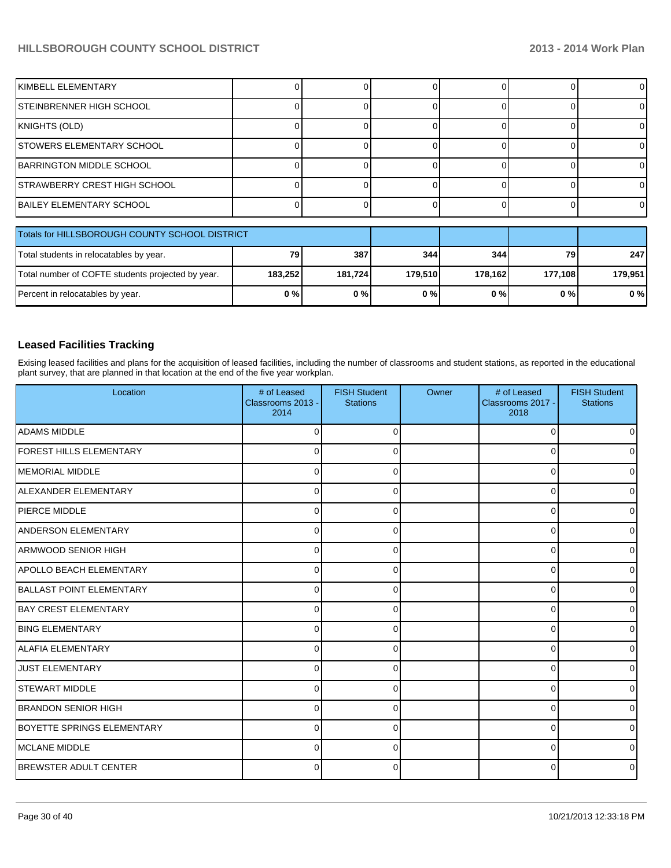| KIMBELL ELEMENTARY                  |  |  |  |
|-------------------------------------|--|--|--|
| <b>STEINBRENNER HIGH SCHOOL</b>     |  |  |  |
| KNIGHTS (OLD)                       |  |  |  |
| <b>STOWERS ELEMENTARY SCHOOL</b>    |  |  |  |
| <b>BARRINGTON MIDDLE SCHOOL</b>     |  |  |  |
| <b>STRAWBERRY CREST HIGH SCHOOL</b> |  |  |  |
| <b>BAILEY ELEMENTARY SCHOOL</b>     |  |  |  |

| <b>Totals for HILLSBOROUGH COUNTY SCHOOL DISTRICT</b> |         |         |         |         |         |         |
|-------------------------------------------------------|---------|---------|---------|---------|---------|---------|
| Total students in relocatables by year.               | 79      | 387     | 344     | 3441    | 79      | 247     |
| Total number of COFTE students projected by year.     | 183.252 | 181.724 | 179.510 | 178.162 | 177.108 | 179.951 |
| Percent in relocatables by year.                      | 0%      | 0%      | 0%      | 0%      | 0 % I   | 0%      |

#### **Leased Facilities Tracking**

Exising leased facilities and plans for the acquisition of leased facilities, including the number of classrooms and student stations, as reported in the educational plant survey, that are planned in that location at the end of the five year workplan.

| Location                          | # of Leased<br>Classrooms 2013 -<br>2014 | <b>FISH Student</b><br><b>Stations</b> | Owner | # of Leased<br>Classrooms 2017 -<br>2018 | <b>FISH Student</b><br><b>Stations</b> |
|-----------------------------------|------------------------------------------|----------------------------------------|-------|------------------------------------------|----------------------------------------|
| <b>ADAMS MIDDLE</b>               | $\Omega$                                 | ŋ                                      |       | $\Omega$                                 |                                        |
| <b>FOREST HILLS ELEMENTARY</b>    | $\Omega$                                 | 0                                      |       | 0                                        |                                        |
| MEMORIAL MIDDLE                   | $\Omega$                                 | O                                      |       | 0                                        |                                        |
| ALEXANDER ELEMENTARY              | 0                                        | ŋ                                      |       | $\Omega$                                 |                                        |
| PIERCE MIDDLE                     | O                                        |                                        |       | 0                                        |                                        |
| <b>ANDERSON ELEMENTARY</b>        | <sup>0</sup>                             |                                        |       | $\Omega$                                 |                                        |
| <b>ARMWOOD SENIOR HIGH</b>        | $\Omega$                                 |                                        |       | 0                                        |                                        |
| <b>APOLLO BEACH ELEMENTARY</b>    | $\Omega$                                 |                                        |       | $\Omega$                                 |                                        |
| BALLAST POINT ELEMENTARY          | $\Omega$                                 | ŋ                                      |       | 0                                        |                                        |
| <b>BAY CREST ELEMENTARY</b>       | $\Omega$                                 | U                                      |       | 0                                        |                                        |
| <b>BING ELEMENTARY</b>            | $\Omega$                                 | U                                      |       | $\Omega$                                 |                                        |
| IALAFIA ELEMENTARY                | $\Omega$                                 | ŋ                                      |       | $\Omega$                                 |                                        |
| <b>JUST ELEMENTARY</b>            | $\Omega$                                 | 0                                      |       | 0                                        |                                        |
| <b>STEWART MIDDLE</b>             | $\Omega$                                 |                                        |       | $\Omega$                                 |                                        |
| <b>BRANDON SENIOR HIGH</b>        | $\Omega$                                 |                                        |       | $\Omega$                                 |                                        |
| <b>BOYETTE SPRINGS ELEMENTARY</b> | <sup>0</sup>                             |                                        |       | 0                                        |                                        |
| MCLANE MIDDLE                     | $\Omega$                                 |                                        |       | 0                                        |                                        |
| <b>BREWSTER ADULT CENTER</b>      | <sup>0</sup>                             |                                        |       | 0                                        |                                        |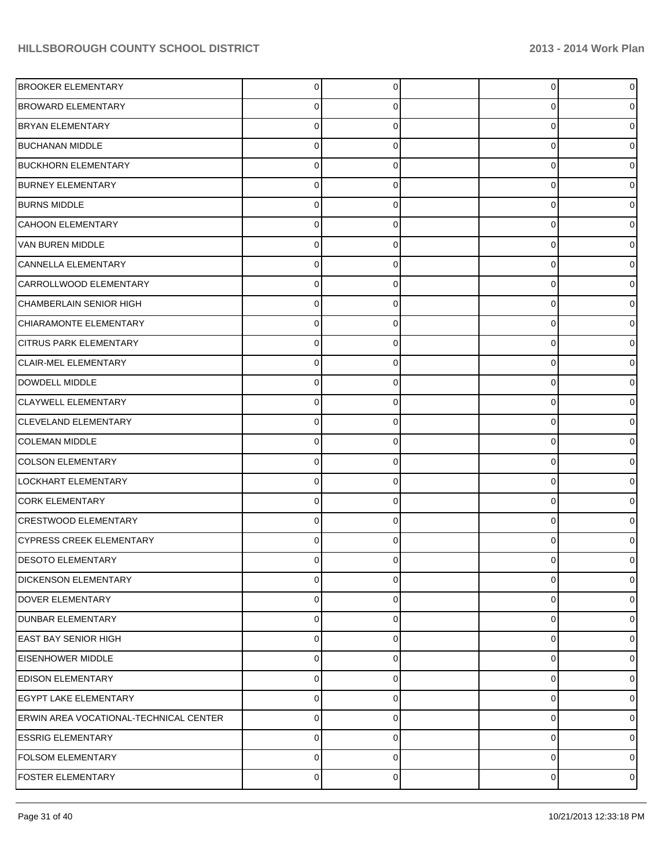| <b>BROOKER ELEMENTARY</b>              | $\overline{0}$ | $\Omega$    | $\Omega$       | $\Omega$       |
|----------------------------------------|----------------|-------------|----------------|----------------|
| <b>BROWARD ELEMENTARY</b>              | 0              | $\Omega$    | 0              | 0              |
| <b>BRYAN ELEMENTARY</b>                | $\Omega$       | $\Omega$    | $\Omega$       | 0              |
| <b>BUCHANAN MIDDLE</b>                 | $\Omega$       | $\Omega$    | $\Omega$       |                |
| <b>BUCKHORN ELEMENTARY</b>             | $\Omega$       | $\Omega$    | $\Omega$       |                |
| <b>BURNEY ELEMENTARY</b>               | $\Omega$       | $\Omega$    | $\Omega$       |                |
| <b>BURNS MIDDLE</b>                    | $\Omega$       | $\Omega$    | $\Omega$       |                |
| <b>CAHOON ELEMENTARY</b>               | $\Omega$       | $\Omega$    | $\Omega$       |                |
| VAN BUREN MIDDLE                       | $\Omega$       | 0           | $\Omega$       |                |
| CANNELLA ELEMENTARY                    | $\Omega$       | $\Omega$    | $\Omega$       |                |
| CARROLLWOOD ELEMENTARY                 | $\Omega$       | $\Omega$    | $\Omega$       |                |
| CHAMBERLAIN SENIOR HIGH                | $\Omega$       | $\Omega$    | $\Omega$       |                |
| CHIARAMONTE ELEMENTARY                 | 0              | 0           | $\Omega$       |                |
| <b>CITRUS PARK ELEMENTARY</b>          | $\Omega$       | $\Omega$    | $\Omega$       |                |
| CLAIR-MEL ELEMENTARY                   | $\Omega$       | $\Omega$    | $\Omega$       |                |
| DOWDELL MIDDLE                         | $\Omega$       | $\Omega$    | $\Omega$       |                |
| <b>CLAYWELL ELEMENTARY</b>             | 0              | 0           | $\Omega$       |                |
| <b>CLEVELAND ELEMENTARY</b>            | $\Omega$       | $\Omega$    | $\Omega$       |                |
| <b>COLEMAN MIDDLE</b>                  | $\Omega$       | $\Omega$    | $\Omega$       |                |
| <b>COLSON ELEMENTARY</b>               | $\Omega$       | $\Omega$    | $\Omega$       |                |
| LOCKHART ELEMENTARY                    | 0              | 0           | $\Omega$       |                |
| <b>CORK ELEMENTARY</b>                 | $\Omega$       | $\Omega$    | $\Omega$       |                |
| <b>CRESTWOOD ELEMENTARY</b>            | $\Omega$       | $\Omega$    | $\Omega$       |                |
| <b>CYPRESS CREEK ELEMENTARY</b>        | $\Omega$       | $\Omega$    | $\Omega$       |                |
| <b>DESOTO ELEMENTARY</b>               |                |             |                |                |
| <b>DICKENSON ELEMENTARY</b>            | $\overline{0}$ | $\mathbf 0$ | $\overline{0}$ | $\overline{0}$ |
| DOVER ELEMENTARY                       | $\Omega$       | $\Omega$    | $\Omega$       | $\overline{0}$ |
| <b>DUNBAR ELEMENTARY</b>               | $\Omega$       | $\Omega$    | $\Omega$       | $\overline{0}$ |
| <b>EAST BAY SENIOR HIGH</b>            | $\Omega$       | $\Omega$    | 0              | $\overline{0}$ |
| <b>EISENHOWER MIDDLE</b>               | $\Omega$       | $\Omega$    | $\Omega$       | $\overline{0}$ |
| <b>EDISON ELEMENTARY</b>               | $\Omega$       | $\Omega$    | 0              | 01             |
| EGYPT LAKE ELEMENTARY                  | $\Omega$       | $\Omega$    | $\Omega$       | $\overline{0}$ |
| ERWIN AREA VOCATIONAL-TECHNICAL CENTER | $\overline{0}$ | $\Omega$    | 0              | $\overline{0}$ |
| <b>ESSRIG ELEMENTARY</b>               | 0              | $\Omega$    | 0              | $\overline{0}$ |
| <b>FOLSOM ELEMENTARY</b>               | $\Omega$       | $\Omega$    | 0              | $\overline{0}$ |
| <b>FOSTER ELEMENTARY</b>               | $\overline{0}$ | $\Omega$    | 0              | $\overline{0}$ |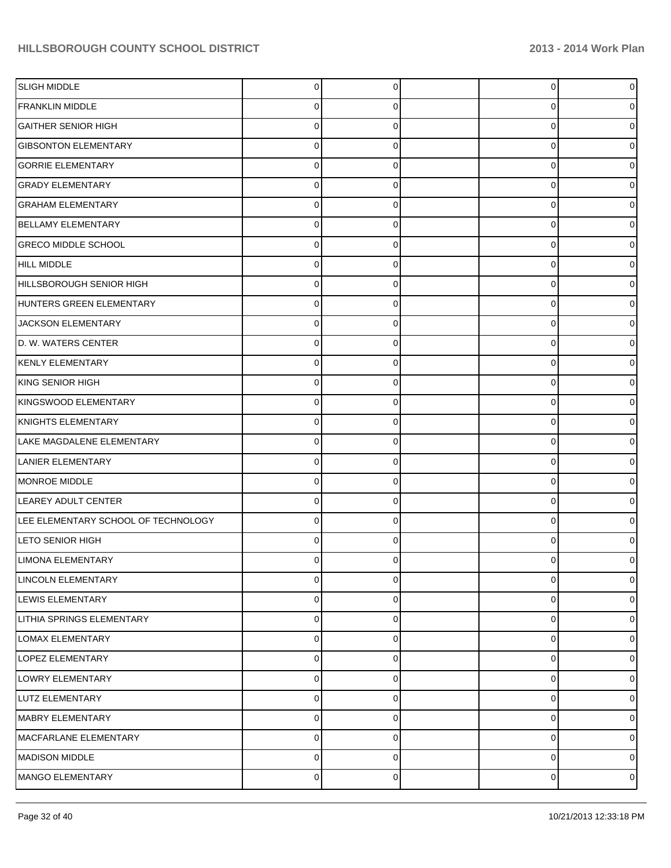| <b>SLIGH MIDDLE</b>                 | $\overline{0}$ | $\Omega$ | 0        | 0           |
|-------------------------------------|----------------|----------|----------|-------------|
| <b>FRANKLIN MIDDLE</b>              | 0              | 0        | 0        |             |
| <b>GAITHER SENIOR HIGH</b>          | $\Omega$       | 0        | 0        |             |
| <b>GIBSONTON ELEMENTARY</b>         | $\Omega$       | 0        | 0        |             |
| <b>GORRIE ELEMENTARY</b>            | 0              | 0        | 0        |             |
| <b>GRADY ELEMENTARY</b>             | 0              | 0        | 0        |             |
| <b>GRAHAM ELEMENTARY</b>            | 0              | 0        | 0        |             |
| <b>BELLAMY ELEMENTARY</b>           | 0              | 0        | 0        |             |
| <b>GRECO MIDDLE SCHOOL</b>          | 0              | 0        | $\Omega$ |             |
| HILL MIDDLE                         | 0              | 0        | 0        |             |
| HILLSBOROUGH SENIOR HIGH            | 0              | 0        | $\Omega$ |             |
| HUNTERS GREEN ELEMENTARY            | 0              | 0        | 0        |             |
| JACKSON ELEMENTARY                  | 0              | 0        | $\Omega$ |             |
| D. W. WATERS CENTER                 | 0              | 0        | 0        |             |
| KENLY ELEMENTARY                    | 0              | 0        | 0        |             |
| KING SENIOR HIGH                    | 0              | 0        | 0        |             |
| KINGSWOOD ELEMENTARY                | 0              | 0        | $\Omega$ |             |
| KNIGHTS ELEMENTARY                  | 0              | 0        | 0        |             |
| LAKE MAGDALENE ELEMENTARY           | o              |          | 0        |             |
| LANIER ELEMENTARY                   | 0              | 0        | 0        |             |
| MONROE MIDDLE                       | 0              | 0        | $\Omega$ |             |
| LEAREY ADULT CENTER                 | 0              | 0        | 0        |             |
| LEE ELEMENTARY SCHOOL OF TECHNOLOGY | o              |          | 0        |             |
| LETO SENIOR HIGH                    | 0              | 0        | $\Omega$ |             |
| <b>LIMONA ELEMENTARY</b>            |                |          | ŋ        |             |
| LINCOLN ELEMENTARY                  | 0              | 0        | 0        | 0           |
| LEWIS ELEMENTARY                    | 0              | 0        | 0        | 0           |
| LITHIA SPRINGS ELEMENTARY           | $\mathbf 0$    | 0        | 0        | 0           |
| <b>LOMAX ELEMENTARY</b>             | $\mathbf 0$    | 0        | 0        | 0           |
| LOPEZ ELEMENTARY                    | $\mathbf 0$    | 0        | 0        | 0           |
| LOWRY ELEMENTARY                    | $\mathbf 0$    | 0        | 0        | 0           |
| LUTZ ELEMENTARY                     | $\mathbf 0$    | 0        | 0        | 0           |
| MABRY ELEMENTARY                    | $\mathbf 0$    | 0        | 0        | 0           |
| MACFARLANE ELEMENTARY               | $\mathbf 0$    | 0        | 0        | 0           |
| MADISON MIDDLE                      | $\mathbf 0$    | 0        | 0        | 0           |
| MANGO ELEMENTARY                    | $\overline{0}$ | 0        | 0        | $\mathbf 0$ |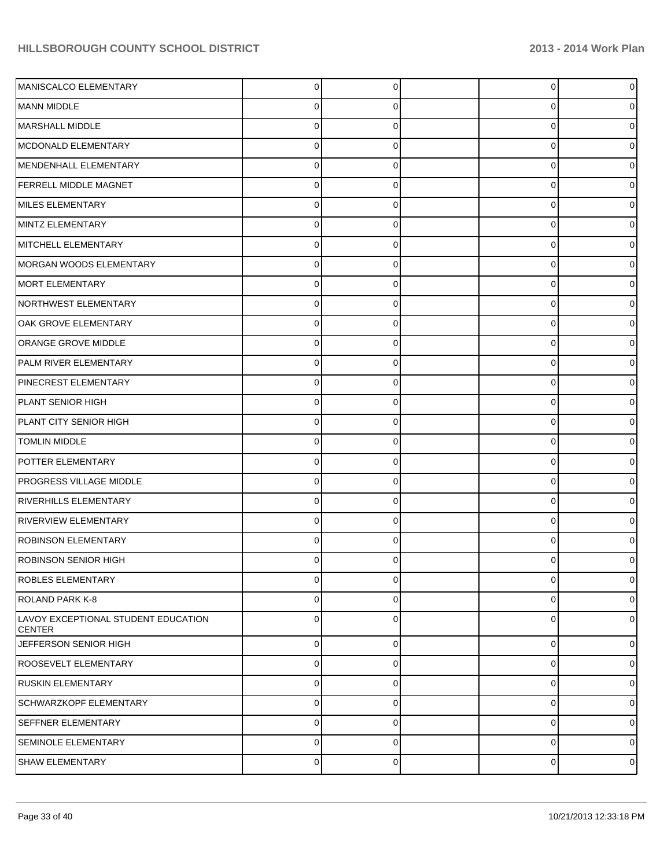| MANISCALCO ELEMENTARY                                | $\Omega$       | $\Omega$    | $\Omega$    | $\overline{0}$ |
|------------------------------------------------------|----------------|-------------|-------------|----------------|
| MANN MIDDLE                                          | 0              | 0           | 0           | 0              |
| MARSHALL MIDDLE                                      | 0              | 0           | $\Omega$    | 0              |
| MCDONALD ELEMENTARY                                  | 0              | 0           | 0           | 0              |
| MENDENHALL ELEMENTARY                                | 0              | 0           | $\Omega$    | 0              |
| <b>FERRELL MIDDLE MAGNET</b>                         | 0              | 0           | $\Omega$    | 0              |
| MILES ELEMENTARY                                     | 0              | 0           | $\Omega$    | 0              |
| MINTZ ELEMENTARY                                     | 0              | 0           | $\Omega$    | 0              |
| MITCHELL ELEMENTARY                                  | 0              | 0           | $\Omega$    | 0              |
| MORGAN WOODS ELEMENTARY                              | 0              | 0           | $\Omega$    | 0              |
| MORT ELEMENTARY                                      | 0              |             | $\Omega$    | ი              |
| NORTHWEST ELEMENTARY                                 | 0              | $\Omega$    | $\Omega$    | 0              |
| OAK GROVE ELEMENTARY                                 | 0              | 0           | $\Omega$    | ი              |
| ORANGE GROVE MIDDLE                                  | 0              | 0           | $\Omega$    | 0              |
| PALM RIVER ELEMENTARY                                | 0              |             | 0           | o              |
| PINECREST ELEMENTARY                                 | 0              | $\Omega$    | $\Omega$    | 0              |
| PLANT SENIOR HIGH                                    | 0              | 0           | $\Omega$    | o              |
| PLANT CITY SENIOR HIGH                               | 0              | 0           | $\Omega$    | 0              |
| <b>TOMLIN MIDDLE</b>                                 | 0              |             | 0           | o              |
| POTTER ELEMENTARY                                    | 0              | $\Omega$    | $\Omega$    | 0              |
| <b>PROGRESS VILLAGE MIDDLE</b>                       | 0              | 0           | $\Omega$    | 0              |
| <b>RIVERHILLS ELEMENTARY</b>                         | 0              | 0           | $\Omega$    | 0              |
| <b>RIVERVIEW ELEMENTARY</b>                          | 0              |             | $\Omega$    | o              |
| <b>ROBINSON ELEMENTARY</b>                           | 0              | 0           | 0           | 0              |
| ROBINSON SENIOR HIGH                                 | 0              | 0           | U           | 0              |
| ROBLES ELEMENTARY                                    | 0              | $\Omega$    | $\mathbf 0$ | $\mathbf 0$    |
| ROLAND PARK K-8                                      | 0              | 0           | 0           | $\overline{0}$ |
| LAVOY EXCEPTIONAL STUDENT EDUCATION<br><b>CENTER</b> | 0              | $\Omega$    | $\Omega$    | $\overline{0}$ |
| JEFFERSON SENIOR HIGH                                | $\overline{0}$ | $\Omega$    | 0           | $\overline{0}$ |
| <b>ROOSEVELT ELEMENTARY</b>                          | $\overline{0}$ | $\Omega$    | 0           | $\overline{0}$ |
| <b>RUSKIN ELEMENTARY</b>                             | $\overline{0}$ | $\Omega$    | 0           | $\overline{0}$ |
| <b>SCHWARZKOPF ELEMENTARY</b>                        | $\overline{0}$ | $\Omega$    | 0           | $\overline{0}$ |
| <b>SEFFNER ELEMENTARY</b>                            | $\overline{0}$ | $\Omega$    | 0           | $\overline{0}$ |
| SEMINOLE ELEMENTARY                                  | $\overline{0}$ | $\Omega$    | 0           | $\overline{0}$ |
| <b>SHAW ELEMENTARY</b>                               | $\overline{0}$ | $\mathbf 0$ | 0           | $\overline{0}$ |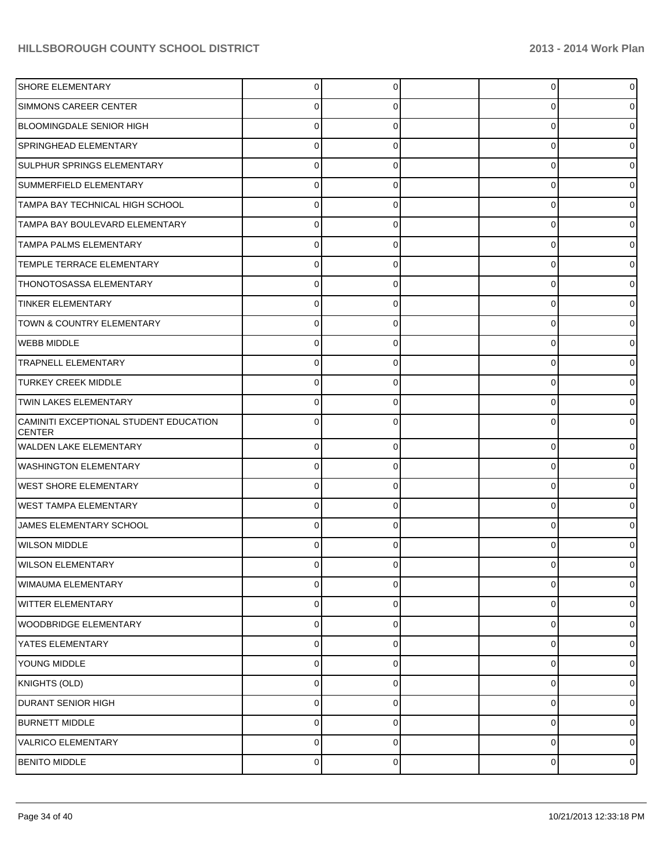| SHORE ELEMENTARY                                        | 0           | 0        | 0        | $\overline{0}$ |
|---------------------------------------------------------|-------------|----------|----------|----------------|
| <b>SIMMONS CAREER CENTER</b>                            | 0           | 0        | 0        | 0              |
| <b>BLOOMINGDALE SENIOR HIGH</b>                         | $\Omega$    | 0        | 0        | 0              |
| SPRINGHEAD ELEMENTARY                                   | 0           | 0        | 0        | 0              |
| SULPHUR SPRINGS ELEMENTARY                              | 0           | 0        | 0        | 0              |
| SUMMERFIELD ELEMENTARY                                  | 0           | 0        | 0        | 0              |
| TAMPA BAY TECHNICAL HIGH SCHOOL                         | 0           |          | 0        | 0              |
| TAMPA BAY BOULEVARD ELEMENTARY                          | 0           | 0        | 0        | 0              |
| <b>TAMPA PALMS ELEMENTARY</b>                           | 0           | 0        | 0        | 0              |
| TEMPLE TERRACE ELEMENTARY                               | 0           | 0        | 0        | 0              |
| THONOTOSASSA ELEMENTARY                                 | 0           |          | 0        | 0              |
| <b>TINKER ELEMENTARY</b>                                | 0           | 0        | 0        | 0              |
| TOWN & COUNTRY ELEMENTARY                               | 0           | 0        | 0        | 0              |
| WEBB MIDDLE                                             | 0           | 0        | 0        | 0              |
| <b>TRAPNELL ELEMENTARY</b>                              | 0           | 0        | 0        | 0              |
| <b>TURKEY CREEK MIDDLE</b>                              | 0           | 0        | 0        | 0              |
| <b>TWIN LAKES ELEMENTARY</b>                            | 0           |          | U        | 0              |
| CAMINITI EXCEPTIONAL STUDENT EDUCATION<br><b>CENTER</b> | 0           | 0        | 0        | 0              |
| <b>WALDEN LAKE ELEMENTARY</b>                           | $\mathbf 0$ | 0        | 0        | 0              |
| <b>WASHINGTON ELEMENTARY</b>                            | $\mathbf 0$ | $\Omega$ | 0        | 0              |
| <b>WEST SHORE ELEMENTARY</b>                            | $\mathbf 0$ | 0        | 0        | 0              |
| <b>WEST TAMPA ELEMENTARY</b>                            | $\Omega$    | 0        | 0        | 0              |
| JAMES ELEMENTARY SCHOOL                                 | 0           | 0        | 0        | 0              |
| <b>WILSON MIDDLE</b>                                    | U           |          | U        |                |
| <b>WILSON ELEMENTARY</b>                                | 0           | 0        | U        | 0              |
| <b>WIMAUMA ELEMENTARY</b>                               | 0           | 0        | 0        | 0              |
| <b>WITTER ELEMENTARY</b>                                | $\Omega$    | $\Omega$ | $\Omega$ | 0              |
| <b>WOODBRIDGE ELEMENTARY</b>                            | $\Omega$    | $\Omega$ | 0        | 0              |
| YATES ELEMENTARY                                        | $\Omega$    | $\Omega$ | $\Omega$ | 0              |
| YOUNG MIDDLE                                            | $\mathbf 0$ | $\Omega$ | 0        | 0              |
| KNIGHTS (OLD)                                           | $\Omega$    | $\Omega$ | 0        | 0              |
| <b>DURANT SENIOR HIGH</b>                               | $\mathbf 0$ | $\Omega$ | 0        | 0              |
| <b>BURNETT MIDDLE</b>                                   | $\Omega$    | $\Omega$ | $\Omega$ | 0              |
| <b>VALRICO ELEMENTARY</b>                               | $\Omega$    | $\Omega$ | 0        | 01             |
| <b>BENITO MIDDLE</b>                                    | $\pmb{0}$   | 0        | 0        | $\overline{0}$ |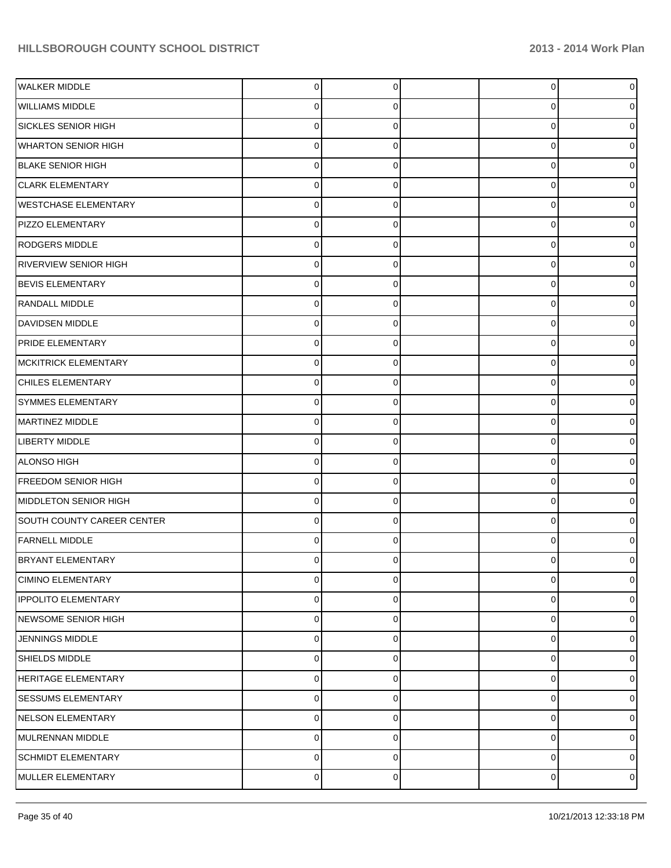| <b>WALKER MIDDLE</b>         | $\Omega$ | $\Omega$ | 0           | $\overline{0}$ |
|------------------------------|----------|----------|-------------|----------------|
| <b>WILLIAMS MIDDLE</b>       | 0        | 0        | $\Omega$    | 0              |
| SICKLES SENIOR HIGH          | 0        | $\Omega$ | $\Omega$    | 0              |
| <b>WHARTON SENIOR HIGH</b>   | 0        | $\Omega$ | 0           | 0              |
| <b>BLAKE SENIOR HIGH</b>     | 0        | 0        | $\Omega$    | 0              |
| <b>CLARK ELEMENTARY</b>      | 0        | $\Omega$ | $\Omega$    | 0              |
| <b>WESTCHASE ELEMENTARY</b>  | 0        | $\Omega$ | $\Omega$    | 0              |
| PIZZO ELEMENTARY             | 01       | $\Omega$ | $\Omega$    | 0              |
| RODGERS MIDDLE               | 0        |          | $\Omega$    | 0              |
| <b>RIVERVIEW SENIOR HIGH</b> | 0        | $\Omega$ | $\Omega$    | 0              |
| <b>BEVIS ELEMENTARY</b>      | 0        | $\Omega$ | $\Omega$    | 0              |
| RANDALL MIDDLE               | 0        | $\Omega$ | $\Omega$    | 0              |
| DAVIDSEN MIDDLE              | 0        | 0        | $\Omega$    | 0              |
| <b>PRIDE ELEMENTARY</b>      | 0        | 0        | 0           | 0              |
| MCKITRICK ELEMENTARY         | 0        | $\Omega$ | $\Omega$    | 0              |
| CHILES ELEMENTARY            | 0        | $\Omega$ | 0           | 0              |
| SYMMES ELEMENTARY            | 0        | 0        | $\Omega$    | 0              |
| MARTINEZ MIDDLE              | 0        | 0        | 0           | 0              |
| LIBERTY MIDDLE               | 0        | 0        | $\Omega$    | 0              |
| ALONSO HIGH                  | 0        | $\Omega$ | $\mathbf 0$ | 0              |
| <b>FREEDOM SENIOR HIGH</b>   | 0        | 0        | $\Omega$    | 0              |
| MIDDLETON SENIOR HIGH        | 0        | 0        | $\Omega$    | 0              |
| SOUTH COUNTY CAREER CENTER   | 0        | 0        | $\Omega$    | 0              |
| <b>FARNELL MIDDLE</b>        | 0        | $\Omega$ | $\Omega$    | 0              |
| <b>BRYANT ELEMENTARY</b>     | 0        |          | U           | 0              |
| <b>CIMINO ELEMENTARY</b>     | 0        | $\Omega$ | $\mathbf 0$ | $\overline{0}$ |
| <b>IPPOLITO ELEMENTARY</b>   | 0        | 0        | $\mathbf 0$ | 0              |
| NEWSOME SENIOR HIGH          | 0        | $\Omega$ | $\mathbf 0$ | 0              |
| <b>JENNINGS MIDDLE</b>       | 0        | 0        | 0           | 0              |
| SHIELDS MIDDLE               | 0        | $\Omega$ | $\mathbf 0$ | 0              |
| <b>HERITAGE ELEMENTARY</b>   | 0        | 0        | $\mathbf 0$ | 0              |
| <b>SESSUMS ELEMENTARY</b>    | 0        | $\Omega$ | 0           | 0              |
| NELSON ELEMENTARY            | 0        | 0        | 0           | 0              |
| MULRENNAN MIDDLE             | 0        | $\Omega$ | 0           | 0              |
| <b>SCHMIDT ELEMENTARY</b>    | 0        | 0        | 0           | 0              |
| MULLER ELEMENTARY            | 0        | 0        | 0           | $\circ$        |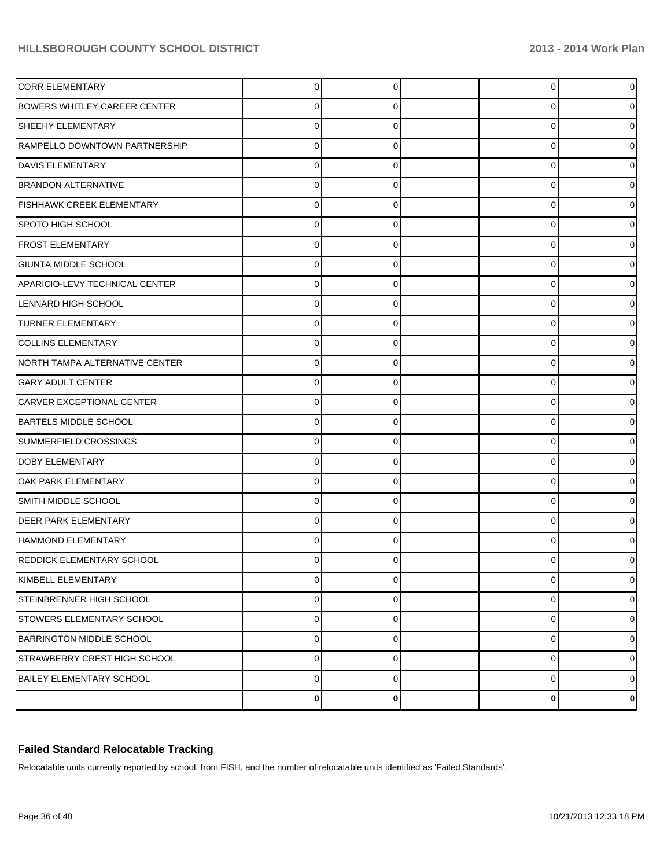| <b>CORR ELEMENTARY</b>              | $\Omega$       | $\Omega$    | $\overline{0}$ | $\overline{0}$ |
|-------------------------------------|----------------|-------------|----------------|----------------|
| <b>BOWERS WHITLEY CAREER CENTER</b> | 0              | O           | 0              | 0              |
| <b>SHEEHY ELEMENTARY</b>            | $\Omega$       | $\Omega$    | 0              | 0              |
| RAMPELLO DOWNTOWN PARTNERSHIP       | $\Omega$       | $\Omega$    | 0              | 0              |
| <b>DAVIS ELEMENTARY</b>             | 0              | U           | 0              | 0              |
| <b>BRANDON ALTERNATIVE</b>          | 0              | $\Omega$    | 0              | 0              |
| <b>FISHHAWK CREEK ELEMENTARY</b>    | $\Omega$       | $\Omega$    | 0              | 0              |
| <b>SPOTO HIGH SCHOOL</b>            | $\Omega$       | $\Omega$    | 0              | 0              |
| <b>FROST ELEMENTARY</b>             | 0              | U           | 0              | 0              |
| <b>GIUNTA MIDDLE SCHOOL</b>         | 0              | $\Omega$    | 0              | 0              |
| APARICIO-LEVY TECHNICAL CENTER      | 0              | 0           | 0              | 0              |
| <b>LENNARD HIGH SCHOOL</b>          | $\Omega$       | $\Omega$    | 0              | 0              |
| <b>TURNER ELEMENTARY</b>            | 0              | C           | 0              | 0              |
| <b>COLLINS ELEMENTARY</b>           | $\Omega$       | $\Omega$    | 0              | 0              |
| NORTH TAMPA ALTERNATIVE CENTER      | 0              | U           | 0              | 0              |
| <b>GARY ADULT CENTER</b>            | $\Omega$       | $\Omega$    | 0              | 0              |
| CARVER EXCEPTIONAL CENTER           | 0              | C           | 0              | 0              |
| <b>BARTELS MIDDLE SCHOOL</b>        | $\Omega$       | $\Omega$    | 0              | 0              |
| SUMMERFIELD CROSSINGS               | 0              | U           | 0              | 0              |
| <b>DOBY ELEMENTARY</b>              | $\Omega$       | $\Omega$    | 0              | 0              |
| OAK PARK ELEMENTARY                 | 0              | C           | 0              | 0              |
| <b>SMITH MIDDLE SCHOOL</b>          | $\Omega$       | $\Omega$    | 0              | 0              |
| <b>DEER PARK ELEMENTARY</b>         | 0              | U           | 0              | o              |
| HAMMOND ELEMENTARY                  | 0              | $\Omega$    | 0              | 0              |
| REDDICK ELEMENTARY SCHOOL           |                |             | U              | 0              |
| KIMBELL ELEMENTARY                  | $\overline{0}$ | 0           | 0              | $\overline{0}$ |
| <b>STEINBRENNER HIGH SCHOOL</b>     | $\mathbf 0$    | 0           | 0              | $\overline{0}$ |
| STOWERS ELEMENTARY SCHOOL           | 0              | $\Omega$    | 0              | $\overline{0}$ |
| BARRINGTON MIDDLE SCHOOL            | $\mathbf 0$    | $\mathbf 0$ | 0              | $\overline{0}$ |
| <b>STRAWBERRY CREST HIGH SCHOOL</b> | 0              | $\Omega$    | 0              | $\overline{0}$ |
| <b>BAILEY ELEMENTARY SCHOOL</b>     | $\mathbf 0$    | $\mathbf 0$ | 0              | $\overline{0}$ |
|                                     | $\bf{0}$       | 0           | 0              | $\mathbf{0}$   |

## **Failed Standard Relocatable Tracking**

Relocatable units currently reported by school, from FISH, and the number of relocatable units identified as 'Failed Standards'.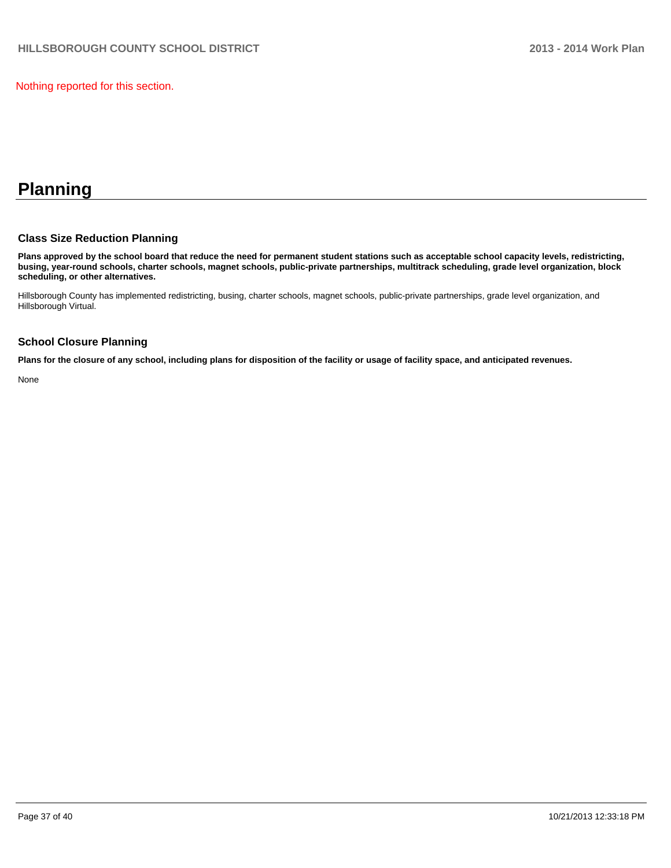Nothing reported for this section.

## **Planning**

#### **Class Size Reduction Planning**

**Plans approved by the school board that reduce the need for permanent student stations such as acceptable school capacity levels, redistricting, busing, year-round schools, charter schools, magnet schools, public-private partnerships, multitrack scheduling, grade level organization, block scheduling, or other alternatives.**

Hillsborough County has implemented redistricting, busing, charter schools, magnet schools, public-private partnerships, grade level organization, and Hillsborough Virtual.

#### **School Closure Planning**

**Plans for the closure of any school, including plans for disposition of the facility or usage of facility space, and anticipated revenues.**

None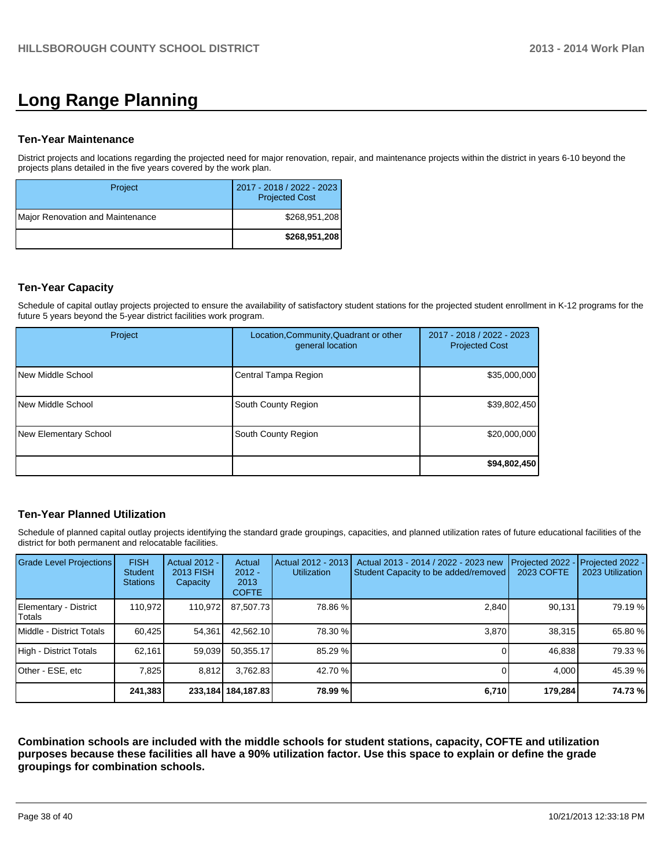# **Long Range Planning**

#### **Ten-Year Maintenance**

District projects and locations regarding the projected need for major renovation, repair, and maintenance projects within the district in years 6-10 beyond the projects plans detailed in the five years covered by the work plan.

| Project                          | 2017 - 2018 / 2022 - 2023<br><b>Projected Cost</b> |
|----------------------------------|----------------------------------------------------|
| Major Renovation and Maintenance | \$268,951,208                                      |
|                                  | \$268,951,208                                      |

#### **Ten-Year Capacity**

Schedule of capital outlay projects projected to ensure the availability of satisfactory student stations for the projected student enrollment in K-12 programs for the future 5 years beyond the 5-year district facilities work program.

| Project               | Location, Community, Quadrant or other<br>general location | 2017 - 2018 / 2022 - 2023<br><b>Projected Cost</b> |
|-----------------------|------------------------------------------------------------|----------------------------------------------------|
| New Middle School     | Central Tampa Region                                       | \$35,000,000                                       |
| New Middle School     | South County Region                                        | \$39,802,450                                       |
| New Elementary School | South County Region                                        | \$20,000,000                                       |
|                       |                                                            | \$94,802,450                                       |

## **Ten-Year Planned Utilization**

Schedule of planned capital outlay projects identifying the standard grade groupings, capacities, and planned utilization rates of future educational facilities of the district for both permanent and relocatable facilities.

| Grade Level Projections         | <b>FISH</b><br><b>Student</b><br><b>Stations</b> | Actual 2012 -<br>2013 FISH<br>Capacity | Actual<br>$2012 -$<br>2013<br><b>COFTE</b> | Actual 2012 - 2013<br><b>Utilization</b> | Actual 2013 - 2014 / 2022 - 2023 new<br>Student Capacity to be added/removed | Projected 2022<br>2023 COFTE | Projected 2022 -<br>2023 Utilization |
|---------------------------------|--------------------------------------------------|----------------------------------------|--------------------------------------------|------------------------------------------|------------------------------------------------------------------------------|------------------------------|--------------------------------------|
| Elementary - District<br>Totals | 110.972                                          | 110,972                                | 87,507.73                                  | 78.86 %                                  | 2,840                                                                        | 90,131                       | 79.19 %                              |
| Middle - District Totals        | 60.425                                           | 54,361                                 | 42.562.10                                  | 78.30 %                                  | 3.870                                                                        | 38,315                       | 65.80 %                              |
| High - District Totals          | 62,161                                           | 59,039                                 | 50.355.17                                  | 85.29 %                                  |                                                                              | 46,838                       | 79.33 %                              |
| Other - ESE, etc                | 7.825                                            | 8.812                                  | 3.762.83                                   | 42.70 %                                  |                                                                              | 4,000                        | 45.39 %                              |
|                                 | 241,383                                          |                                        | 233, 184   184, 187. 83                    | 78.99 %                                  | 6,710                                                                        | 179,284                      | 74.73%                               |

**Combination schools are included with the middle schools for student stations, capacity, COFTE and utilization purposes because these facilities all have a 90% utilization factor. Use this space to explain or define the grade groupings for combination schools.**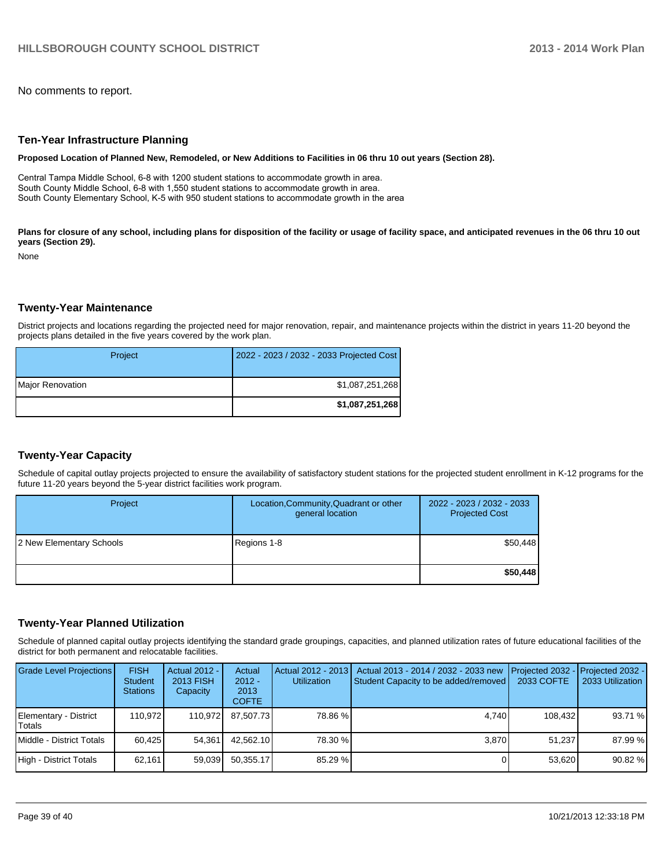No comments to report.

#### **Ten-Year Infrastructure Planning**

**Proposed Location of Planned New, Remodeled, or New Additions to Facilities in 06 thru 10 out years (Section 28).**

Central Tampa Middle School, 6-8 with 1200 student stations to accommodate growth in area. South County Middle School, 6-8 with 1,550 student stations to accommodate growth in area. South County Elementary School, K-5 with 950 student stations to accommodate growth in the area

Plans for closure of any school, including plans for disposition of the facility or usage of facility space, and anticipated revenues in the 06 thru 10 out **years (Section 29).**

None

#### **Twenty-Year Maintenance**

District projects and locations regarding the projected need for major renovation, repair, and maintenance projects within the district in years 11-20 beyond the projects plans detailed in the five years covered by the work plan.

| Project          | 2022 - 2023 / 2032 - 2033 Projected Cost |
|------------------|------------------------------------------|
| Major Renovation | \$1,087,251,268                          |
|                  | \$1,087,251,268                          |

#### **Twenty-Year Capacity**

Schedule of capital outlay projects projected to ensure the availability of satisfactory student stations for the projected student enrollment in K-12 programs for the future 11-20 years beyond the 5-year district facilities work program.

| Project                  | Location, Community, Quadrant or other<br>general location | 2022 - 2023 / 2032 - 2033<br><b>Projected Cost</b> |
|--------------------------|------------------------------------------------------------|----------------------------------------------------|
| 2 New Elementary Schools | Regions 1-8                                                | \$50,448                                           |
|                          |                                                            | \$50,448                                           |

#### **Twenty-Year Planned Utilization**

Schedule of planned capital outlay projects identifying the standard grade groupings, capacities, and planned utilization rates of future educational facilities of the district for both permanent and relocatable facilities.

| <b>Grade Level Projections</b>   | <b>FISH</b><br><b>Student</b><br><b>Stations</b> | Actual 2012 -<br>2013 FISH<br>Capacity | Actual<br>$2012 -$<br>2013<br><b>COFTE</b> | Actual 2012 - 2013  <br><b>Utilization</b> | Actual 2013 - 2014 / 2032 - 2033 new<br>Student Capacity to be added/removed | <b>IProjected 2032 - IProjected 2032 -</b><br>2033 COFTE | 2033 Utilization I |
|----------------------------------|--------------------------------------------------|----------------------------------------|--------------------------------------------|--------------------------------------------|------------------------------------------------------------------------------|----------------------------------------------------------|--------------------|
| Elementary - District<br>lTotals | 110.972                                          | 110.972                                | 87.507.73                                  | 78.86 %                                    | 4.740                                                                        | 108.432                                                  | 93.71 %            |
| Middle - District Totals         | 60.425                                           | 54.361                                 | 42.562.10                                  | 78.30 %                                    | 3.870                                                                        | 51.237                                                   | 87.99 %            |
| High - District Totals           | 62,161                                           | 59,039                                 | 50.355.17                                  | $85.29 \%$                                 |                                                                              | 53.620                                                   | 90.82 %            |